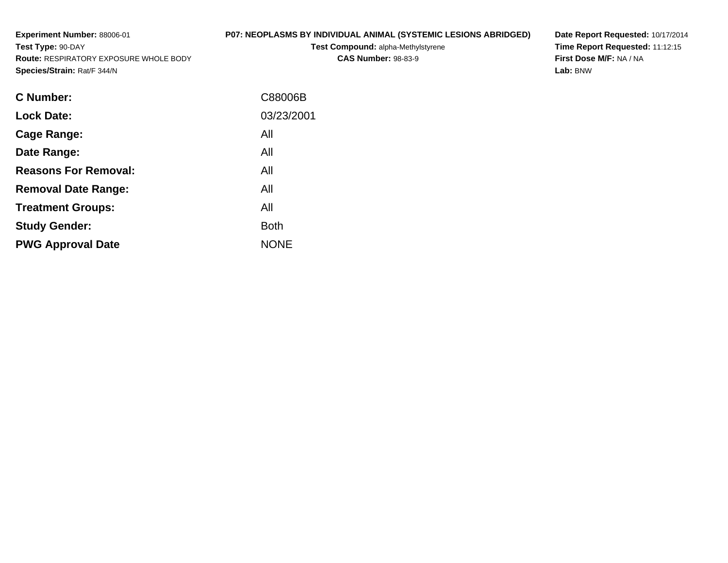**Experiment Number:** 88006-01**Test Type:** 90-DAY **Route:** RESPIRATORY EXPOSURE WHOLE BODY**Species/Strain:** Rat/F 344/N**P07: NEOPLASMS BY INDIVIDUAL ANIMAL (SYSTEMIC LESIONS ABRIDGED)Test Compound:** alpha-Methylstyrene**CAS Number:** 98-83-9

**Date Report Requested:** 10/17/2014 **Time Report Requested:** 11:12:15**First Dose M/F:** NA / NA**Lab:** BNW

| <b>C</b> Number:            | C88006B     |
|-----------------------------|-------------|
| <b>Lock Date:</b>           | 03/23/2001  |
| Cage Range:                 | All         |
| Date Range:                 | All         |
| <b>Reasons For Removal:</b> | All         |
| <b>Removal Date Range:</b>  | All         |
| <b>Treatment Groups:</b>    | All         |
| <b>Study Gender:</b>        | <b>Both</b> |
| <b>PWG Approval Date</b>    | <b>NONE</b> |
|                             |             |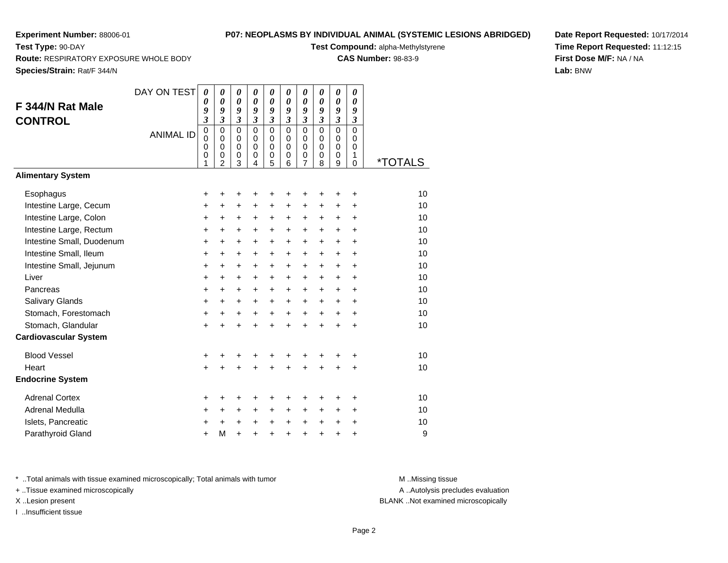**Test Type:** 90-DAY

## **P07: NEOPLASMS BY INDIVIDUAL ANIMAL (SYSTEMIC LESIONS ABRIDGED)**

**Test Compound:** alpha-Methylstyrene

**CAS Number:** 98-83-9

**Route:** RESPIRATORY EXPOSURE WHOLE BODY

| Species/Strain: Rat/F 344/N                      |                  |                            |                                                                                               |                                                                          |                                                                |                                                                                 |                                                                                       |                                                             |                                                                |                                                                       |                            |          |
|--------------------------------------------------|------------------|----------------------------|-----------------------------------------------------------------------------------------------|--------------------------------------------------------------------------|----------------------------------------------------------------|---------------------------------------------------------------------------------|---------------------------------------------------------------------------------------|-------------------------------------------------------------|----------------------------------------------------------------|-----------------------------------------------------------------------|----------------------------|----------|
| F 344/N Rat Male                                 | DAY ON TEST      | 0<br>0<br>9                | $\pmb{\theta}$<br>0<br>9                                                                      | $\pmb{\theta}$<br>0<br>9                                                 | 0<br>0<br>9                                                    | 0<br>0<br>9                                                                     | 0<br>0<br>9                                                                           | 0<br>0<br>9                                                 | 0<br>0<br>9                                                    | $\boldsymbol{\theta}$<br>$\boldsymbol{\theta}$<br>9                   | 0<br>0<br>9                |          |
| <b>CONTROL</b>                                   | <b>ANIMAL ID</b> | 3<br>0<br>0<br>0<br>0<br>1 | $\boldsymbol{\mathfrak{z}}$<br>$\mathbf 0$<br>$\mathbf 0$<br>0<br>$\pmb{0}$<br>$\overline{2}$ | $\boldsymbol{\mathfrak{z}}$<br>$\mathsf 0$<br>$\mathbf 0$<br>0<br>0<br>3 | $\boldsymbol{\mathfrak{z}}$<br>0<br>$\mathbf 0$<br>0<br>0<br>4 | $\mathfrak{z}$<br>$\mathbf 0$<br>$\mathbf 0$<br>$\mathbf 0$<br>$\mathbf 0$<br>5 | $\boldsymbol{\mathfrak{z}}$<br>$\overline{0}$<br>$\mathbf 0$<br>$\mathbf 0$<br>0<br>6 | $\mathfrak{z}$<br>$\mathbf 0$<br>$\mathbf 0$<br>0<br>0<br>7 | $\boldsymbol{\mathfrak{z}}$<br>$\mathbf 0$<br>0<br>0<br>0<br>8 | $\mathfrak{z}$<br>$\mathbf 0$<br>$\mathbf 0$<br>$\mathbf 0$<br>0<br>9 | 3<br>0<br>0<br>0<br>1<br>0 | *TOTALS  |
| <b>Alimentary System</b>                         |                  |                            |                                                                                               |                                                                          |                                                                |                                                                                 |                                                                                       |                                                             |                                                                |                                                                       |                            |          |
| Esophagus                                        |                  | +                          | +                                                                                             | +                                                                        | +                                                              | +                                                                               | +                                                                                     | +                                                           | +                                                              | +                                                                     | +                          | 10       |
| Intestine Large, Cecum<br>Intestine Large, Colon |                  | $\pmb{+}$<br>+             | $\ddot{}$<br>+                                                                                | +<br>+                                                                   | $\ddot{}$<br>+                                                 | +<br>$\ddot{}$                                                                  | $\ddot{}$<br>$\ddot{}$                                                                | $\ddot{}$<br>+                                              | +<br>$\ddot{}$                                                 | $\ddot{}$<br>+                                                        | $\ddot{}$<br>+             | 10<br>10 |
| Intestine Large, Rectum                          |                  | +                          | $\ddot{}$                                                                                     | +                                                                        | $\ddot{}$                                                      | $\ddot{}$                                                                       | $\ddot{}$                                                                             | $\ddot{}$                                                   | $\ddot{}$                                                      | $\ddot{}$                                                             | $\ddot{}$                  | 10       |
| Intestine Small, Duodenum                        |                  | $\ddot{}$                  | $\ddot{}$                                                                                     | +                                                                        | $\ddot{}$                                                      | +                                                                               | $\ddot{}$                                                                             | $\ddot{}$                                                   | $\ddot{}$                                                      | $\ddot{}$                                                             | +                          | 10       |
| Intestine Small, Ileum                           |                  | +                          | $\ddot{}$                                                                                     | +                                                                        | $\ddot{}$                                                      | +                                                                               | $\ddot{}$                                                                             | $\ddot{}$                                                   | $\ddot{}$                                                      | $\ddot{}$                                                             | $\ddot{}$                  | 10       |
| Intestine Small, Jejunum                         |                  | +                          | $\ddot{}$                                                                                     | +                                                                        | $\ddot{}$                                                      | $\ddot{}$                                                                       | $\ddot{}$                                                                             | $\ddot{}$                                                   | $\ddot{}$                                                      | $\ddot{}$                                                             | $\ddot{}$                  | 10       |
| Liver                                            |                  | +                          | $\ddot{}$                                                                                     | $\ddot{}$                                                                | $\ddot{}$                                                      | $\ddot{}$                                                                       | $\ddot{}$                                                                             | $\ddot{}$                                                   | $\ddot{}$                                                      | $\ddot{}$                                                             | +                          | 10       |
| Pancreas                                         |                  | +                          | $\ddot{}$                                                                                     | +                                                                        | $\ddot{}$                                                      | $\ddot{}$                                                                       | $\ddot{}$                                                                             | $\ddot{}$                                                   | $\ddot{}$                                                      | $\ddot{}$                                                             | +                          | 10       |
| Salivary Glands                                  |                  | +                          | $\ddot{}$                                                                                     | +                                                                        | +                                                              | $\ddot{}$                                                                       | +                                                                                     | +                                                           | $\ddot{}$                                                      | $\ddot{}$                                                             | +                          | 10       |
| Stomach, Forestomach                             |                  | $\pmb{+}$                  | $\ddot{}$                                                                                     | $\ddot{}$                                                                | $\ddot{}$                                                      | $\ddot{}$                                                                       | $\ddot{}$                                                                             | +                                                           | $\ddot{}$                                                      | $\ddot{}$                                                             | $\ddot{}$                  | 10       |
| Stomach, Glandular                               |                  | $\ddot{}$                  |                                                                                               | $\ddot{}$                                                                | $\ddot{}$                                                      | $\ddot{}$                                                                       | +                                                                                     | $\ddot{}$                                                   | $\ddot{}$                                                      | $\ddot{}$                                                             | $\ddot{}$                  | 10       |
| <b>Cardiovascular System</b>                     |                  |                            |                                                                                               |                                                                          |                                                                |                                                                                 |                                                                                       |                                                             |                                                                |                                                                       |                            |          |
| <b>Blood Vessel</b>                              |                  | +                          |                                                                                               |                                                                          |                                                                |                                                                                 | +                                                                                     |                                                             |                                                                |                                                                       | +                          | 10       |
| Heart                                            |                  | +                          | Ŧ.                                                                                            | $\ddot{}$                                                                | $\ddot{}$                                                      | $\ddot{}$                                                                       | $\ddot{}$                                                                             | $\ddot{}$                                                   | $\ddot{}$                                                      | $\ddot{}$                                                             | $\ddot{}$                  | 10       |
| <b>Endocrine System</b>                          |                  |                            |                                                                                               |                                                                          |                                                                |                                                                                 |                                                                                       |                                                             |                                                                |                                                                       |                            |          |
| <b>Adrenal Cortex</b>                            |                  | +                          | +                                                                                             | +                                                                        | +                                                              | +                                                                               | +                                                                                     | +                                                           | +                                                              | +                                                                     | +                          | 10       |
| <b>Adrenal Medulla</b>                           |                  | +                          | +                                                                                             | +                                                                        | $\ddot{}$                                                      | +                                                                               | +                                                                                     | +                                                           | +                                                              | +                                                                     | $\ddot{}$                  | 10       |
| Islets, Pancreatic                               |                  | +                          |                                                                                               | +                                                                        | +                                                              | $\ddot{}$                                                                       | $\ddot{}$                                                                             | $\ddot{}$                                                   | +                                                              | $\ddot{}$                                                             | $\ddot{}$                  | 10       |
| Parathyroid Gland                                |                  | +                          | М                                                                                             | $\ddot{}$                                                                | $\ddot{}$                                                      | +                                                                               | +                                                                                     | $\ddot{}$                                                   | $\ddot{}$                                                      | $\ddot{}$                                                             | +                          | 9        |

**Date Report Requested:** 10/17/2014**Time Report Requested:** 11:12:15**First Dose M/F:** NA / NA**Lab:** BNW

\* ..Total animals with tissue examined microscopically; Total animals with tumor **M** . Missing tissue M ..Missing tissue

+ ..Tissue examined microscopically

I ..Insufficient tissue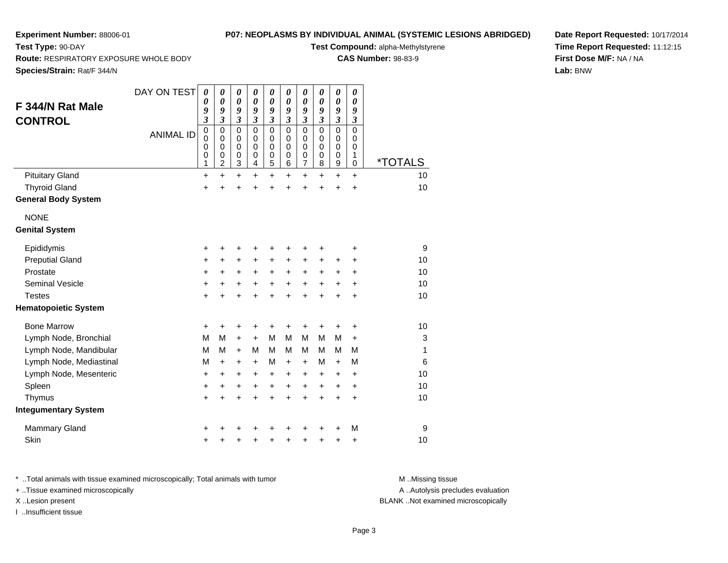**Route:** RESPIRATORY EXPOSURE WHOLE BODY

## **P07: NEOPLASMS BY INDIVIDUAL ANIMAL (SYSTEMIC LESIONS ABRIDGED)**

**Test Compound:** alpha-Methylstyrene

**CAS Number:** 98-83-9

**Species/Strain:** Rat/F 344/N

**Test Type:** 90-DAY

| F 344/N Rat Male<br><b>CONTROL</b> | DAY ON TEST<br><b>ANIMAL ID</b> | 0<br>0<br>9<br>$\overline{\mathbf{3}}$<br>$\mathbf 0$<br>0<br>$\mathbf 0$<br>0<br>1 | 0<br>$\boldsymbol{\theta}$<br>9<br>$\overline{\mathbf{3}}$<br>$\mathbf 0$<br>0<br>$\mathbf 0$<br>0<br>$\overline{c}$ | 0<br>0<br>9<br>$\overline{\mathbf{3}}$<br>0<br>0<br>$\mathbf 0$<br>0<br>3 | $\boldsymbol{\theta}$<br>$\boldsymbol{\theta}$<br>9<br>$\overline{\mathbf{3}}$<br>$\mathbf 0$<br>0<br>$\mathbf 0$<br>0<br>4 | 0<br>$\boldsymbol{\theta}$<br>9<br>3<br>$\mathbf 0$<br>0<br>$\mathbf 0$<br>0<br>5 | 0<br>$\boldsymbol{\theta}$<br>9<br>$\mathfrak{z}$<br>$\mathbf 0$<br>0<br>$\mathsf 0$<br>0<br>6 | 0<br>$\boldsymbol{\theta}$<br>9<br>$\overline{\mathbf{3}}$<br>$\mathbf 0$<br>0<br>$\mathbf 0$<br>0<br>7 | 0<br>$\boldsymbol{\theta}$<br>9<br>$\mathfrak{z}$<br>$\mathbf 0$<br>0<br>$\pmb{0}$<br>$\mathbf 0$<br>8 | 0<br>$\boldsymbol{\theta}$<br>9<br>$\mathfrak{z}$<br>$\mathbf 0$<br>0<br>$\pmb{0}$<br>$\mathbf 0$<br>9 | 0<br>$\boldsymbol{\theta}$<br>9<br>$\mathfrak{z}$<br>$\mathbf 0$<br>0<br>$\mathbf 0$<br>1<br>$\mathbf 0$ | <i><b>*TOTALS</b></i> |
|------------------------------------|---------------------------------|-------------------------------------------------------------------------------------|----------------------------------------------------------------------------------------------------------------------|---------------------------------------------------------------------------|-----------------------------------------------------------------------------------------------------------------------------|-----------------------------------------------------------------------------------|------------------------------------------------------------------------------------------------|---------------------------------------------------------------------------------------------------------|--------------------------------------------------------------------------------------------------------|--------------------------------------------------------------------------------------------------------|----------------------------------------------------------------------------------------------------------|-----------------------|
| <b>Pituitary Gland</b>             |                                 | $\ddot{}$                                                                           | $\ddot{}$                                                                                                            | $\ddot{}$                                                                 | $\ddot{}$                                                                                                                   | $\ddot{}$                                                                         | $\ddot{}$                                                                                      | $\ddot{}$                                                                                               | $\ddot{}$                                                                                              | $\ddot{}$                                                                                              | $+$                                                                                                      | 10                    |
| <b>Thyroid Gland</b>               |                                 | ÷                                                                                   | ÷                                                                                                                    | ÷                                                                         | $\ddot{}$                                                                                                                   | $\ddot{}$                                                                         | $\ddot{}$                                                                                      | $\ddot{}$                                                                                               | $\ddot{}$                                                                                              | $\ddot{}$                                                                                              | $\ddot{}$                                                                                                | 10                    |
| <b>General Body System</b>         |                                 |                                                                                     |                                                                                                                      |                                                                           |                                                                                                                             |                                                                                   |                                                                                                |                                                                                                         |                                                                                                        |                                                                                                        |                                                                                                          |                       |
| <b>NONE</b>                        |                                 |                                                                                     |                                                                                                                      |                                                                           |                                                                                                                             |                                                                                   |                                                                                                |                                                                                                         |                                                                                                        |                                                                                                        |                                                                                                          |                       |
| <b>Genital System</b>              |                                 |                                                                                     |                                                                                                                      |                                                                           |                                                                                                                             |                                                                                   |                                                                                                |                                                                                                         |                                                                                                        |                                                                                                        |                                                                                                          |                       |
| Epididymis                         |                                 | +                                                                                   | +                                                                                                                    | +                                                                         | +                                                                                                                           | +                                                                                 | +                                                                                              | +                                                                                                       | +                                                                                                      |                                                                                                        | +                                                                                                        | 9                     |
| <b>Preputial Gland</b>             |                                 | +                                                                                   | $\ddot{}$                                                                                                            | +                                                                         | $\ddot{}$                                                                                                                   | $\ddot{}$                                                                         | +                                                                                              | +                                                                                                       | $\ddot{}$                                                                                              | +                                                                                                      | $\ddot{}$                                                                                                | 10                    |
| Prostate                           |                                 | +                                                                                   | +                                                                                                                    | +                                                                         | +                                                                                                                           | +                                                                                 | +                                                                                              | +                                                                                                       | +                                                                                                      | +                                                                                                      | $\ddot{}$                                                                                                | 10                    |
| <b>Seminal Vesicle</b>             |                                 | $\ddot{}$                                                                           | +                                                                                                                    | +                                                                         | +                                                                                                                           | +                                                                                 | $\ddot{}$                                                                                      | +                                                                                                       | $\ddot{}$                                                                                              | $\ddot{}$                                                                                              | $\ddot{}$                                                                                                | 10                    |
| <b>Testes</b>                      |                                 | $\ddot{}$                                                                           |                                                                                                                      | $\ddot{}$                                                                 | +                                                                                                                           | $\ddot{}$                                                                         | $\ddot{}$                                                                                      | $\ddot{}$                                                                                               | $\ddot{}$                                                                                              | $\ddot{}$                                                                                              | $\ddot{}$                                                                                                | 10                    |
| <b>Hematopoietic System</b>        |                                 |                                                                                     |                                                                                                                      |                                                                           |                                                                                                                             |                                                                                   |                                                                                                |                                                                                                         |                                                                                                        |                                                                                                        |                                                                                                          |                       |
| <b>Bone Marrow</b>                 |                                 | +                                                                                   | +                                                                                                                    | +                                                                         | +                                                                                                                           | +                                                                                 | +                                                                                              | +                                                                                                       | +                                                                                                      | +                                                                                                      | +                                                                                                        | 10                    |
| Lymph Node, Bronchial              |                                 | M                                                                                   | М                                                                                                                    | $\ddot{}$                                                                 | $\ddot{}$                                                                                                                   | M                                                                                 | M                                                                                              | M                                                                                                       | M                                                                                                      | M                                                                                                      | $\ddot{}$                                                                                                | 3                     |
| Lymph Node, Mandibular             |                                 | M                                                                                   | M                                                                                                                    | $\ddot{}$                                                                 | М                                                                                                                           | м                                                                                 | м                                                                                              | м                                                                                                       | м                                                                                                      | м                                                                                                      | м                                                                                                        | 1                     |
| Lymph Node, Mediastinal            |                                 | M                                                                                   | $\ddot{}$                                                                                                            | +                                                                         | $\ddot{}$                                                                                                                   | M                                                                                 | $\ddot{}$                                                                                      | $+$                                                                                                     | м                                                                                                      | $+$                                                                                                    | M                                                                                                        | 6                     |
| Lymph Node, Mesenteric             |                                 | $\ddot{}$                                                                           | $\ddot{}$                                                                                                            | +                                                                         | $\ddot{}$                                                                                                                   | $\ddot{}$                                                                         | $\ddot{}$                                                                                      | $\ddot{}$                                                                                               | +                                                                                                      | $\ddot{}$                                                                                              | $\ddot{}$                                                                                                | 10                    |
| Spleen                             |                                 | $\ddot{}$                                                                           | $\ddot{}$                                                                                                            | $\pm$                                                                     | +                                                                                                                           | +                                                                                 | $\ddot{}$                                                                                      | +                                                                                                       | $\ddot{}$                                                                                              | $\ddot{}$                                                                                              | $\ddot{}$                                                                                                | 10                    |
| Thymus                             |                                 | $\ddot{}$                                                                           | $\ddot{}$                                                                                                            | ÷                                                                         | $\ddot{}$                                                                                                                   | $\ddot{}$                                                                         | $\ddot{}$                                                                                      | $\ddot{}$                                                                                               | $\ddot{}$                                                                                              | $\ddot{}$                                                                                              | $\ddot{}$                                                                                                | 10                    |
| <b>Integumentary System</b>        |                                 |                                                                                     |                                                                                                                      |                                                                           |                                                                                                                             |                                                                                   |                                                                                                |                                                                                                         |                                                                                                        |                                                                                                        |                                                                                                          |                       |
| <b>Mammary Gland</b>               |                                 |                                                                                     |                                                                                                                      |                                                                           |                                                                                                                             |                                                                                   |                                                                                                |                                                                                                         | +                                                                                                      |                                                                                                        | M                                                                                                        | 9                     |
| Skin                               |                                 | +                                                                                   |                                                                                                                      | +                                                                         | +                                                                                                                           | +                                                                                 | +                                                                                              | +                                                                                                       | +                                                                                                      | +                                                                                                      | +                                                                                                        | 10                    |

**Date Report Requested:** 10/17/2014**Time Report Requested:** 11:12:15**First Dose M/F:** NA / NA**Lab:** BNW

\* ..Total animals with tissue examined microscopically; Total animals with tumor **M** . Missing tissue M ..Missing tissue

+ ..Tissue examined microscopically

I ..Insufficient tissue

A ..Autolysis precludes evaluation

X ..Lesion present BLANK ..Not examined microscopically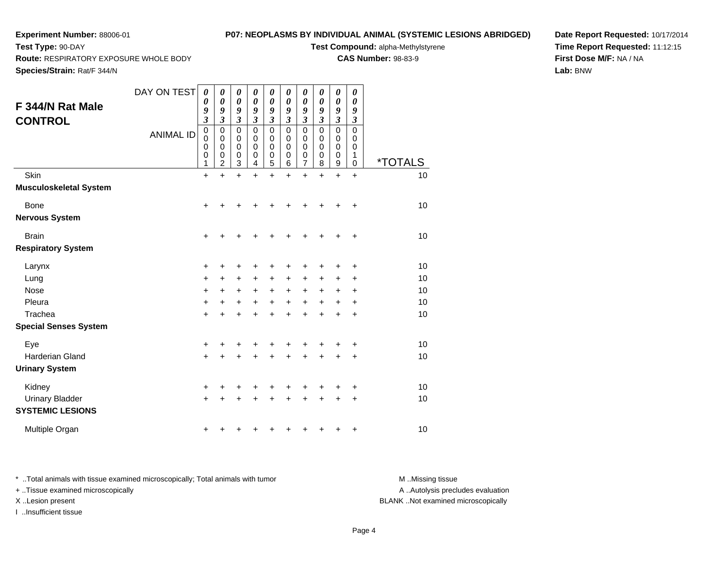**Route:** RESPIRATORY EXPOSURE WHOLE BODY

## **P07: NEOPLASMS BY INDIVIDUAL ANIMAL (SYSTEMIC LESIONS ABRIDGED)**

**Test Compound:** alpha-Methylstyrene

**CAS Number:** 98-83-9

**Species/Strain:** Rat/F 344/N

**Test Type:** 90-DAY

**Date Report Requested:** 10/17/2014**Time Report Requested:** 11:12:15**First Dose M/F:** NA / NA**Lab:** BNW

| F 344/N Rat Male<br><b>CONTROL</b>                | DAY ON TEST<br><b>ANIMAL ID</b> | 0<br>0<br>9<br>3<br>0<br>$\mathbf 0$<br>0<br>0 | 0<br>0<br>9<br>3<br>$\mathbf 0$<br>0<br>0<br>0 | 0<br>$\boldsymbol{\theta}$<br>9<br>3<br>$\mathbf 0$<br>$\pmb{0}$<br>0<br>$\mathbf 0$ | 0<br>$\boldsymbol{\theta}$<br>9<br>3<br>$\mathbf 0$<br>$\pmb{0}$<br>$\mathbf 0$<br>0 | 0<br>0<br>9<br>3<br>$\mathbf 0$<br>$\mathbf 0$<br>0<br>0 | 0<br>0<br>9<br>3<br>$\mathbf 0$<br>$\pmb{0}$<br>$\mathbf 0$<br>0 | 0<br>0<br>9<br>3<br>$\mathbf 0$<br>$\mathbf 0$<br>$\mathbf 0$<br>0 | 0<br>$\boldsymbol{\theta}$<br>9<br>$\mathfrak{z}$<br>$\mathbf 0$<br>$\pmb{0}$<br>$\mathbf 0$<br>$\mathbf 0$ | 0<br>$\boldsymbol{\theta}$<br>9<br>$\mathfrak{z}$<br>0<br>$\mathbf 0$<br>0<br>0 | 0<br>0<br>9<br>3<br>0<br>0<br>0<br>1 |                       |
|---------------------------------------------------|---------------------------------|------------------------------------------------|------------------------------------------------|--------------------------------------------------------------------------------------|--------------------------------------------------------------------------------------|----------------------------------------------------------|------------------------------------------------------------------|--------------------------------------------------------------------|-------------------------------------------------------------------------------------------------------------|---------------------------------------------------------------------------------|--------------------------------------|-----------------------|
|                                                   |                                 | 1                                              | $\overline{2}$                                 | 3                                                                                    | 4                                                                                    | 5                                                        | 6                                                                | 7                                                                  | 8                                                                                                           | 9                                                                               | 0                                    | <i><b>*TOTALS</b></i> |
| Skin<br><b>Musculoskeletal System</b>             |                                 | $\ddot{}$                                      | $\ddot{}$                                      | $\ddot{}$                                                                            | $\ddot{}$                                                                            | $\ddot{}$                                                | $\ddot{}$                                                        | $\ddot{}$                                                          | $\ddot{}$                                                                                                   | $\ddot{}$                                                                       | $\ddot{}$                            | 10                    |
| Bone                                              |                                 | $\ddot{}$                                      |                                                |                                                                                      |                                                                                      |                                                          |                                                                  | +                                                                  | +                                                                                                           | +                                                                               | +                                    | 10                    |
| <b>Nervous System</b>                             |                                 |                                                |                                                |                                                                                      |                                                                                      |                                                          |                                                                  |                                                                    |                                                                                                             |                                                                                 |                                      |                       |
| <b>Brain</b>                                      |                                 | $\ddot{}$                                      |                                                | +                                                                                    |                                                                                      |                                                          | +                                                                | +                                                                  | +                                                                                                           | +                                                                               | +                                    | 10                    |
| <b>Respiratory System</b>                         |                                 |                                                |                                                |                                                                                      |                                                                                      |                                                          |                                                                  |                                                                    |                                                                                                             |                                                                                 |                                      |                       |
| Larynx                                            |                                 | +                                              |                                                |                                                                                      |                                                                                      |                                                          | +                                                                | +                                                                  | +                                                                                                           | +                                                                               | +                                    | 10                    |
| Lung                                              |                                 | $\ddot{}$                                      | +                                              | +                                                                                    | $\ddot{}$                                                                            | +                                                        | +                                                                | +                                                                  | $\ddot{}$                                                                                                   | +                                                                               | +                                    | 10                    |
| Nose                                              |                                 | +                                              | $\pm$                                          | +                                                                                    | +                                                                                    | $\ddot{}$                                                | +                                                                | +                                                                  | +                                                                                                           | +                                                                               | +                                    | 10                    |
| Pleura                                            |                                 | $\ddot{}$                                      | $\ddot{}$                                      | +                                                                                    | $\ddot{}$                                                                            | $+$                                                      | +                                                                | +                                                                  | +                                                                                                           | $\ddot{}$                                                                       | +                                    | 10                    |
| Trachea                                           |                                 | $\ddot{}$                                      |                                                | +                                                                                    |                                                                                      | +                                                        | $\ddot{}$                                                        | +                                                                  | $\ddot{}$                                                                                                   | +                                                                               | +                                    | 10                    |
| <b>Special Senses System</b>                      |                                 |                                                |                                                |                                                                                      |                                                                                      |                                                          |                                                                  |                                                                    |                                                                                                             |                                                                                 |                                      |                       |
| Eye                                               |                                 | $\ddot{}$                                      |                                                | +                                                                                    |                                                                                      | +                                                        | +                                                                | +                                                                  | +                                                                                                           | +                                                                               | +                                    | 10                    |
| Harderian Gland                                   |                                 | $\ddot{}$                                      |                                                |                                                                                      |                                                                                      |                                                          | $\ddot{}$                                                        | $\ddot{}$                                                          | $\ddot{}$                                                                                                   | +                                                                               | $\ddot{}$                            | 10                    |
| <b>Urinary System</b>                             |                                 |                                                |                                                |                                                                                      |                                                                                      |                                                          |                                                                  |                                                                    |                                                                                                             |                                                                                 |                                      |                       |
| Kidney                                            |                                 | $\ddot{}$                                      |                                                | +                                                                                    |                                                                                      |                                                          | +                                                                | +                                                                  | +                                                                                                           | +                                                                               | +                                    | 10                    |
| <b>Urinary Bladder</b><br><b>SYSTEMIC LESIONS</b> |                                 | $\ddot{}$                                      |                                                |                                                                                      |                                                                                      |                                                          | ÷                                                                | +                                                                  |                                                                                                             | +                                                                               | +                                    | 10                    |
| Multiple Organ                                    |                                 | +                                              |                                                |                                                                                      |                                                                                      |                                                          |                                                                  | ٠                                                                  |                                                                                                             | +                                                                               | +                                    | 10                    |

\* ..Total animals with tissue examined microscopically; Total animals with tumor **M** . Missing tissue M ..Missing tissue

+ ..Tissue examined microscopically

I ..Insufficient tissue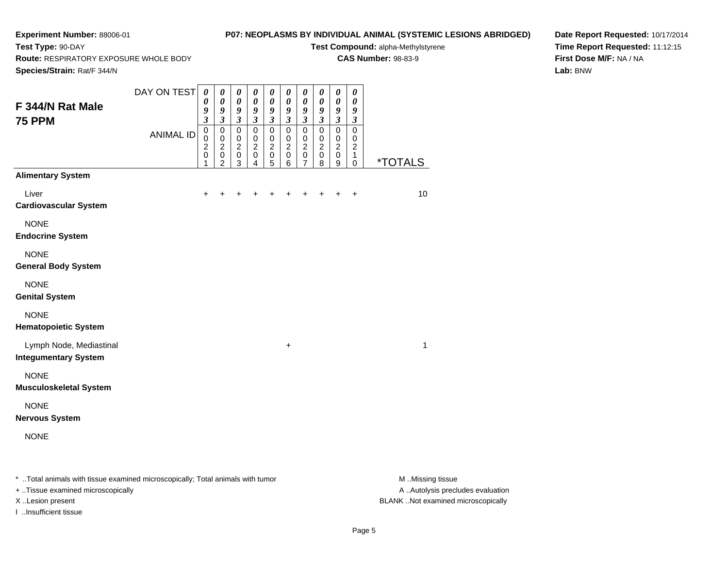# **P07: NEOPLASMS BY INDIVIDUAL ANIMAL (SYSTEMIC LESIONS ABRIDGED)**

**Test Compound:** alpha-Methylstyrene**CAS Number:** 98-83-9

**Route:** RESPIRATORY EXPOSURE WHOLE BODY

**Species/Strain:** Rat/F 344/N

**Test Type:** 90-DAY

**Date Report Requested:** 10/17/2014**Time Report Requested:** 11:12:15**First Dose M/F:** NA / NA**Lab:** BNW

| <b>opecies/otrain.</b> Rauf 344/N                      |                  |                                                                             |                                                                         |                                                                     |                                                                |                                                                       |                                                                |                                                                                |                                                                |                                                                       |                                                         |                |
|--------------------------------------------------------|------------------|-----------------------------------------------------------------------------|-------------------------------------------------------------------------|---------------------------------------------------------------------|----------------------------------------------------------------|-----------------------------------------------------------------------|----------------------------------------------------------------|--------------------------------------------------------------------------------|----------------------------------------------------------------|-----------------------------------------------------------------------|---------------------------------------------------------|----------------|
| F 344/N Rat Male<br><b>75 PPM</b>                      | DAY ON TEST      | $\boldsymbol{\theta}$<br>$\pmb{\theta}$<br>9<br>$\overline{\mathbf{3}}$     | $\boldsymbol{\theta}$<br>$\boldsymbol{\theta}$<br>9<br>$\mathfrak{z}$   | $\pmb{\theta}$<br>$\pmb{\theta}$<br>9<br>$\overline{\mathbf{3}}$    | $\pmb{\theta}$<br>$\pmb{\theta}$<br>9<br>$\mathfrak{z}$        | $\boldsymbol{\theta}$<br>$\boldsymbol{\theta}$<br>9<br>$\mathfrak{z}$ | $\boldsymbol{\theta}$<br>$\pmb{\theta}$<br>9<br>$\mathfrak{z}$ | $\boldsymbol{\theta}$<br>$\boldsymbol{\theta}$<br>9<br>$\overline{\mathbf{3}}$ | $\boldsymbol{\theta}$<br>$\pmb{\theta}$<br>9<br>$\mathfrak{z}$ | $\boldsymbol{\theta}$<br>$\boldsymbol{\theta}$<br>9<br>$\mathfrak{z}$ | 0<br>0<br>9<br>$\boldsymbol{\beta}$                     |                |
|                                                        | <b>ANIMAL ID</b> | $\mathbf 0$<br>$\mathsf 0$<br>$\boldsymbol{2}$<br>$\pmb{0}$<br>$\mathbf{1}$ | $\pmb{0}$<br>$\pmb{0}$<br>$\overline{c}$<br>$\pmb{0}$<br>$\overline{2}$ | $\overline{0}$<br>$\pmb{0}$<br>$\boldsymbol{2}$<br>$\mathbf 0$<br>3 | $\mathbf 0$<br>$\mathbf 0$<br>$\overline{2}$<br>$\pmb{0}$<br>4 | $\overline{0}$<br>$\pmb{0}$<br>$\overline{c}$<br>$\pmb{0}$<br>5       | $\overline{0}$<br>$\pmb{0}$<br>$\sqrt{2}$<br>$\pmb{0}$<br>6    | $\mathsf 0$<br>$\pmb{0}$<br>$\boldsymbol{2}$<br>$\mathsf 0$<br>$\overline{7}$  | $\mathbf 0$<br>$\pmb{0}$<br>$\boldsymbol{2}$<br>$\pmb{0}$<br>8 | $\mathbf 0$<br>$\pmb{0}$<br>$\overline{c}$<br>$\pmb{0}$<br>9          | $\overline{0}$<br>$\pmb{0}$<br>$\overline{c}$<br>1<br>0 | <u>*TOTALS</u> |
| <b>Alimentary System</b>                               |                  |                                                                             |                                                                         |                                                                     |                                                                |                                                                       |                                                                |                                                                                |                                                                |                                                                       |                                                         |                |
| Liver<br><b>Cardiovascular System</b>                  |                  |                                                                             |                                                                         |                                                                     |                                                                |                                                                       |                                                                |                                                                                |                                                                |                                                                       | $\ddot{}$                                               | 10             |
| <b>NONE</b><br><b>Endocrine System</b>                 |                  |                                                                             |                                                                         |                                                                     |                                                                |                                                                       |                                                                |                                                                                |                                                                |                                                                       |                                                         |                |
| <b>NONE</b><br><b>General Body System</b>              |                  |                                                                             |                                                                         |                                                                     |                                                                |                                                                       |                                                                |                                                                                |                                                                |                                                                       |                                                         |                |
| <b>NONE</b><br><b>Genital System</b>                   |                  |                                                                             |                                                                         |                                                                     |                                                                |                                                                       |                                                                |                                                                                |                                                                |                                                                       |                                                         |                |
| <b>NONE</b><br><b>Hematopoietic System</b>             |                  |                                                                             |                                                                         |                                                                     |                                                                |                                                                       |                                                                |                                                                                |                                                                |                                                                       |                                                         |                |
| Lymph Node, Mediastinal<br><b>Integumentary System</b> |                  |                                                                             |                                                                         |                                                                     |                                                                |                                                                       | $\ddot{}$                                                      |                                                                                |                                                                |                                                                       |                                                         | 1              |
| <b>NONE</b><br><b>Musculoskeletal System</b>           |                  |                                                                             |                                                                         |                                                                     |                                                                |                                                                       |                                                                |                                                                                |                                                                |                                                                       |                                                         |                |
| <b>NONE</b><br><b>Nervous System</b>                   |                  |                                                                             |                                                                         |                                                                     |                                                                |                                                                       |                                                                |                                                                                |                                                                |                                                                       |                                                         |                |
| <b>NONE</b>                                            |                  |                                                                             |                                                                         |                                                                     |                                                                |                                                                       |                                                                |                                                                                |                                                                |                                                                       |                                                         |                |
|                                                        |                  |                                                                             |                                                                         |                                                                     |                                                                |                                                                       |                                                                |                                                                                |                                                                |                                                                       |                                                         |                |

\* ..Total animals with tissue examined microscopically; Total animals with tumor **M** . Missing tissue M ..Missing tissue

+ ..Tissue examined microscopically

I ..Insufficient tissue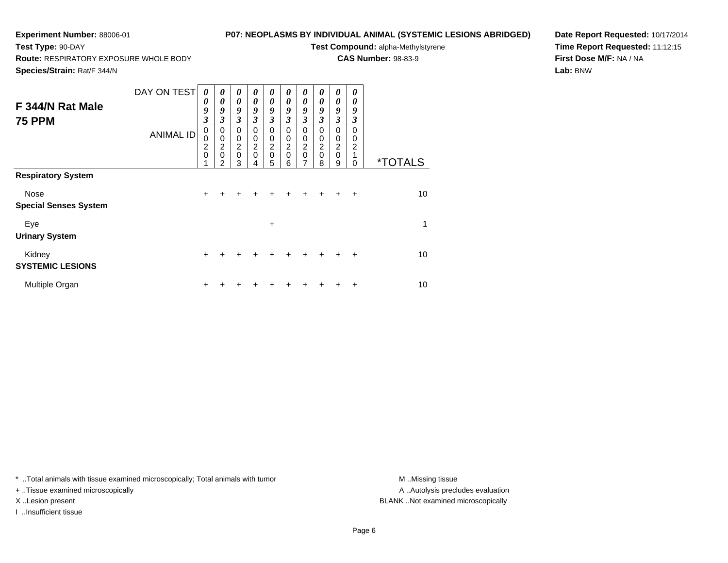## **P07: NEOPLASMS BY INDIVIDUAL ANIMAL (SYSTEMIC LESIONS ABRIDGED)**

**Test Compound:** alpha-Methylstyrene**CAS Number:** 98-83-9

**Route:** RESPIRATORY EXPOSURE WHOLE BODY

**Species/Strain:** Rat/F 344/N

**Test Type:** 90-DAY

**Date Report Requested:** 10/17/2014**Time Report Requested:** 11:12:15**First Dose M/F:** NA / NA**Lab:** BNW

| F 344/N Rat Male<br><b>75 PPM</b>    | DAY ON TEST<br><b>ANIMAL ID</b> | 0<br>0<br>9<br>3<br>$\mathbf 0$<br>$\mathbf 0$<br>$\overline{2}$<br>$\mathbf 0$<br>1 | 0<br>$\boldsymbol{\theta}$<br>9<br>3<br>0<br>$\mathbf 0$<br>$\overline{2}$<br>$\mathbf 0$<br>$\mathfrak{p}$ | 0<br>$\boldsymbol{\theta}$<br>9<br>3<br>0<br>$\pmb{0}$<br>$\boldsymbol{2}$<br>$\mathbf 0$<br>3 | 0<br>$\boldsymbol{\theta}$<br>9<br>3<br>0<br>0<br>$\overline{c}$<br>0<br>4 | 0<br>0<br>9<br>3<br>0<br>0<br>$\frac{2}{0}$<br>5 | 0<br>0<br>9<br>3<br>0<br>0<br>$\overline{\mathbf{c}}$<br>$\mathbf 0$<br>6 | 0<br>$\boldsymbol{\theta}$<br>9<br>3<br>0<br>0<br>$\overline{c}$<br>$\mathbf 0$<br>7 | 0<br>$\boldsymbol{\theta}$<br>9<br>$\boldsymbol{\beta}$<br>$\Omega$<br>0<br>$\overline{2}$<br>$\mathbf 0$<br>8 | 0<br>0<br>9<br>$\mathfrak{z}$<br>0<br>0<br>$\overline{2}$<br>$\mathbf 0$<br>9 | 0<br>0<br>9<br>3<br>0<br>0<br>$\overline{2}$<br>1<br>0 | <i><b>*TOTALS</b></i> |
|--------------------------------------|---------------------------------|--------------------------------------------------------------------------------------|-------------------------------------------------------------------------------------------------------------|------------------------------------------------------------------------------------------------|----------------------------------------------------------------------------|--------------------------------------------------|---------------------------------------------------------------------------|--------------------------------------------------------------------------------------|----------------------------------------------------------------------------------------------------------------|-------------------------------------------------------------------------------|--------------------------------------------------------|-----------------------|
| <b>Respiratory System</b>            |                                 |                                                                                      |                                                                                                             |                                                                                                |                                                                            |                                                  |                                                                           |                                                                                      |                                                                                                                |                                                                               |                                                        |                       |
| Nose<br><b>Special Senses System</b> |                                 | $+$                                                                                  | +                                                                                                           | +                                                                                              |                                                                            |                                                  |                                                                           |                                                                                      | $\div$                                                                                                         | $\div$                                                                        | $\ddot{}$                                              | 10                    |
| Eye<br><b>Urinary System</b>         |                                 |                                                                                      |                                                                                                             |                                                                                                |                                                                            | ÷                                                |                                                                           |                                                                                      |                                                                                                                |                                                                               |                                                        | 1                     |
| Kidney<br><b>SYSTEMIC LESIONS</b>    |                                 | $\pm$                                                                                |                                                                                                             |                                                                                                |                                                                            |                                                  |                                                                           | ÷                                                                                    | $+$                                                                                                            | $\div$                                                                        | $\ddot{}$                                              | 10                    |
| Multiple Organ                       |                                 | ٠                                                                                    |                                                                                                             |                                                                                                |                                                                            |                                                  |                                                                           |                                                                                      |                                                                                                                |                                                                               | ٠                                                      | 10                    |

\* ..Total animals with tissue examined microscopically; Total animals with tumor **M** . Missing tissue M ..Missing tissue

+ ..Tissue examined microscopically

I ..Insufficient tissue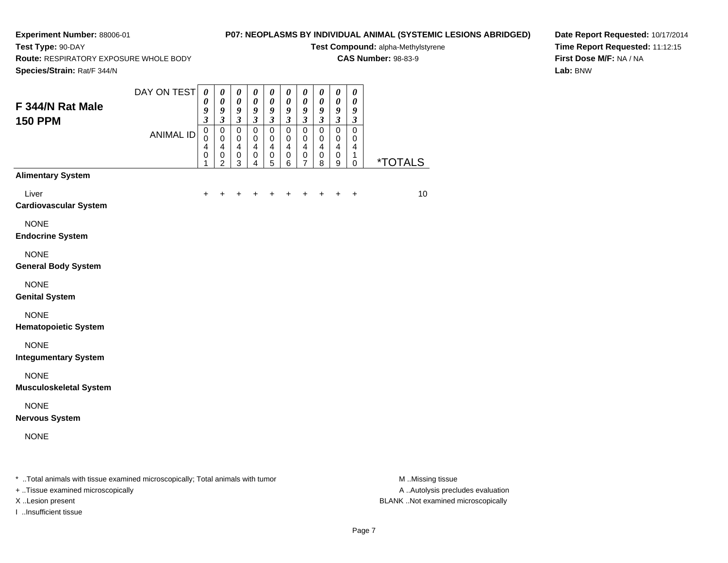# **P07: NEOPLASMS BY INDIVIDUAL ANIMAL (SYSTEMIC LESIONS ABRIDGED)**

**Test Compound:** alpha-Methylstyrene**CAS Number:** 98-83-9

**Route:** RESPIRATORY EXPOSURE WHOLE BODY

**Species/Strain:** Rat/F 344/N

**Test Type:** 90-DAY

**Date Report Requested:** 10/17/2014**Time Report Requested:** 11:12:15**First Dose M/F:** NA / NA**Lab:** BNW

| Species/Strain: Rat/F 344/N                                                    |                  |                                                                          |                                                                                             |                                                                                |                                                                                  |                                                                                         |                                                                                  |                                                                      |                                                                                |                                                                                  |                                                              |                       |
|--------------------------------------------------------------------------------|------------------|--------------------------------------------------------------------------|---------------------------------------------------------------------------------------------|--------------------------------------------------------------------------------|----------------------------------------------------------------------------------|-----------------------------------------------------------------------------------------|----------------------------------------------------------------------------------|----------------------------------------------------------------------|--------------------------------------------------------------------------------|----------------------------------------------------------------------------------|--------------------------------------------------------------|-----------------------|
| F 344/N Rat Male                                                               | DAY ON TEST      | $\boldsymbol{\theta}$<br>$\boldsymbol{\theta}$<br>9                      | $\boldsymbol{\theta}$<br>$\pmb{\theta}$<br>9                                                | $\pmb{\theta}$<br>$\pmb{\theta}$<br>9                                          | $\boldsymbol{\theta}$<br>$\pmb{\theta}$<br>9                                     | $\boldsymbol{\theta}$<br>$\pmb{\theta}$<br>9                                            | $\pmb{\theta}$<br>$\pmb{\theta}$<br>9                                            | $\pmb{\theta}$<br>$\boldsymbol{\theta}$<br>$\boldsymbol{g}$          | 0<br>$\pmb{\theta}$<br>9                                                       | 0<br>$\pmb{\theta}$<br>$\boldsymbol{9}$                                          | $\pmb{\theta}$<br>$\pmb{\theta}$<br>9                        |                       |
| <b>150 PPM</b>                                                                 | <b>ANIMAL ID</b> | $\mathfrak{z}$<br>$\mathbf 0$<br>0<br>$\overline{4}$<br>$\mathbf 0$<br>1 | $\mathfrak{z}$<br>$\pmb{0}$<br>$\mathbf 0$<br>$\overline{4}$<br>$\pmb{0}$<br>$\overline{2}$ | $\mathfrak{z}$<br>$\pmb{0}$<br>$\mathbf 0$<br>$\overline{4}$<br>$\pmb{0}$<br>3 | $\mathfrak{z}$<br>$\mathbf 0$<br>$\mathbf 0$<br>$\overline{4}$<br>$\pmb{0}$<br>4 | $\overline{\mathbf{3}}$<br>$\pmb{0}$<br>$\mathbf 0$<br>$\overline{4}$<br>$\pmb{0}$<br>5 | $\mathfrak{z}$<br>$\pmb{0}$<br>$\mathbf 0$<br>$\overline{4}$<br>$\mathbf 0$<br>6 | $\mathfrak{z}$<br>$\pmb{0}$<br>0<br>$\overline{4}$<br>$\pmb{0}$<br>7 | $\boldsymbol{\mathfrak{z}}$<br>$\pmb{0}$<br>$\pmb{0}$<br>4<br>$\mathbf 0$<br>8 | $\mathfrak{z}$<br>$\pmb{0}$<br>$\mathbf 0$<br>$\overline{4}$<br>$\mathbf 0$<br>9 | $\boldsymbol{\mathfrak{z}}$<br>$\pmb{0}$<br>0<br>4<br>1<br>0 | <i><b>*TOTALS</b></i> |
| <b>Alimentary System</b>                                                       |                  |                                                                          |                                                                                             |                                                                                |                                                                                  |                                                                                         |                                                                                  |                                                                      |                                                                                |                                                                                  |                                                              |                       |
| Liver<br><b>Cardiovascular System</b>                                          |                  | $\ddot{}$                                                                | +                                                                                           |                                                                                | +                                                                                |                                                                                         | +                                                                                | ٠                                                                    | $\ddot{}$                                                                      | +                                                                                | $\ddot{}$                                                    | 10                    |
| <b>NONE</b><br><b>Endocrine System</b>                                         |                  |                                                                          |                                                                                             |                                                                                |                                                                                  |                                                                                         |                                                                                  |                                                                      |                                                                                |                                                                                  |                                                              |                       |
| <b>NONE</b><br><b>General Body System</b>                                      |                  |                                                                          |                                                                                             |                                                                                |                                                                                  |                                                                                         |                                                                                  |                                                                      |                                                                                |                                                                                  |                                                              |                       |
| <b>NONE</b><br><b>Genital System</b>                                           |                  |                                                                          |                                                                                             |                                                                                |                                                                                  |                                                                                         |                                                                                  |                                                                      |                                                                                |                                                                                  |                                                              |                       |
| <b>NONE</b><br><b>Hematopoietic System</b>                                     |                  |                                                                          |                                                                                             |                                                                                |                                                                                  |                                                                                         |                                                                                  |                                                                      |                                                                                |                                                                                  |                                                              |                       |
| <b>NONE</b><br><b>Integumentary System</b>                                     |                  |                                                                          |                                                                                             |                                                                                |                                                                                  |                                                                                         |                                                                                  |                                                                      |                                                                                |                                                                                  |                                                              |                       |
| <b>NONE</b><br><b>Musculoskeletal System</b>                                   |                  |                                                                          |                                                                                             |                                                                                |                                                                                  |                                                                                         |                                                                                  |                                                                      |                                                                                |                                                                                  |                                                              |                       |
| <b>NONE</b><br><b>Nervous System</b>                                           |                  |                                                                          |                                                                                             |                                                                                |                                                                                  |                                                                                         |                                                                                  |                                                                      |                                                                                |                                                                                  |                                                              |                       |
| <b>NONE</b>                                                                    |                  |                                                                          |                                                                                             |                                                                                |                                                                                  |                                                                                         |                                                                                  |                                                                      |                                                                                |                                                                                  |                                                              |                       |
| * Total animals with tissue examined microscopically; Total animals with tumor |                  |                                                                          |                                                                                             |                                                                                |                                                                                  |                                                                                         |                                                                                  |                                                                      |                                                                                |                                                                                  |                                                              | M.Missing tissue      |

+ ..Tissue examined microscopically

I ..Insufficient tissue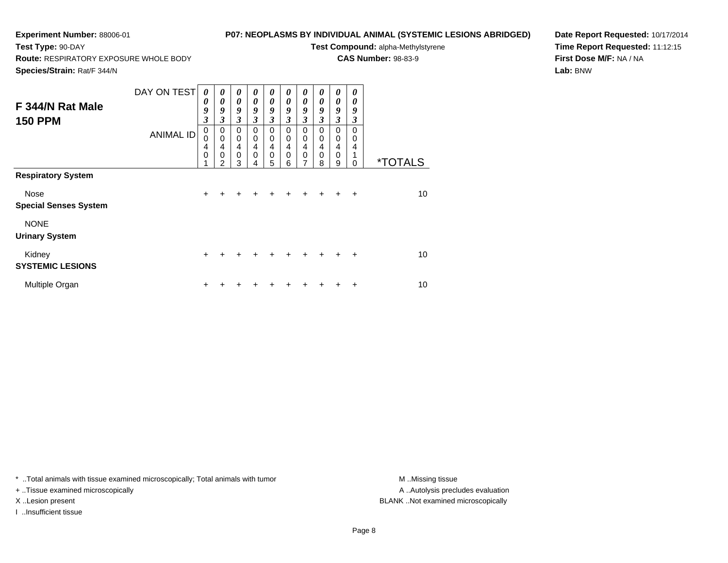## **P07: NEOPLASMS BY INDIVIDUAL ANIMAL (SYSTEMIC LESIONS ABRIDGED)**

**Test Compound:** alpha-Methylstyrene**CAS Number:** 98-83-9

**Route:** RESPIRATORY EXPOSURE WHOLE BODY

**Species/Strain:** Rat/F 344/N

**Test Type:** 90-DAY

**Date Report Requested:** 10/17/2014**Time Report Requested:** 11:12:15**First Dose M/F:** NA / NA**Lab:** BNW

| F 344/N Rat Male<br><b>150 PPM</b>                                   | DAY ON TEST<br><b>ANIMAL ID</b> | 0<br>0<br>9<br>$\mathfrak{z}$<br>$\mathbf 0$<br>0<br>4<br>$\mathbf 0$<br>1 | 0<br>0<br>9<br>$\mathfrak{z}$<br>0<br>$\mathbf 0$<br>4<br>$\mathbf 0$<br>$\mathfrak{p}$ | 0<br>$\boldsymbol{\theta}$<br>9<br>$\boldsymbol{\beta}$<br>0<br>$\pmb{0}$<br>$\overline{\mathbf{4}}$<br>$\pmb{0}$<br>3 | 0<br>$\boldsymbol{\theta}$<br>9<br>3<br>0<br>$\mathbf 0$<br>$\overline{4}$<br>0<br>4 | 0<br>$\pmb{\theta}$<br>9<br>3<br>0<br>0<br>$\overline{\mathbf{4}}$<br>0<br>5 | 0<br>0<br>9<br>3<br>0<br>0<br>4<br>$\mathbf 0$<br>6 | 0<br>$\boldsymbol{\theta}$<br>9<br>3<br>0<br>0<br>4<br>$\mathbf 0$<br>7 | 0<br>0<br>9<br>$\mathfrak{z}$<br>$\Omega$<br>$\mathbf 0$<br>$\overline{4}$<br>$\mathbf 0$<br>8 | 0<br>0<br>9<br>$\mathfrak{z}$<br>0<br>0<br>$\overline{4}$<br>$\mathbf 0$<br>9 | 0<br>0<br>9<br>3<br>$\Omega$<br>$\Omega$<br>4<br>$\Omega$ | <i><b>*TOTALS</b></i> |
|----------------------------------------------------------------------|---------------------------------|----------------------------------------------------------------------------|-----------------------------------------------------------------------------------------|------------------------------------------------------------------------------------------------------------------------|--------------------------------------------------------------------------------------|------------------------------------------------------------------------------|-----------------------------------------------------|-------------------------------------------------------------------------|------------------------------------------------------------------------------------------------|-------------------------------------------------------------------------------|-----------------------------------------------------------|-----------------------|
| <b>Respiratory System</b><br>Nose                                    |                                 | $+$                                                                        | +                                                                                       | +                                                                                                                      |                                                                                      |                                                                              | ÷                                                   |                                                                         | $+$                                                                                            | $+$                                                                           | $\ddot{}$                                                 | 10                    |
| <b>Special Senses System</b><br><b>NONE</b><br><b>Urinary System</b> |                                 |                                                                            |                                                                                         |                                                                                                                        |                                                                                      |                                                                              |                                                     |                                                                         |                                                                                                |                                                                               |                                                           |                       |
| Kidney<br><b>SYSTEMIC LESIONS</b>                                    |                                 | $\pm$                                                                      |                                                                                         |                                                                                                                        |                                                                                      |                                                                              |                                                     |                                                                         |                                                                                                |                                                                               | $\ddot{}$                                                 | 10                    |
| Multiple Organ                                                       |                                 | ٠                                                                          |                                                                                         |                                                                                                                        |                                                                                      |                                                                              |                                                     |                                                                         |                                                                                                |                                                                               | ÷                                                         | 10                    |

\* ..Total animals with tissue examined microscopically; Total animals with tumor **M** . Missing tissue M ..Missing tissue

+ ..Tissue examined microscopically

I ..Insufficient tissue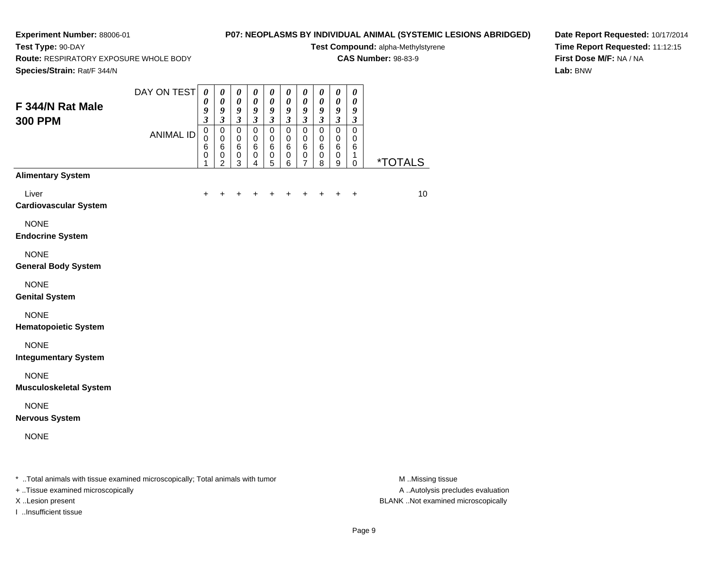**Test Type:** 90-DAY

# **P07: NEOPLASMS BY INDIVIDUAL ANIMAL (SYSTEMIC LESIONS ABRIDGED)**

**Test Compound:** alpha-Methylstyrene**CAS Number:** 98-83-9

**Route:** RESPIRATORY EXPOSURE WHOLE BODY

**Date Report Requested:** 10/17/2014**Time Report Requested:** 11:12:15**First Dose M/F:** NA / NA**Lab:** BNW

| Species/Strain: Rat/F 344/N                                                    |                  |                                                                       |                                                                               |                                                         |                                                                        |                                                                             |                                                                                     |                                                                               |                                                         |                                                         |                                                                |                       |
|--------------------------------------------------------------------------------|------------------|-----------------------------------------------------------------------|-------------------------------------------------------------------------------|---------------------------------------------------------|------------------------------------------------------------------------|-----------------------------------------------------------------------------|-------------------------------------------------------------------------------------|-------------------------------------------------------------------------------|---------------------------------------------------------|---------------------------------------------------------|----------------------------------------------------------------|-----------------------|
| F 344/N Rat Male<br><b>300 PPM</b>                                             | DAY ON TEST      | $\boldsymbol{\theta}$<br>$\boldsymbol{\theta}$<br>9<br>$\mathfrak{z}$ | $\pmb{\theta}$<br>$\boldsymbol{\theta}$<br>$\boldsymbol{g}$<br>$\mathfrak{z}$ | $\pmb{\theta}$<br>$\pmb{\theta}$<br>9<br>$\mathfrak{z}$ | $\pmb{\theta}$<br>$\pmb{\theta}$<br>$\boldsymbol{g}$<br>$\mathfrak{z}$ | $\pmb{\theta}$<br>$\boldsymbol{\theta}$<br>9<br>$\boldsymbol{\mathfrak{z}}$ | $\pmb{\theta}$<br>$\pmb{\theta}$<br>$\boldsymbol{g}$<br>$\boldsymbol{\mathfrak{z}}$ | $\pmb{\theta}$<br>$\boldsymbol{\theta}$<br>$\boldsymbol{g}$<br>$\mathfrak{z}$ | $\pmb{\theta}$<br>0<br>9<br>$\boldsymbol{\mathfrak{z}}$ | $\pmb{\theta}$<br>$\pmb{\theta}$<br>9<br>$\mathfrak{z}$ | $\pmb{\theta}$<br>$\boldsymbol{\theta}$<br>9<br>$\mathfrak{z}$ |                       |
|                                                                                | <b>ANIMAL ID</b> | $\mathbf 0$<br>$\mathbf 0$<br>6<br>$\,0\,$<br>1                       | $\mathbf 0$<br>$\mathbf 0$<br>$\,6$<br>$\pmb{0}$<br>$\overline{2}$            | $\pmb{0}$<br>$\mathbf 0$<br>$\,6$<br>0<br>3             | $\mathsf 0$<br>$\mathbf 0$<br>$\,6$<br>0<br>4                          | $\mathbf 0$<br>$\mathbf 0$<br>$\,6$<br>$\,0\,$<br>5                         | $\pmb{0}$<br>$\mathbf 0$<br>6<br>0<br>6                                             | $\pmb{0}$<br>$\mathbf 0$<br>6<br>0<br>7                                       | $\mathsf 0$<br>0<br>6<br>0<br>8                         | $\pmb{0}$<br>0<br>$\,6$<br>$\pmb{0}$<br>9               | $\mathbf 0$<br>0<br>6<br>1<br>0                                | <i><b>*TOTALS</b></i> |
| <b>Alimentary System</b>                                                       |                  |                                                                       |                                                                               |                                                         |                                                                        |                                                                             |                                                                                     |                                                                               |                                                         |                                                         |                                                                |                       |
| Liver<br><b>Cardiovascular System</b>                                          |                  |                                                                       |                                                                               |                                                         |                                                                        |                                                                             |                                                                                     |                                                                               |                                                         |                                                         | $\ddot{}$                                                      | 10                    |
| <b>NONE</b><br><b>Endocrine System</b>                                         |                  |                                                                       |                                                                               |                                                         |                                                                        |                                                                             |                                                                                     |                                                                               |                                                         |                                                         |                                                                |                       |
| <b>NONE</b><br><b>General Body System</b>                                      |                  |                                                                       |                                                                               |                                                         |                                                                        |                                                                             |                                                                                     |                                                                               |                                                         |                                                         |                                                                |                       |
| <b>NONE</b><br><b>Genital System</b>                                           |                  |                                                                       |                                                                               |                                                         |                                                                        |                                                                             |                                                                                     |                                                                               |                                                         |                                                         |                                                                |                       |
| <b>NONE</b><br><b>Hematopoietic System</b>                                     |                  |                                                                       |                                                                               |                                                         |                                                                        |                                                                             |                                                                                     |                                                                               |                                                         |                                                         |                                                                |                       |
| <b>NONE</b><br><b>Integumentary System</b>                                     |                  |                                                                       |                                                                               |                                                         |                                                                        |                                                                             |                                                                                     |                                                                               |                                                         |                                                         |                                                                |                       |
| <b>NONE</b><br><b>Musculoskeletal System</b>                                   |                  |                                                                       |                                                                               |                                                         |                                                                        |                                                                             |                                                                                     |                                                                               |                                                         |                                                         |                                                                |                       |
| <b>NONE</b><br><b>Nervous System</b>                                           |                  |                                                                       |                                                                               |                                                         |                                                                        |                                                                             |                                                                                     |                                                                               |                                                         |                                                         |                                                                |                       |
| <b>NONE</b>                                                                    |                  |                                                                       |                                                                               |                                                         |                                                                        |                                                                             |                                                                                     |                                                                               |                                                         |                                                         |                                                                |                       |
| * Total animals with tissue examined microscopically; Total animals with tumor |                  |                                                                       |                                                                               |                                                         |                                                                        |                                                                             |                                                                                     |                                                                               |                                                         |                                                         |                                                                | M.Missing tissue      |

+ ..Tissue examined microscopically

I ..Insufficient tissue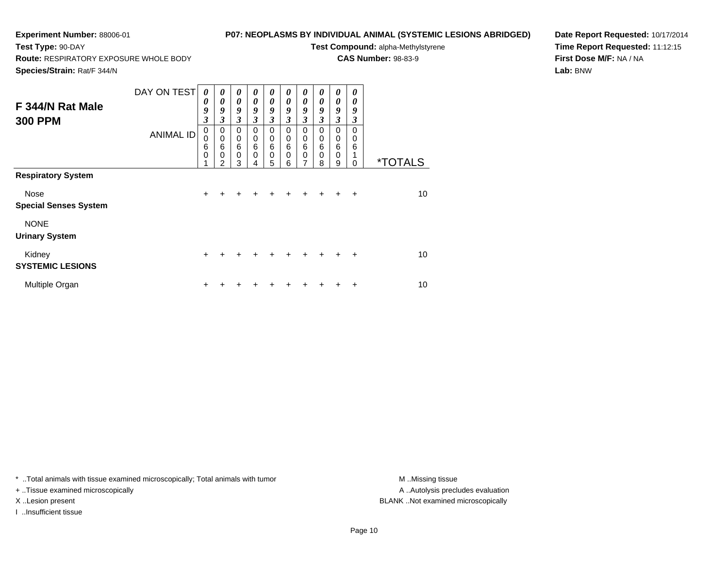## **P07: NEOPLASMS BY INDIVIDUAL ANIMAL (SYSTEMIC LESIONS ABRIDGED)**

**Test Compound:** alpha-Methylstyrene**CAS Number:** 98-83-9

**Route:** RESPIRATORY EXPOSURE WHOLE BODY

**Species/Strain:** Rat/F 344/N

**Test Type:** 90-DAY

**Date Report Requested:** 10/17/2014**Time Report Requested:** 11:12:15**First Dose M/F:** NA / NA**Lab:** BNW

| F 344/N Rat Male<br><b>300 PPM</b>                                       | DAY ON TEST<br><b>ANIMAL ID</b> | 0<br>0<br>9<br>$\boldsymbol{\beta}$<br>$\pmb{0}$<br>0<br>6<br>$\mathbf 0$<br>1 | $\boldsymbol{\theta}$<br>0<br>9<br>3<br>$\mathbf 0$<br>$\mathbf 0$<br>6<br>$\mathbf 0$<br>$\mathfrak{p}$ | $\boldsymbol{\theta}$<br>$\boldsymbol{\theta}$<br>9<br>3<br>0<br>$\mathbf 0$<br>$\,6$<br>$\mathbf 0$<br>3 | 0<br>0<br>9<br>$\mathfrak{z}$<br>0<br>0<br>6<br>0<br>4 | 0<br>0<br>9<br>3<br>0<br>0<br>6<br>0<br>5 | 0<br>0<br>9<br>3<br>0<br>$\mathbf 0$<br>6<br>$\Omega$<br>6 | 0<br>$\boldsymbol{\theta}$<br>9<br>3<br>0<br>$\mathbf 0$<br>$6\phantom{1}6$<br>$\mathbf 0$<br>7 | 0<br>0<br>9<br>3<br>$\Omega$<br>$\mathbf 0$<br>6<br>$\Omega$<br>8 | 0<br>$\boldsymbol{\theta}$<br>9<br>3<br>0<br>0<br>$6\phantom{1}6$<br>$\mathbf 0$<br>9 | 0<br>0<br>9<br>3<br>$\Omega$<br>$\Omega$<br>6<br>1<br>0 | <i><b>*TOTALS</b></i> |
|--------------------------------------------------------------------------|---------------------------------|--------------------------------------------------------------------------------|----------------------------------------------------------------------------------------------------------|-----------------------------------------------------------------------------------------------------------|--------------------------------------------------------|-------------------------------------------|------------------------------------------------------------|-------------------------------------------------------------------------------------------------|-------------------------------------------------------------------|---------------------------------------------------------------------------------------|---------------------------------------------------------|-----------------------|
| <b>Respiratory System</b><br><b>Nose</b><br><b>Special Senses System</b> |                                 | $+$                                                                            | $\div$                                                                                                   | +                                                                                                         |                                                        |                                           | $\div$                                                     | $\ddot{}$                                                                                       | $+$                                                               | $+$                                                                                   | $\ddot{}$                                               | 10                    |
| <b>NONE</b><br><b>Urinary System</b>                                     |                                 |                                                                                |                                                                                                          |                                                                                                           |                                                        |                                           |                                                            |                                                                                                 |                                                                   |                                                                                       |                                                         |                       |
| Kidney<br><b>SYSTEMIC LESIONS</b>                                        |                                 | $+$                                                                            |                                                                                                          |                                                                                                           |                                                        |                                           |                                                            |                                                                                                 |                                                                   |                                                                                       | $\ddot{}$                                               | 10                    |
| Multiple Organ                                                           |                                 | ٠                                                                              |                                                                                                          |                                                                                                           |                                                        |                                           |                                                            |                                                                                                 |                                                                   |                                                                                       | ÷                                                       | 10                    |

\* ..Total animals with tissue examined microscopically; Total animals with tumor **M** . Missing tissue M ..Missing tissue

+ ..Tissue examined microscopically

I ..Insufficient tissue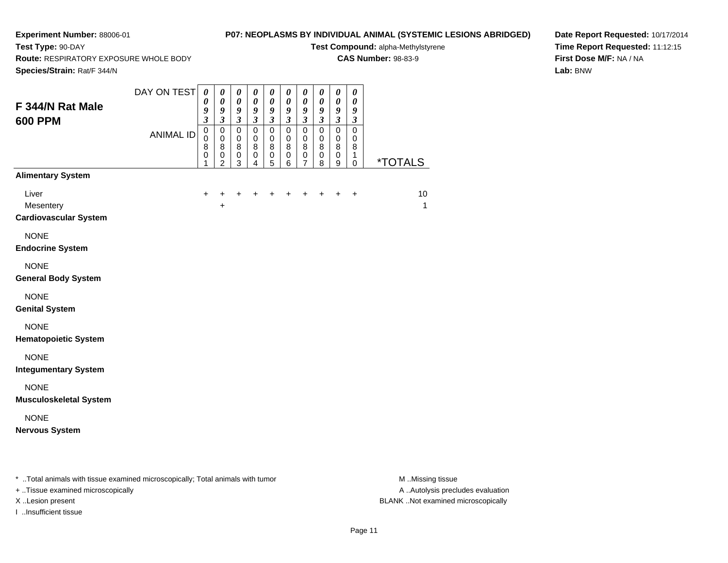## **P07: NEOPLASMS BY INDIVIDUAL ANIMAL (SYSTEMIC LESIONS ABRIDGED)**

**Test Compound:** alpha-Methylstyrene**CAS Number:** 98-83-9

**Route:** RESPIRATORY EXPOSURE WHOLE BODY

**Species/Strain:** Rat/F 344/N

**Test Type:** 90-DAY

**Date Report Requested:** 10/17/2014**Time Report Requested:** 11:12:15**First Dose M/F:** NA / NA**Lab:** BNW

| F 344/N Rat Male<br><b>600 PPM</b>                 | DAY ON TEST<br><b>ANIMAL ID</b> | $\boldsymbol{\theta}$<br>0<br>9<br>$\mathfrak{z}$<br>$\pmb{0}$<br>$\pmb{0}$<br>$\bf 8$<br>$\pmb{0}$ | $\boldsymbol{\theta}$<br>$\boldsymbol{\theta}$<br>9<br>$\mathfrak{Z}$<br>$\pmb{0}$<br>$\pmb{0}$<br>8<br>$\pmb{0}$ | $\pmb{\theta}$<br>$\pmb{\theta}$<br>$\boldsymbol{g}$<br>$\mathfrak{z}$<br>$\mathsf 0$<br>$\pmb{0}$<br>$\,8\,$<br>$\pmb{0}$ | $\pmb{\theta}$<br>$\boldsymbol{\theta}$<br>$\boldsymbol{g}$<br>$\mathfrak{z}$<br>$\pmb{0}$<br>$\mathbf 0$<br>$\bf 8$<br>$\pmb{0}$ | $\boldsymbol{\theta}$<br>$\pmb{\theta}$<br>$\boldsymbol{g}$<br>$\mathfrak{z}$<br>$\pmb{0}$<br>$\pmb{0}$<br>$\bf 8$<br>$\pmb{0}$ | $\pmb{\theta}$<br>$\boldsymbol{\theta}$<br>$\boldsymbol{9}$<br>$\mathfrak{z}$<br>$\pmb{0}$<br>$\mathbf 0$<br>8<br>$\mathbf 0$ | $\pmb{\theta}$<br>$\pmb{\theta}$<br>9<br>$\mathfrak{z}$<br>$\mathsf 0$<br>$\pmb{0}$<br>$\bf 8$<br>$\frac{0}{7}$ | $\pmb{\theta}$<br>$\boldsymbol{\theta}$<br>$\boldsymbol{g}$<br>$\mathfrak{z}$<br>$\mathsf 0$<br>$\mathbf 0$<br>$\,8\,$<br>$\mathbf 0$ | $\boldsymbol{\theta}$<br>$\boldsymbol{\theta}$<br>$\boldsymbol{g}$<br>$\mathfrak{z}$<br>$\overline{0}$<br>$\pmb{0}$<br>$\, 8$<br>$\,0\,$ | $\boldsymbol{\theta}$<br>$\boldsymbol{\theta}$<br>$\boldsymbol{g}$<br>$\boldsymbol{\beta}$<br>$\mathsf 0$<br>$\mathbf 0$<br>8<br>$\mathbf{1}$ |                    |
|----------------------------------------------------|---------------------------------|-----------------------------------------------------------------------------------------------------|-------------------------------------------------------------------------------------------------------------------|----------------------------------------------------------------------------------------------------------------------------|-----------------------------------------------------------------------------------------------------------------------------------|---------------------------------------------------------------------------------------------------------------------------------|-------------------------------------------------------------------------------------------------------------------------------|-----------------------------------------------------------------------------------------------------------------|---------------------------------------------------------------------------------------------------------------------------------------|------------------------------------------------------------------------------------------------------------------------------------------|-----------------------------------------------------------------------------------------------------------------------------------------------|--------------------|
| <b>Alimentary System</b>                           |                                 | 1                                                                                                   | $\overline{2}$                                                                                                    | 3                                                                                                                          | 4                                                                                                                                 | 5                                                                                                                               | 6                                                                                                                             |                                                                                                                 | 8                                                                                                                                     | 9                                                                                                                                        | $\mathbf 0$                                                                                                                                   | <u>*TOTALS</u>     |
| Liver<br>Mesentery<br><b>Cardiovascular System</b> |                                 | $\ddot{}$                                                                                           | +<br>+                                                                                                            |                                                                                                                            |                                                                                                                                   |                                                                                                                                 |                                                                                                                               |                                                                                                                 |                                                                                                                                       |                                                                                                                                          | $\ddot{}$                                                                                                                                     | 10<br>$\mathbf{1}$ |
| <b>NONE</b><br><b>Endocrine System</b>             |                                 |                                                                                                     |                                                                                                                   |                                                                                                                            |                                                                                                                                   |                                                                                                                                 |                                                                                                                               |                                                                                                                 |                                                                                                                                       |                                                                                                                                          |                                                                                                                                               |                    |
| <b>NONE</b><br><b>General Body System</b>          |                                 |                                                                                                     |                                                                                                                   |                                                                                                                            |                                                                                                                                   |                                                                                                                                 |                                                                                                                               |                                                                                                                 |                                                                                                                                       |                                                                                                                                          |                                                                                                                                               |                    |
| <b>NONE</b><br><b>Genital System</b>               |                                 |                                                                                                     |                                                                                                                   |                                                                                                                            |                                                                                                                                   |                                                                                                                                 |                                                                                                                               |                                                                                                                 |                                                                                                                                       |                                                                                                                                          |                                                                                                                                               |                    |
| <b>NONE</b><br><b>Hematopoietic System</b>         |                                 |                                                                                                     |                                                                                                                   |                                                                                                                            |                                                                                                                                   |                                                                                                                                 |                                                                                                                               |                                                                                                                 |                                                                                                                                       |                                                                                                                                          |                                                                                                                                               |                    |
| <b>NONE</b><br><b>Integumentary System</b>         |                                 |                                                                                                     |                                                                                                                   |                                                                                                                            |                                                                                                                                   |                                                                                                                                 |                                                                                                                               |                                                                                                                 |                                                                                                                                       |                                                                                                                                          |                                                                                                                                               |                    |
| <b>NONE</b><br><b>Musculoskeletal System</b>       |                                 |                                                                                                     |                                                                                                                   |                                                                                                                            |                                                                                                                                   |                                                                                                                                 |                                                                                                                               |                                                                                                                 |                                                                                                                                       |                                                                                                                                          |                                                                                                                                               |                    |
| <b>NONE</b><br><b>Nervous System</b>               |                                 |                                                                                                     |                                                                                                                   |                                                                                                                            |                                                                                                                                   |                                                                                                                                 |                                                                                                                               |                                                                                                                 |                                                                                                                                       |                                                                                                                                          |                                                                                                                                               |                    |

\* ..Total animals with tissue examined microscopically; Total animals with tumor **M** . Missing tissue M ..Missing tissue

+ ..Tissue examined microscopically

I ..Insufficient tissue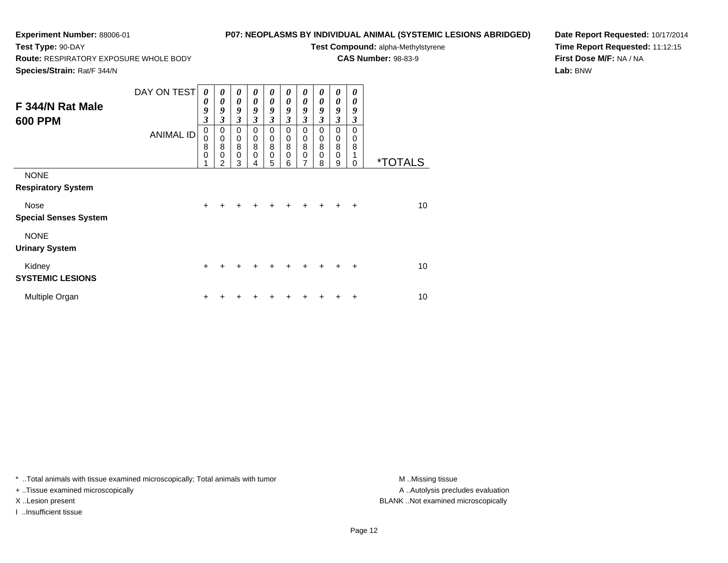**Route:** RESPIRATORY EXPOSURE WHOLE BODY

## **P07: NEOPLASMS BY INDIVIDUAL ANIMAL (SYSTEMIC LESIONS ABRIDGED)**

**Test Compound:** alpha-Methylstyrene

**CAS Number:** 98-83-9

**Species/Strain:** Rat/F 344/N

**Test Type:** 90-DAY

**Date Report Requested:** 10/17/2014**Time Report Requested:** 11:12:15**First Dose M/F:** NA / NA**Lab:** BNW

|                              | DAY ON TEST      | 0           | 0              | 0                     | 0                     | 0                     | 0           | 0                     | 0         | 0                       | 0         |                       |
|------------------------------|------------------|-------------|----------------|-----------------------|-----------------------|-----------------------|-------------|-----------------------|-----------|-------------------------|-----------|-----------------------|
| F 344/N Rat Male             |                  | 0           | 0              | $\boldsymbol{\theta}$ | $\boldsymbol{\theta}$ | 0                     | 0           | $\boldsymbol{\theta}$ | 0         | 0                       | 0         |                       |
|                              |                  | 9           | 9              | 9                     | 9                     | 9                     | 9           | 9                     | 9         | 9                       | 9         |                       |
| <b>600 PPM</b>               |                  | 3           | $\mathfrak{z}$ | $\mathfrak{z}$        | $\mathfrak{z}$        | $\mathfrak{z}$        | 3           | $\mathfrak{z}$        | 3         | $\overline{\mathbf{3}}$ | 3         |                       |
|                              | <b>ANIMAL ID</b> | 0           | $\pmb{0}$      | $\mathbf 0$           | $\mathbf 0$           | $\mathbf 0$           | $\mathbf 0$ | $\mathbf 0$           | $\Omega$  | 0                       | 0         |                       |
|                              |                  | 0<br>8      | $\pmb{0}$<br>8 | $\pmb{0}$<br>$\, 8$   | $\pmb{0}$<br>$\, 8$   | $\mathbf 0$<br>$\bf8$ | 0<br>8      | 0<br>8                | 0<br>8    | $_{\rm 0}^{\rm 0}$      | 0<br>8    |                       |
|                              |                  | $\mathbf 0$ | $\mathbf 0$    | $\mathbf 0$           | $\mathbf 0$           | $\pmb{0}$             | $\mathbf 0$ | $\mathbf 0$           | 0         | $\mathbf 0$             |           |                       |
|                              |                  |             | $\mathfrak{p}$ | 3                     | 4                     | 5                     | 6           | $\overline{7}$        | 8         | 9                       | 0         | <i><b>*TOTALS</b></i> |
| <b>NONE</b>                  |                  |             |                |                       |                       |                       |             |                       |           |                         |           |                       |
| <b>Respiratory System</b>    |                  |             |                |                       |                       |                       |             |                       |           |                         |           |                       |
| Nose                         |                  | $\ddot{}$   | +              | $\ddot{}$             | $\ddot{}$             | $+$                   | $+$         | $\ddot{}$             | $+$       | $+$                     | $\ddot{}$ | 10                    |
| <b>Special Senses System</b> |                  |             |                |                       |                       |                       |             |                       |           |                         |           |                       |
| <b>NONE</b>                  |                  |             |                |                       |                       |                       |             |                       |           |                         |           |                       |
| <b>Urinary System</b>        |                  |             |                |                       |                       |                       |             |                       |           |                         |           |                       |
| Kidney                       |                  | $\ddot{}$   | +              | $\div$                | $\div$                | $\div$                | $\ddot{}$   | $\div$                | $\ddot{}$ | $\div$                  | $\ddot{}$ | 10                    |
| <b>SYSTEMIC LESIONS</b>      |                  |             |                |                       |                       |                       |             |                       |           |                         |           |                       |
| Multiple Organ               |                  | ٠           |                |                       |                       |                       |             |                       |           |                         | ٠         | 10                    |

\* ..Total animals with tissue examined microscopically; Total animals with tumor **M** . Missing tissue M ..Missing tissue

+ ..Tissue examined microscopically

I ..Insufficient tissue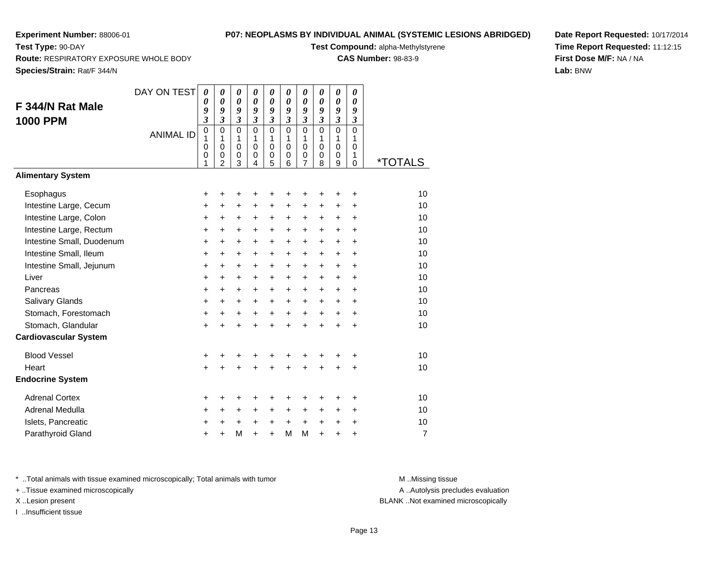**Test Type:** 90-DAY

## **P07: NEOPLASMS BY INDIVIDUAL ANIMAL (SYSTEMIC LESIONS ABRIDGED)**

**Test Compound:** alpha-Methylstyrene

**CAS Number:** 98-83-9

**Species/Strain:** Rat/F 344/N

**Route:** RESPIRATORY EXPOSURE WHOLE BODY

| Date Report Requested: 10/17/2014 |
|-----------------------------------|
| Time Report Requested: 11:12:15   |
| <b>First Dose M/F: NA / NA</b>    |
| Lab: BNW                          |

|                              | DAY ON TEST      | 0                       | $\boldsymbol{\theta}$      | $\boldsymbol{\theta}$       | $\boldsymbol{\theta}$      | 0                           | 0                        | $\boldsymbol{\theta}$      | 0                        | 0                          | $\pmb{\theta}$       |                       |
|------------------------------|------------------|-------------------------|----------------------------|-----------------------------|----------------------------|-----------------------------|--------------------------|----------------------------|--------------------------|----------------------------|----------------------|-----------------------|
| F 344/N Rat Male             |                  | 0<br>9                  | $\boldsymbol{\theta}$<br>9 | $\boldsymbol{\theta}$<br>9  | $\boldsymbol{\theta}$<br>9 | 0<br>9                      | 0<br>9                   | $\boldsymbol{\theta}$<br>9 | 0<br>9                   | $\boldsymbol{\theta}$<br>9 | 0<br>9               |                       |
| <b>1000 PPM</b>              |                  | $\overline{\mathbf{3}}$ | $\overline{\mathbf{3}}$    | $\mathfrak{z}$              | $\mathfrak{z}$             | $\boldsymbol{\mathfrak{z}}$ | $\mathfrak{z}$           | $\mathfrak{z}$             | $\overline{\mathbf{3}}$  | $\overline{\mathbf{3}}$    | $\boldsymbol{\beta}$ |                       |
|                              | <b>ANIMAL ID</b> | 0                       | $\mathbf 0$                | $\mathbf 0$                 | $\mathbf 0$                | 0                           | $\mathbf 0$              | $\mathbf 0$                | $\mathbf 0$              | $\mathbf 0$                | $\mathbf 0$          |                       |
|                              |                  | 1<br>0                  | 1<br>$\mathbf 0$           | $\mathbf{1}$<br>$\mathbf 0$ | $\mathbf{1}$<br>$\Omega$   | 1<br>$\mathbf 0$            | $\mathbf{1}$<br>$\Omega$ | 1<br>$\mathbf 0$           | $\mathbf{1}$<br>$\Omega$ | 1<br>$\mathbf 0$           | 1<br>$\Omega$        |                       |
|                              |                  | 0<br>1                  | 0<br>$\overline{2}$        | $\pmb{0}$<br>3              | 0<br>$\overline{4}$        | 0<br>5                      | 0<br>6                   | 0<br>$\overline{7}$        | 0<br>8                   | 0<br>$\boldsymbol{9}$      | 1<br>0               | <i><b>*TOTALS</b></i> |
| <b>Alimentary System</b>     |                  |                         |                            |                             |                            |                             |                          |                            |                          |                            |                      |                       |
| Esophagus                    |                  | +                       | +                          | +                           | +                          | +                           | ٠                        | +                          | +                        | ÷                          | ÷                    | 10                    |
| Intestine Large, Cecum       |                  | +                       | +                          | +                           | $\ddot{}$                  | $\ddot{}$                   | $\ddot{}$                | $\ddot{}$                  | $\ddot{}$                | $\ddot{}$                  | +                    | 10                    |
| Intestine Large, Colon       |                  | +                       | +                          | $\ddot{}$                   | +                          | +                           | +                        | +                          | +                        | +                          | $\ddot{}$            | 10                    |
| Intestine Large, Rectum      |                  | +                       | +                          | +                           | +                          | +                           | +                        | +                          | +                        | $\ddot{}$                  | $\ddot{}$            | 10                    |
| Intestine Small, Duodenum    |                  | $\ddot{}$               | $\ddot{}$                  | $\ddot{}$                   | +                          | +                           | $\ddot{}$                | +                          | +                        | $\ddot{}$                  | $\ddot{}$            | 10                    |
| Intestine Small, Ileum       |                  | $\ddot{}$               | +                          | $\ddot{}$                   | $\ddot{}$                  | $\ddot{}$                   | $\ddot{}$                | $\ddot{}$                  | $\ddot{}$                | $\ddot{}$                  | $\ddot{}$            | 10                    |
| Intestine Small, Jejunum     |                  | $\ddot{}$               | $\ddot{}$                  | $\ddot{}$                   | $\ddot{}$                  | $\ddot{}$                   | $\ddot{}$                | $\ddot{}$                  | $+$                      | $+$                        | $\ddot{}$            | 10                    |
| Liver                        |                  | $\ddot{}$               | $\ddot{}$                  | $\ddot{}$                   | $\ddot{}$                  | $\ddot{}$                   | $\ddot{}$                | $\ddot{}$                  | $\ddot{}$                | $\ddot{}$                  | $\ddot{}$            | 10                    |
| Pancreas                     |                  | $\ddot{}$               | +                          | $\ddot{}$                   | $\ddot{}$                  | $\ddot{}$                   | $\ddot{}$                | $\ddot{}$                  | $+$                      | $+$                        | $\ddot{}$            | 10                    |
| Salivary Glands              |                  | $\ddot{}$               | $\ddot{}$                  | $\ddot{}$                   | $+$                        | $\ddot{}$                   | $\ddot{}$                | $\ddot{}$                  | $+$                      | $+$                        | $\ddot{}$            | 10                    |
| Stomach, Forestomach         |                  | +                       | $\ddot{}$                  | $\ddot{}$                   | $\ddot{}$                  | $\ddot{}$                   | $\ddot{}$                | $\ddot{}$                  | $+$                      | $\ddot{}$                  | $\ddot{}$            | 10                    |
| Stomach, Glandular           |                  | $\ddot{}$               |                            | $\ddot{}$                   | ÷                          | $\ddot{}$                   | $\ddot{}$                | $\ddot{}$                  | $\ddot{}$                | $\ddot{}$                  | $\ddot{}$            | 10                    |
| <b>Cardiovascular System</b> |                  |                         |                            |                             |                            |                             |                          |                            |                          |                            |                      |                       |
| <b>Blood Vessel</b>          |                  | +                       |                            |                             |                            | +                           | +                        |                            |                          | +                          | +                    | 10                    |
| Heart                        |                  | $\ddot{}$               | $\ddot{}$                  |                             |                            | $\ddot{}$                   | $\ddot{}$                | $\ddot{}$                  | $\ddot{}$                | $\ddot{}$                  | $\ddot{}$            | 10                    |
| <b>Endocrine System</b>      |                  |                         |                            |                             |                            |                             |                          |                            |                          |                            |                      |                       |
| <b>Adrenal Cortex</b>        |                  | +                       | +                          | ٠                           |                            | ٠                           | +                        | ٠                          | ٠                        | +                          | +                    | 10                    |
| Adrenal Medulla              |                  | +                       | +                          | +                           | $\ddot{}$                  | $\ddot{}$                   | +                        | +                          | $\ddot{}$                | +                          | $\ddot{}$            | 10                    |
| Islets, Pancreatic           |                  | ٠                       | +                          | $\ddot{}$                   | $\ddot{}$                  | $\ddot{}$                   | $\ddot{}$                | $\ddot{}$                  | $\ddot{}$                | $\ddot{}$                  | $\ddot{}$            | 10                    |
| Parathyroid Gland            |                  | +                       | +                          | M                           | $\ddot{}$                  | $\ddot{}$                   | M                        | M                          | $\ddot{}$                | +                          | $\ddot{}$            | $\overline{7}$        |

\* ..Total animals with tissue examined microscopically; Total animals with tumor **M** ..Missing tissue M ..Missing tissue

+ ..Tissue examined microscopically

I ..Insufficient tissue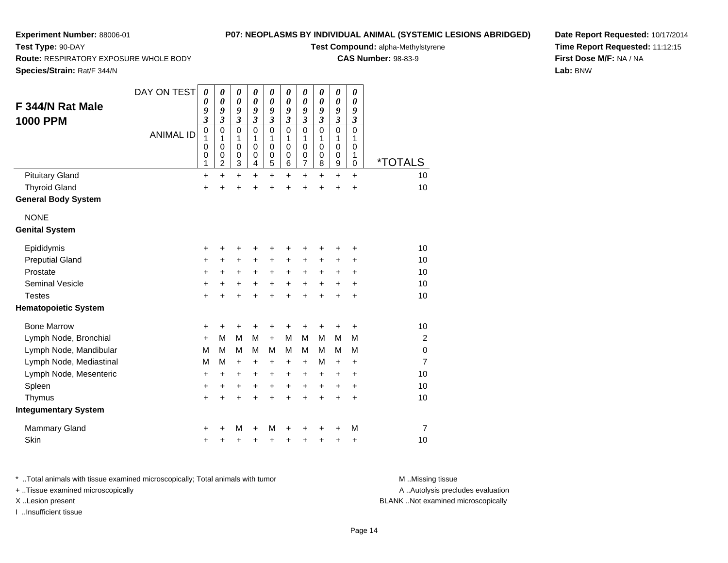**Route:** RESPIRATORY EXPOSURE WHOLE BODY

## **P07: NEOPLASMS BY INDIVIDUAL ANIMAL (SYSTEMIC LESIONS ABRIDGED)**

**Test Compound:** alpha-Methylstyrene

**CAS Number:** 98-83-9

**Species/Strain:** Rat/F 344/N

**Test Type:** 90-DAY

| <b>Species/Strain:</b> Rat/F 344/N   |                  |                                                |                                                                                            |                                                              |                                                     |                                                                |                                                            |                                                               |                                              |                                                            |                                                                                  |                       |
|--------------------------------------|------------------|------------------------------------------------|--------------------------------------------------------------------------------------------|--------------------------------------------------------------|-----------------------------------------------------|----------------------------------------------------------------|------------------------------------------------------------|---------------------------------------------------------------|----------------------------------------------|------------------------------------------------------------|----------------------------------------------------------------------------------|-----------------------|
| F 344/N Rat Male                     | DAY ON TEST      | 0<br>0<br>9                                    | $\boldsymbol{\theta}$<br>0<br>9                                                            | $\pmb{\theta}$<br>0<br>9                                     | $\boldsymbol{\theta}$<br>$\boldsymbol{\theta}$<br>9 | 0<br>0<br>9                                                    | 0<br>0<br>9                                                | 0<br>0<br>9                                                   | 0<br>0<br>9                                  | 0<br>0<br>9                                                | 0<br>0<br>9                                                                      |                       |
| 1000 PPM                             | <b>ANIMAL ID</b> | 3<br>$\mathbf 0$<br>1<br>0<br>$\mathbf 0$<br>1 | $\overline{\mathbf{3}}$<br>$\mathbf 0$<br>1<br>0<br>$\mathbf 0$<br>$\overline{\mathbf{c}}$ | 3<br>0<br>1<br>0<br>$\mathbf 0$<br>$\ensuremath{\mathsf{3}}$ | $\mathfrak{z}$<br>0<br>1<br>$\mathbf 0$<br>0<br>4   | $\boldsymbol{\mathfrak{z}}$<br>$\mathbf 0$<br>1<br>0<br>0<br>5 | $\overline{\mathbf{3}}$<br>$\mathbf 0$<br>1<br>0<br>0<br>6 | $\overline{\mathbf{3}}$<br>0<br>1<br>0<br>0<br>$\overline{7}$ | 3<br>$\mathbf 0$<br>1<br>0<br>$\pmb{0}$<br>8 | $\overline{\mathbf{3}}$<br>$\mathbf 0$<br>1<br>0<br>0<br>9 | $\boldsymbol{\mathfrak{z}}$<br>$\mathbf 0$<br>1<br>$\mathbf 0$<br>1<br>$\pmb{0}$ | <i><b>*TOTALS</b></i> |
| <b>Pituitary Gland</b>               |                  | $\ddot{}$                                      | +                                                                                          | $\ddot{}$                                                    | +                                                   | $\ddot{}$                                                      | +                                                          | $\ddot{}$                                                     | $\ddot{}$                                    | $\ddot{}$                                                  | $\ddot{}$                                                                        | 10                    |
| <b>Thyroid Gland</b>                 |                  | +                                              | $\ddot{}$                                                                                  | +                                                            | +                                                   | +                                                              | $\ddot{}$                                                  | +                                                             | +                                            | +                                                          | +                                                                                | 10                    |
| <b>General Body System</b>           |                  |                                                |                                                                                            |                                                              |                                                     |                                                                |                                                            |                                                               |                                              |                                                            |                                                                                  |                       |
| <b>NONE</b><br><b>Genital System</b> |                  |                                                |                                                                                            |                                                              |                                                     |                                                                |                                                            |                                                               |                                              |                                                            |                                                                                  |                       |
| Epididymis                           |                  | +                                              | +                                                                                          | +                                                            | +                                                   | +                                                              | +                                                          | +                                                             |                                              | +                                                          | +                                                                                | 10                    |
| <b>Preputial Gland</b>               |                  | +                                              | +                                                                                          | +                                                            | +                                                   | +                                                              | +                                                          | +                                                             | +                                            | +                                                          | +                                                                                | 10                    |
| Prostate                             |                  | +                                              | $\ddot{}$                                                                                  | +                                                            | +                                                   | $\ddot{}$                                                      | $\ddot{}$                                                  | $\ddot{}$                                                     | +                                            | +                                                          | +                                                                                | 10                    |
| <b>Seminal Vesicle</b>               |                  | +                                              | +                                                                                          | +                                                            | $\ddot{}$                                           | $\ddot{}$                                                      | $\ddot{}$                                                  | $\ddot{}$                                                     | $\ddot{}$                                    | $\ddot{}$                                                  | $\ddot{}$                                                                        | 10                    |
| <b>Testes</b>                        |                  | ÷                                              | +                                                                                          | +                                                            |                                                     | $\ddot{}$                                                      | +                                                          | $\ddot{}$                                                     | ÷                                            | $\ddot{}$                                                  | $\ddot{}$                                                                        | 10                    |
| <b>Hematopoietic System</b>          |                  |                                                |                                                                                            |                                                              |                                                     |                                                                |                                                            |                                                               |                                              |                                                            |                                                                                  |                       |
| <b>Bone Marrow</b>                   |                  | +                                              | +                                                                                          | +                                                            | +                                                   | +                                                              | +                                                          | +                                                             | ÷                                            | +                                                          | +                                                                                | 10                    |
| Lymph Node, Bronchial                |                  | ÷                                              | M                                                                                          | M                                                            | M                                                   | $+$                                                            | M                                                          | M                                                             | M                                            | M                                                          | M                                                                                | 2                     |
| Lymph Node, Mandibular               |                  | M                                              | M                                                                                          | M                                                            | M                                                   | M                                                              | М                                                          | M                                                             | М                                            | M                                                          | M                                                                                | $\mathbf 0$           |
| Lymph Node, Mediastinal              |                  | M                                              | M                                                                                          | +                                                            | +                                                   | $\ddot{}$                                                      | +                                                          | +                                                             | M                                            | $\ddot{}$                                                  | $\ddot{}$                                                                        | $\overline{7}$        |
| Lymph Node, Mesenteric               |                  | +                                              | +                                                                                          | +                                                            | +                                                   | +                                                              | +                                                          | +                                                             | $\ddot{}$                                    | +                                                          | +                                                                                | 10                    |
| Spleen                               |                  | ٠                                              | $\ddot{}$                                                                                  | +                                                            | $\ddot{}$                                           | $\ddot{}$                                                      | $\ddot{}$                                                  | +                                                             | $\ddot{}$                                    | $\ddot{}$                                                  | +                                                                                | 10                    |
| Thymus                               |                  | +                                              | +                                                                                          | +                                                            | +                                                   | $\ddot{}$                                                      | $\ddot{}$                                                  | $\ddot{}$                                                     | $\ddot{}$                                    | $\ddot{}$                                                  | $\ddot{}$                                                                        | 10                    |
| <b>Integumentary System</b>          |                  |                                                |                                                                                            |                                                              |                                                     |                                                                |                                                            |                                                               |                                              |                                                            |                                                                                  |                       |
| Mammary Gland                        |                  |                                                |                                                                                            | M                                                            | +                                                   | M                                                              | +                                                          |                                                               |                                              |                                                            | M                                                                                | $\overline{7}$        |
| Skin                                 |                  | +                                              | +                                                                                          | +                                                            | +                                                   | +                                                              | +                                                          | +                                                             | +                                            | +                                                          | +                                                                                | 10                    |
|                                      |                  |                                                |                                                                                            |                                                              |                                                     |                                                                |                                                            |                                                               |                                              |                                                            |                                                                                  |                       |

**Date Report Requested:** 10/17/2014**Time Report Requested:** 11:12:15**First Dose M/F:** NA / NA**Lab:** BNW

\* ..Total animals with tissue examined microscopically; Total animals with tumor **M** . Missing tissue M ..Missing tissue

+ ..Tissue examined microscopically

I ..Insufficient tissue

A ..Autolysis precludes evaluation

X ..Lesion present BLANK ..Not examined microscopically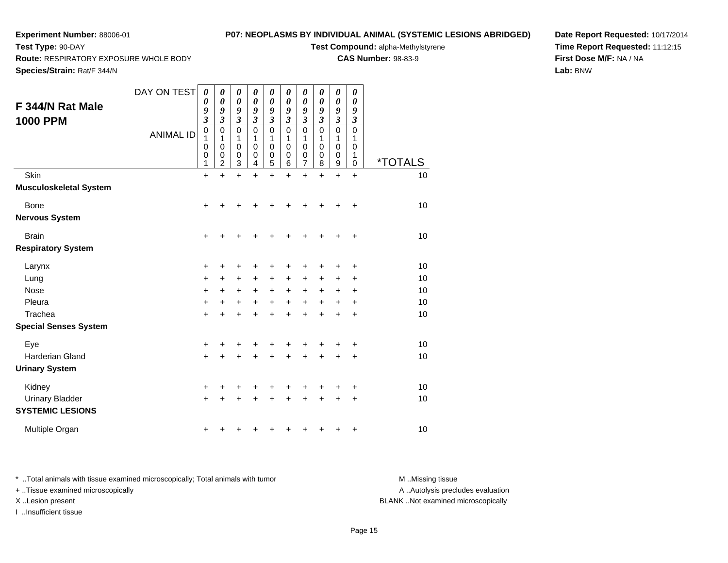**Route:** RESPIRATORY EXPOSURE WHOLE BODY

## **P07: NEOPLASMS BY INDIVIDUAL ANIMAL (SYSTEMIC LESIONS ABRIDGED)**

**Test Compound:** alpha-Methylstyrene

**CAS Number:** 98-83-9

**Species/Strain:** Rat/F 344/N

**Test Type:** 90-DAY

| F 344/N Rat Male                                               | DAY ON TEST      | 0<br>0<br>9                          | 0<br>0<br>9                             | 0<br>0<br>9                | 0<br>0<br>9                                      | 0<br>0<br>9                | 0<br>0<br>9                          | 0<br>0<br>9                | 0<br>0<br>9                          | 0<br>0<br>9                                      | 0<br>0<br>9                |                       |
|----------------------------------------------------------------|------------------|--------------------------------------|-----------------------------------------|----------------------------|--------------------------------------------------|----------------------------|--------------------------------------|----------------------------|--------------------------------------|--------------------------------------------------|----------------------------|-----------------------|
| <b>1000 PPM</b>                                                | <b>ANIMAL ID</b> | 3<br>0<br>1<br>0<br>0<br>1           | 3<br>0<br>1<br>0<br>0<br>$\overline{2}$ | 3<br>0<br>1<br>0<br>0<br>3 | $\overline{\mathbf{3}}$<br>0<br>1<br>0<br>0<br>4 | 3<br>0<br>1<br>0<br>0<br>5 | 3<br>0<br>1<br>$\mathbf 0$<br>0<br>6 | 3<br>0<br>1<br>0<br>0<br>7 | 3<br>0<br>1<br>$\mathbf 0$<br>0<br>8 | $\overline{\mathbf{3}}$<br>0<br>1<br>0<br>0<br>9 | 3<br>0<br>1<br>0<br>1<br>0 | <i><b>*TOTALS</b></i> |
| Skin                                                           |                  | $\ddot{}$                            | $\ddot{}$                               | $\ddot{}$                  | $\ddot{}$                                        | $\ddot{}$                  | $\ddot{}$                            | $\ddot{}$                  | $\ddot{}$                            | $\ddot{}$                                        | $\ddot{}$                  | 10                    |
| <b>Musculoskeletal System</b><br>Bone<br><b>Nervous System</b> |                  | +                                    | +                                       | +                          | +                                                | +                          |                                      | +                          | +                                    | +                                                | +                          | 10                    |
| <b>Brain</b><br><b>Respiratory System</b>                      |                  | +                                    | +                                       | +                          | +                                                | +                          |                                      | ٠                          | +                                    | +                                                | $\ddot{}$                  | 10                    |
| Larynx<br>Lung<br>Nose<br>Pleura<br>Trachea                    |                  | +<br>$\ddot{}$<br>$\pm$<br>$\ddot{}$ | +<br>$\ddot{}$<br>+<br>$\ddot{}$        | +<br>+<br>+<br>+           | +<br>+<br>$\ddot{}$<br>$\ddot{}$                 | +<br>+<br>+<br>$\ddot{}$   | +<br>+<br>$\ddot{}$                  | ٠<br>+<br>+<br>$\ddot{}$   | +<br>+<br>+<br>+                     | +<br>+<br>+<br>$\ddot{}$                         | +<br>+<br>+<br>+           | 10<br>10<br>10<br>10  |
| <b>Special Senses System</b>                                   |                  | +                                    | +                                       | +                          | +                                                |                            |                                      | +                          | +                                    | +                                                | +                          | 10                    |
| Eye<br><b>Harderian Gland</b><br><b>Urinary System</b>         |                  | +<br>+                               | +                                       | +                          | +<br>+                                           | +                          |                                      | +<br>+                     | +<br>+                               | +<br>$\ddot{}$                                   | +<br>+                     | 10<br>10              |
| Kidney<br><b>Urinary Bladder</b><br><b>SYSTEMIC LESIONS</b>    |                  | +<br>+                               | +                                       | +                          | +                                                | +                          | +                                    | +<br>+                     | +<br>+                               | +<br>+                                           | +<br>+                     | 10<br>10              |
| Multiple Organ                                                 |                  | +                                    | +                                       |                            |                                                  |                            |                                      | ٠                          | +                                    | +                                                | +                          | 10                    |

**Date Report Requested:** 10/17/2014**Time Report Requested:** 11:12:15**First Dose M/F:** NA / NA**Lab:** BNW

\* ..Total animals with tissue examined microscopically; Total animals with tumor **M** . Missing tissue M ..Missing tissue + ..Tissue examined microscopically X ..Lesion present BLANK ..Not examined microscopically

I ..Insufficient tissue

A ..Autolysis precludes evaluation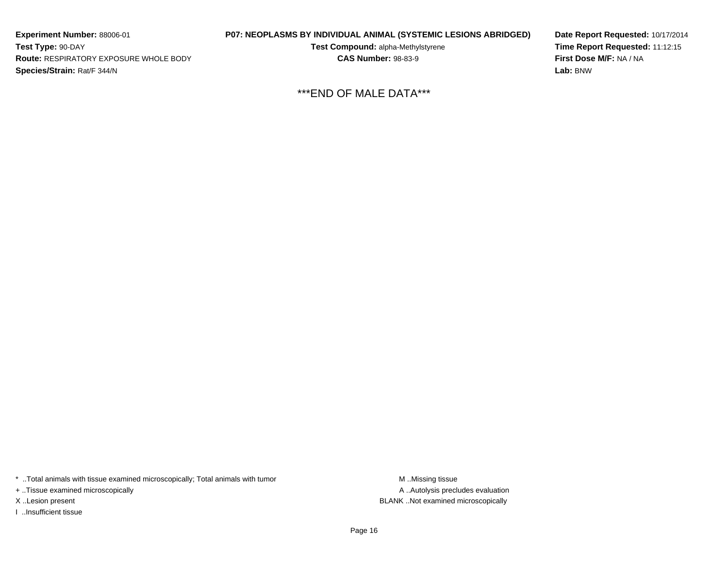**Experiment Number:** 88006-01**Test Type:** 90-DAY **Route:** RESPIRATORY EXPOSURE WHOLE BODY**Species/Strain:** Rat/F 344/N

**P07: NEOPLASMS BY INDIVIDUAL ANIMAL (SYSTEMIC LESIONS ABRIDGED)**

**Test Compound:** alpha-Methylstyrene**CAS Number:** 98-83-9

**Date Report Requested:** 10/17/2014**Time Report Requested:** 11:12:15**First Dose M/F:** NA / NA**Lab:** BNW

\*\*\*END OF MALE DATA\*\*\*

\* ..Total animals with tissue examined microscopically; Total animals with tumor **M** . Missing tissue M ..Missing tissue

+ ..Tissue examined microscopically

I ..Insufficient tissue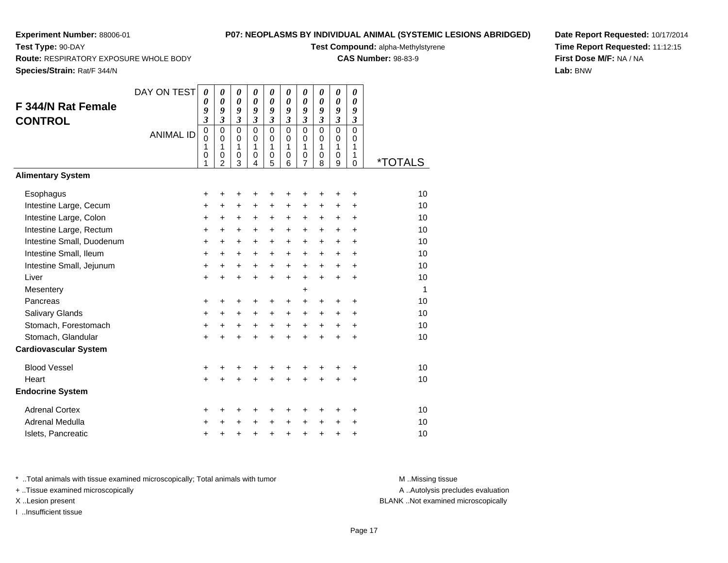**Route:** RESPIRATORY EXPOSURE WHOLE BODY

## **P07: NEOPLASMS BY INDIVIDUAL ANIMAL (SYSTEMIC LESIONS ABRIDGED)**

**Test Compound:** alpha-Methylstyrene

**CAS Number:** 98-83-9

**Species/Strain:** Rat/F 344/N

**Test Type:** 90-DAY

**Date Report Requested:** 10/17/2014**Time Report Requested:** 11:12:15**First Dose M/F:** NA / NA**Lab:** BNW

| <b>F 344/N Rat Female</b><br><b>CONTROL</b> | DAY ON TEST      | $\boldsymbol{\theta}$<br>0<br>9<br>$\overline{\mathbf{3}}$ | $\boldsymbol{\theta}$<br>$\boldsymbol{\theta}$<br>9<br>$\mathfrak{z}$ | $\boldsymbol{\theta}$<br>$\boldsymbol{\theta}$<br>$\boldsymbol{g}$<br>$\mathfrak{z}$ | $\boldsymbol{\theta}$<br>$\boldsymbol{\theta}$<br>$\boldsymbol{g}$<br>$\mathfrak{z}$ | 0<br>$\boldsymbol{\theta}$<br>9<br>$\boldsymbol{\beta}$ | 0<br>$\boldsymbol{\theta}$<br>9<br>$\mathfrak{z}$ | 0<br>$\boldsymbol{\theta}$<br>9<br>$\boldsymbol{\beta}$ | 0<br>0<br>9<br>$\mathfrak{z}$                | 0<br>$\boldsymbol{\theta}$<br>9<br>$\boldsymbol{\mathfrak{z}}$ | 0<br>0<br>9<br>$\boldsymbol{\beta}$ |                       |
|---------------------------------------------|------------------|------------------------------------------------------------|-----------------------------------------------------------------------|--------------------------------------------------------------------------------------|--------------------------------------------------------------------------------------|---------------------------------------------------------|---------------------------------------------------|---------------------------------------------------------|----------------------------------------------|----------------------------------------------------------------|-------------------------------------|-----------------------|
|                                             | <b>ANIMAL ID</b> | $\mathbf 0$<br>0<br>1<br>0                                 | $\Omega$<br>$\Omega$<br>1<br>0                                        | $\Omega$<br>$\mathbf 0$<br>1<br>$\mathbf 0$                                          | $\Omega$<br>$\mathbf 0$<br>$\mathbf{1}$<br>0                                         | $\Omega$<br>$\mathbf 0$<br>1<br>0                       | $\mathbf{0}$<br>$\Omega$<br>$\mathbf{1}$<br>0     | $\mathbf 0$<br>$\mathbf 0$<br>$\mathbf{1}$<br>0         | $\Omega$<br>$\mathbf 0$<br>$\mathbf{1}$<br>0 | $\overline{0}$<br>$\mathbf 0$<br>1<br>0                        | $\Omega$<br>0<br>$\mathbf{1}$<br>1  |                       |
|                                             |                  | 1                                                          | $\overline{2}$                                                        | 3                                                                                    | 4                                                                                    | 5                                                       | 6                                                 | $\overline{7}$                                          | 8                                            | 9                                                              | $\mathbf 0$                         | <i><b>*TOTALS</b></i> |
| <b>Alimentary System</b>                    |                  |                                                            |                                                                       |                                                                                      |                                                                                      |                                                         |                                                   |                                                         |                                              |                                                                |                                     |                       |
| Esophagus                                   |                  | +                                                          | +                                                                     | +                                                                                    | +                                                                                    | +                                                       | +                                                 | +                                                       | +                                            | +                                                              | +                                   | 10                    |
| Intestine Large, Cecum                      |                  | +                                                          | +                                                                     | $\ddot{}$                                                                            | +                                                                                    | +                                                       | $\ddot{}$                                         | $\ddot{}$                                               | +                                            | +                                                              | +                                   | 10                    |
| Intestine Large, Colon                      |                  | +                                                          | +                                                                     | $\ddot{}$                                                                            | +                                                                                    | +                                                       | +                                                 | $\ddot{}$                                               | +                                            | +                                                              | $\ddot{}$                           | 10                    |
| Intestine Large, Rectum                     |                  | $\ddot{}$                                                  | $\ddot{}$                                                             | $\ddot{}$                                                                            | $+$                                                                                  | $\ddot{}$                                               | $\ddot{}$                                         | $\ddot{}$                                               | $\ddot{}$                                    | $\ddot{}$                                                      | $\ddot{}$                           | 10                    |
| Intestine Small, Duodenum                   |                  | $\ddot{}$                                                  | $+$                                                                   | $\ddot{}$                                                                            | $\ddot{}$                                                                            | $+$                                                     | $\ddot{}$                                         | $+$                                                     | $+$                                          | $+$                                                            | $\ddot{}$                           | 10                    |
| Intestine Small, Ileum                      |                  | $\ddot{}$                                                  | $\ddot{}$                                                             | $\ddot{}$                                                                            | $\ddot{}$                                                                            | $\ddot{}$                                               | $\ddot{}$                                         | $+$                                                     | $\ddot{}$                                    | $\ddot{}$                                                      | $\ddot{}$                           | 10                    |
| Intestine Small, Jejunum                    |                  | +                                                          | $\ddot{}$                                                             | +                                                                                    | $\ddot{}$                                                                            | +                                                       | $\ddot{}$                                         | $\ddot{}$                                               | +                                            | +                                                              | $\ddot{}$                           | 10                    |
| Liver                                       |                  | $\ddot{}$                                                  | $\ddot{}$                                                             | $+$                                                                                  | $\ddot{}$                                                                            | $\ddot{}$                                               | $\ddot{}$                                         | $\ddot{}$                                               | $+$                                          | $\ddot{}$                                                      | $\ddot{}$                           | 10                    |
| Mesentery                                   |                  |                                                            |                                                                       |                                                                                      |                                                                                      |                                                         |                                                   | $\ddot{}$                                               |                                              |                                                                |                                     | 1                     |
| Pancreas                                    |                  | +                                                          | +                                                                     | +                                                                                    | +                                                                                    | +                                                       | $\ddot{}$                                         | $\pm$                                                   | +                                            | +                                                              | $\ddot{}$                           | 10                    |
| Salivary Glands                             |                  | $\ddot{}$                                                  | $\ddot{}$                                                             | $\ddot{}$                                                                            | $\ddot{}$                                                                            | $\ddot{}$                                               | $\ddot{}$                                         | $+$                                                     | $+$                                          | $\ddot{}$                                                      | $\ddot{}$                           | 10                    |
| Stomach, Forestomach                        |                  | $\ddot{}$                                                  | $\ddot{}$                                                             | +                                                                                    | $\ddot{}$                                                                            | $\ddot{}$                                               | $\ddot{}$                                         | $\ddot{}$                                               | $\ddot{}$                                    | $\ddot{}$                                                      | +                                   | 10                    |
| Stomach, Glandular                          |                  | $\ddot{}$                                                  | ÷                                                                     |                                                                                      | $\ddot{}$                                                                            | $\ddot{}$                                               | $\ddot{}$                                         | $\ddot{}$                                               | ÷                                            | $\ddot{}$                                                      | $\ddot{}$                           | 10                    |
| <b>Cardiovascular System</b>                |                  |                                                            |                                                                       |                                                                                      |                                                                                      |                                                         |                                                   |                                                         |                                              |                                                                |                                     |                       |
| <b>Blood Vessel</b>                         |                  | +                                                          | +                                                                     |                                                                                      |                                                                                      | +                                                       |                                                   |                                                         |                                              |                                                                | +                                   | 10                    |
| Heart                                       |                  | $\ddot{}$                                                  | $\ddot{}$                                                             | $\ddotmark$                                                                          | $\ddot{}$                                                                            | $\ddot{}$                                               | $\ddot{}$                                         | $\ddot{}$                                               | $\ddot{}$                                    | $\ddot{}$                                                      | $\ddot{}$                           | 10                    |
| <b>Endocrine System</b>                     |                  |                                                            |                                                                       |                                                                                      |                                                                                      |                                                         |                                                   |                                                         |                                              |                                                                |                                     |                       |
| <b>Adrenal Cortex</b>                       |                  | +                                                          | +                                                                     | +                                                                                    | +                                                                                    | +                                                       | +                                                 | +                                                       | +                                            | +                                                              | +                                   | 10                    |
| Adrenal Medulla                             |                  | +                                                          | +                                                                     | $\ddot{}$                                                                            | $\ddot{}$                                                                            | +                                                       | $\ddot{}$                                         | +                                                       | $\ddot{}$                                    | $\ddot{}$                                                      | $\ddot{}$                           | 10                    |
| Islets, Pancreatic                          |                  | +                                                          | +                                                                     | $\ddot{}$                                                                            | $\ddot{}$                                                                            | $\ddot{}$                                               | $\ddot{}$                                         | +                                                       | $\ddot{}$                                    | +                                                              | +                                   | 10                    |

\* ..Total animals with tissue examined microscopically; Total animals with tumor **M** . Missing tissue M ..Missing tissue

+ ..Tissue examined microscopically

I ..Insufficient tissue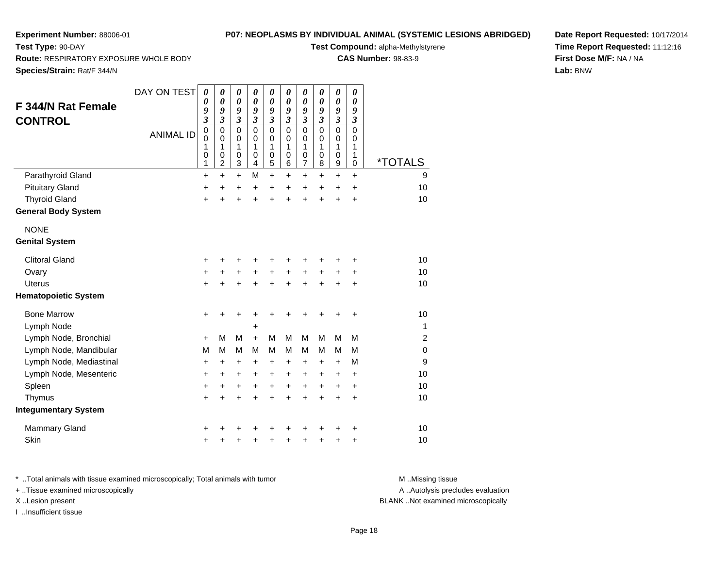**Route:** RESPIRATORY EXPOSURE WHOLE BODY

## **P07: NEOPLASMS BY INDIVIDUAL ANIMAL (SYSTEMIC LESIONS ABRIDGED)**

**Test Compound:** alpha-Methylstyrene

**CAS Number:** 98-83-9

**Species/Strain:** Rat/F 344/N

**Test Type:** 90-DAY

| F 344/N Rat Female<br><b>CONTROL</b> | DAY ON TEST<br><b>ANIMAL ID</b> | $\boldsymbol{\theta}$<br>$\boldsymbol{\theta}$<br>9<br>$\boldsymbol{\mathfrak{z}}$<br>$\mathbf 0$<br>$\mathbf 0$<br>1<br>$\pmb{0}$<br>1 | 0<br>0<br>9<br>$\boldsymbol{\mathfrak{z}}$<br>$\mathsf 0$<br>$\Omega$<br>1<br>0<br>$\overline{c}$ | 0<br>0<br>9<br>$\mathfrak{z}$<br>0<br>$\mathbf 0$<br>1<br>0<br>3 | 0<br>$\boldsymbol{\theta}$<br>9<br>$\mathfrak{z}$<br>$\mathbf 0$<br>$\Omega$<br>1<br>$\mathbf 0$<br>4 | 0<br>$\boldsymbol{\theta}$<br>9<br>$\mathfrak{z}$<br>$\mathbf 0$<br>$\mathbf 0$<br>1<br>0<br>5 | 0<br>0<br>9<br>$\boldsymbol{\mathfrak{z}}$<br>$\mathbf 0$<br>$\mathbf 0$<br>1<br>$\mathbf 0$<br>6 | 0<br>0<br>9<br>$\mathfrak{z}$<br>$\mathbf 0$<br>0<br>1<br>0<br>7 | 0<br>$\boldsymbol{\theta}$<br>9<br>$\mathfrak{z}$<br>$\mathbf 0$<br>$\mathbf 0$<br>$\mathbf{1}$<br>$\mathbf 0$<br>8 | 0<br>0<br>9<br>$\mathfrak{z}$<br>$\mathbf 0$<br>0<br>1<br>$\mathbf 0$<br>9 | 0<br>$\boldsymbol{\theta}$<br>9<br>$\boldsymbol{\beta}$<br>$\mathbf 0$<br>$\mathbf 0$<br>1<br>1<br>$\pmb{0}$ | <i><b>*TOTALS</b></i> |
|--------------------------------------|---------------------------------|-----------------------------------------------------------------------------------------------------------------------------------------|---------------------------------------------------------------------------------------------------|------------------------------------------------------------------|-------------------------------------------------------------------------------------------------------|------------------------------------------------------------------------------------------------|---------------------------------------------------------------------------------------------------|------------------------------------------------------------------|---------------------------------------------------------------------------------------------------------------------|----------------------------------------------------------------------------|--------------------------------------------------------------------------------------------------------------|-----------------------|
| Parathyroid Gland                    |                                 | $\ddot{}$                                                                                                                               | $\ddot{}$                                                                                         | $+$                                                              | M                                                                                                     | $\ddot{}$                                                                                      | $\ddot{}$                                                                                         | $\ddot{}$                                                        | $\ddot{}$                                                                                                           | $\ddot{}$                                                                  | $\ddot{}$                                                                                                    | 9                     |
| <b>Pituitary Gland</b>               |                                 | $\ddot{}$                                                                                                                               | $\ddot{}$                                                                                         | $\ddot{}$                                                        | $\ddot{}$                                                                                             | $\ddot{}$                                                                                      | $\ddot{}$                                                                                         | $\ddot{}$                                                        | $\ddot{}$                                                                                                           | $\ddot{}$                                                                  | $\ddot{}$                                                                                                    | 10                    |
| <b>Thyroid Gland</b>                 |                                 | $\ddot{}$                                                                                                                               | $\ddot{}$                                                                                         | $\ddot{}$                                                        | $\ddot{}$                                                                                             | $\ddot{}$                                                                                      | $\ddot{}$                                                                                         | Ŧ.                                                               | $\ddot{}$                                                                                                           | $\ddot{}$                                                                  | $\ddot{}$                                                                                                    | 10                    |
| <b>General Body System</b>           |                                 |                                                                                                                                         |                                                                                                   |                                                                  |                                                                                                       |                                                                                                |                                                                                                   |                                                                  |                                                                                                                     |                                                                            |                                                                                                              |                       |
| <b>NONE</b>                          |                                 |                                                                                                                                         |                                                                                                   |                                                                  |                                                                                                       |                                                                                                |                                                                                                   |                                                                  |                                                                                                                     |                                                                            |                                                                                                              |                       |
| <b>Genital System</b>                |                                 |                                                                                                                                         |                                                                                                   |                                                                  |                                                                                                       |                                                                                                |                                                                                                   |                                                                  |                                                                                                                     |                                                                            |                                                                                                              |                       |
| <b>Clitoral Gland</b>                |                                 | +                                                                                                                                       |                                                                                                   | +                                                                |                                                                                                       |                                                                                                |                                                                                                   |                                                                  |                                                                                                                     | +                                                                          | +                                                                                                            | 10                    |
| Ovary                                |                                 | +                                                                                                                                       |                                                                                                   | +                                                                | +                                                                                                     | $\ddot{}$                                                                                      |                                                                                                   | $\ddot{}$                                                        | $\ddot{}$                                                                                                           | $\ddot{}$                                                                  | +                                                                                                            | 10                    |
| Uterus                               |                                 | $\ddot{}$                                                                                                                               | +                                                                                                 | $\ddot{}$                                                        | $\ddot{}$                                                                                             | $\ddot{}$                                                                                      | $\ddot{}$                                                                                         | +                                                                | $\ddot{}$                                                                                                           | $\ddot{}$                                                                  | +                                                                                                            | 10                    |
| <b>Hematopoietic System</b>          |                                 |                                                                                                                                         |                                                                                                   |                                                                  |                                                                                                       |                                                                                                |                                                                                                   |                                                                  |                                                                                                                     |                                                                            |                                                                                                              |                       |
| <b>Bone Marrow</b>                   |                                 | $\ddot{}$                                                                                                                               | +                                                                                                 | +                                                                |                                                                                                       |                                                                                                |                                                                                                   |                                                                  |                                                                                                                     | +                                                                          | +                                                                                                            | 10                    |
| Lymph Node                           |                                 |                                                                                                                                         |                                                                                                   |                                                                  | +                                                                                                     |                                                                                                |                                                                                                   |                                                                  |                                                                                                                     |                                                                            |                                                                                                              | 1                     |
| Lymph Node, Bronchial                |                                 | $+$                                                                                                                                     | М                                                                                                 | M                                                                | $+$                                                                                                   | M                                                                                              | M                                                                                                 | M                                                                | M                                                                                                                   | M                                                                          | M                                                                                                            | 2                     |
| Lymph Node, Mandibular               |                                 | M                                                                                                                                       | М                                                                                                 | M                                                                | M                                                                                                     | M                                                                                              | M                                                                                                 | M                                                                | M                                                                                                                   | М                                                                          | м                                                                                                            | 0                     |
| Lymph Node, Mediastinal              |                                 | $\ddot{}$                                                                                                                               | $\ddot{}$                                                                                         | +                                                                | $\ddot{}$                                                                                             | $\ddot{}$                                                                                      | $\ddot{}$                                                                                         | +                                                                | $\ddot{}$                                                                                                           | $\ddot{}$                                                                  | M                                                                                                            | 9                     |
| Lymph Node, Mesenteric               |                                 | $\ddot{}$                                                                                                                               | $\ddot{}$                                                                                         | +                                                                | $\ddot{}$                                                                                             | $\ddot{}$                                                                                      | $\ddot{}$                                                                                         | $\pm$                                                            | $\ddot{}$                                                                                                           | +                                                                          | $\ddot{}$                                                                                                    | 10                    |
| Spleen                               |                                 | $\ddot{}$                                                                                                                               | +                                                                                                 | +                                                                | $\ddot{}$                                                                                             | $\ddot{}$                                                                                      | $\ddot{}$                                                                                         | +                                                                | $\ddot{}$                                                                                                           | $\ddot{}$                                                                  | +                                                                                                            | 10                    |
| Thymus                               |                                 | $\ddot{}$                                                                                                                               | $\ddot{}$                                                                                         | $\ddot{}$                                                        | $\ddot{}$                                                                                             | $\ddot{}$                                                                                      | $\ddot{}$                                                                                         | $\ddot{}$                                                        | $\ddot{}$                                                                                                           | $\ddot{}$                                                                  | $\ddot{}$                                                                                                    | 10                    |
| <b>Integumentary System</b>          |                                 |                                                                                                                                         |                                                                                                   |                                                                  |                                                                                                       |                                                                                                |                                                                                                   |                                                                  |                                                                                                                     |                                                                            |                                                                                                              |                       |
| <b>Mammary Gland</b>                 |                                 | +                                                                                                                                       |                                                                                                   |                                                                  |                                                                                                       |                                                                                                |                                                                                                   |                                                                  |                                                                                                                     |                                                                            | +                                                                                                            | 10                    |
| Skin                                 |                                 | +                                                                                                                                       |                                                                                                   | +                                                                | +                                                                                                     | +                                                                                              | +                                                                                                 | +                                                                | ٠                                                                                                                   | +                                                                          | +                                                                                                            | 10                    |

**Date Report Requested:** 10/17/2014**Time Report Requested:** 11:12:16**First Dose M/F:** NA / NA**Lab:** BNW

\* ..Total animals with tissue examined microscopically; Total animals with tumor **M** . Missing tissue M ..Missing tissue + ..Tissue examined microscopically X ..Lesion present BLANK ..Not examined microscopically

I ..Insufficient tissue

A ..Autolysis precludes evaluation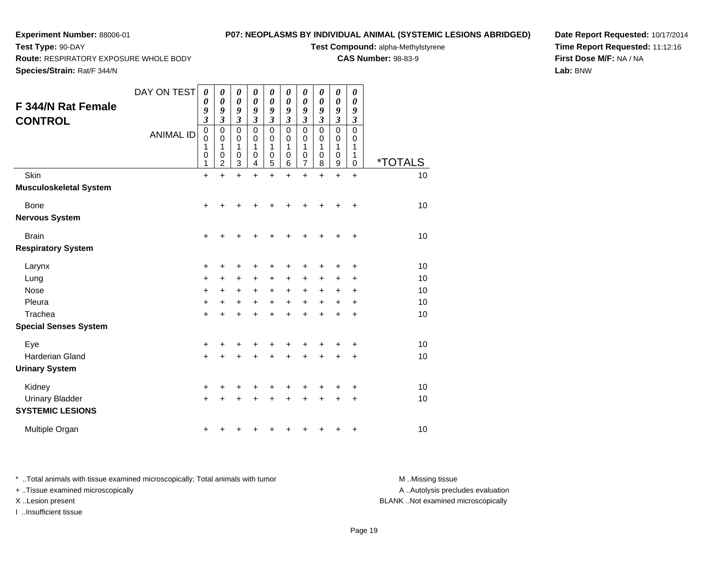## **P07: NEOPLASMS BY INDIVIDUAL ANIMAL (SYSTEMIC LESIONS ABRIDGED)**

**Test Compound:** alpha-Methylstyrene

**CAS Number:** 98-83-9

**Date Report Requested:** 10/17/2014**Time Report Requested:** 11:12:16**First Dose M/F:** NA / NA**Lab:** BNW

**Route:** RESPIRATORY EXPOSURE WHOLE BODY

**Species/Strain:** Rat/F 344/N

**Test Type:** 90-DAY

| F 344/N Rat Female<br><b>CONTROL</b>              | DAY ON TEST<br><b>ANIMAL ID</b> | 0<br>0<br>9<br>$\overline{\mathbf{3}}$<br>$\mathbf 0$<br>$\mathbf 0$<br>1<br>0<br>1 | 0<br>$\boldsymbol{\theta}$<br>9<br>$\mathfrak{z}$<br>$\mathbf 0$<br>$\mathbf 0$<br>1<br>0<br>$\overline{2}$ | $\pmb{\theta}$<br>$\boldsymbol{\theta}$<br>9<br>$\overline{\mathbf{3}}$<br>$\mathbf 0$<br>0<br>1<br>0<br>$\overline{3}$ | 0<br>0<br>9<br>$\mathfrak{z}$<br>0<br>0<br>1<br>0<br>$\overline{4}$ | $\pmb{\theta}$<br>0<br>9<br>$\overline{\mathbf{3}}$<br>$\mathbf 0$<br>0<br>1<br>$\boldsymbol{0}$<br>5 | 0<br>$\boldsymbol{\theta}$<br>9<br>3<br>0<br>0<br>1<br>0<br>6 | 0<br>0<br>9<br>3<br>$\mathbf 0$<br>$\mathbf 0$<br>1<br>0<br>7 | 0<br>0<br>9<br>$\mathfrak{z}$<br>$\pmb{0}$<br>0<br>1<br>0<br>8 | 0<br>0<br>9<br>$\mathfrak{z}$<br>$\mathbf 0$<br>$\mathbf 0$<br>1<br>$\mathbf 0$<br>9 | 0<br>0<br>9<br>$\boldsymbol{\beta}$<br>$\mathbf 0$<br>0<br>1<br>1<br>0 | <i><b>*TOTALS</b></i> |
|---------------------------------------------------|---------------------------------|-------------------------------------------------------------------------------------|-------------------------------------------------------------------------------------------------------------|-------------------------------------------------------------------------------------------------------------------------|---------------------------------------------------------------------|-------------------------------------------------------------------------------------------------------|---------------------------------------------------------------|---------------------------------------------------------------|----------------------------------------------------------------|--------------------------------------------------------------------------------------|------------------------------------------------------------------------|-----------------------|
| Skin<br><b>Musculoskeletal System</b>             |                                 | $\ddot{}$                                                                           | $\ddot{}$                                                                                                   | $\ddot{}$                                                                                                               | $\ddot{}$                                                           | $\ddot{}$                                                                                             | $\ddot{}$                                                     | $\ddot{}$                                                     | $\ddot{}$                                                      | $\ddot{}$                                                                            | $\ddot{}$                                                              | 10                    |
| Bone<br><b>Nervous System</b>                     |                                 | $\ddot{}$                                                                           | +                                                                                                           |                                                                                                                         |                                                                     |                                                                                                       |                                                               |                                                               |                                                                |                                                                                      | +                                                                      | 10                    |
| <b>Brain</b>                                      |                                 | +                                                                                   |                                                                                                             |                                                                                                                         |                                                                     |                                                                                                       |                                                               |                                                               |                                                                |                                                                                      | +                                                                      | 10                    |
| <b>Respiratory System</b>                         |                                 |                                                                                     |                                                                                                             |                                                                                                                         |                                                                     |                                                                                                       |                                                               |                                                               |                                                                |                                                                                      |                                                                        |                       |
| Larynx                                            |                                 | $\ddot{}$                                                                           | +                                                                                                           | +                                                                                                                       | +                                                                   | +                                                                                                     | ٠                                                             | ٠                                                             |                                                                |                                                                                      | +                                                                      | 10                    |
| Lung                                              |                                 | $\ddot{}$                                                                           | +                                                                                                           | $\ddot{}$                                                                                                               | +                                                                   | +                                                                                                     | +                                                             | +                                                             | +                                                              | +                                                                                    | ٠                                                                      | 10                    |
| Nose                                              |                                 | +                                                                                   | +                                                                                                           | +                                                                                                                       | +                                                                   | +                                                                                                     | +                                                             | +                                                             | +                                                              | +                                                                                    | +                                                                      | 10                    |
| Pleura                                            |                                 | $\ddot{}$                                                                           | $\ddot{}$                                                                                                   | $\ddot{}$                                                                                                               | $\ddot{}$                                                           | $\ddot{}$                                                                                             | $\ddot{}$                                                     | $\ddot{}$                                                     |                                                                | $\ddot{}$                                                                            | +                                                                      | 10                    |
| Trachea                                           |                                 | $\ddot{}$                                                                           | +                                                                                                           | $\ddot{}$                                                                                                               | +                                                                   | +                                                                                                     | +                                                             | +                                                             |                                                                |                                                                                      | ٠                                                                      | 10                    |
| <b>Special Senses System</b>                      |                                 |                                                                                     |                                                                                                             |                                                                                                                         |                                                                     |                                                                                                       |                                                               |                                                               |                                                                |                                                                                      |                                                                        |                       |
| Eye                                               |                                 | +                                                                                   | +                                                                                                           | +                                                                                                                       |                                                                     | +                                                                                                     |                                                               |                                                               |                                                                |                                                                                      | ٠                                                                      | 10                    |
| <b>Harderian Gland</b>                            |                                 | $\ddot{}$                                                                           | +                                                                                                           | +                                                                                                                       | +                                                                   | +                                                                                                     | +                                                             |                                                               |                                                                |                                                                                      | +                                                                      | 10                    |
| <b>Urinary System</b>                             |                                 |                                                                                     |                                                                                                             |                                                                                                                         |                                                                     |                                                                                                       |                                                               |                                                               |                                                                |                                                                                      |                                                                        |                       |
| Kidney                                            |                                 | +                                                                                   | +                                                                                                           | +                                                                                                                       |                                                                     | +                                                                                                     |                                                               |                                                               |                                                                |                                                                                      | +                                                                      | 10                    |
| <b>Urinary Bladder</b><br><b>SYSTEMIC LESIONS</b> |                                 | $\ddot{}$                                                                           |                                                                                                             |                                                                                                                         |                                                                     |                                                                                                       |                                                               |                                                               |                                                                |                                                                                      | +                                                                      | 10                    |
| Multiple Organ                                    |                                 | +                                                                                   |                                                                                                             |                                                                                                                         |                                                                     |                                                                                                       |                                                               |                                                               |                                                                |                                                                                      | +                                                                      | 10                    |

\* ..Total animals with tissue examined microscopically; Total animals with tumor **M** . Missing tissue M ..Missing tissue + ..Tissue examined microscopically X ..Lesion present BLANK ..Not examined microscopically

I ..Insufficient tissue

A ..Autolysis precludes evaluation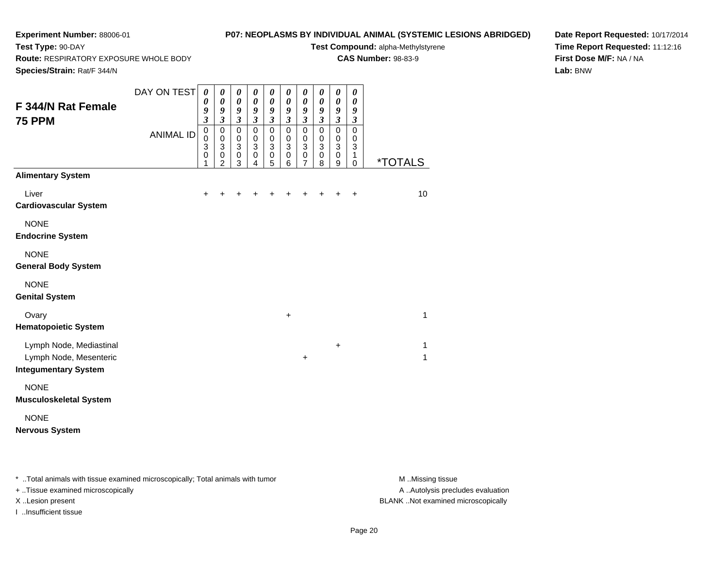# **P07: NEOPLASMS BY INDIVIDUAL ANIMAL (SYSTEMIC LESIONS ABRIDGED)**

**Test Compound:** alpha-Methylstyrene**CAS Number:** 98-83-9

**Route:** RESPIRATORY EXPOSURE WHOLE BODY

**Species/Strain:** Rat/F 344/N

**Test Type:** 90-DAY

**Date Report Requested:** 10/17/2014**Time Report Requested:** 11:12:16**First Dose M/F:** NA / NA**Lab:** BNW

| F 344/N Rat Female<br><b>75 PPM</b>                                              | DAY ON TEST      | 0<br>$\boldsymbol{\theta}$<br>9<br>$\mathfrak{z}$ | 0<br>0<br>9<br>$\overline{\mathbf{3}}$                                         | $\boldsymbol{\theta}$<br>$\pmb{\theta}$<br>9<br>$\mathfrak{z}$ | $\pmb{\theta}$<br>$\pmb{\theta}$<br>9<br>$\mathfrak{z}$             | $\boldsymbol{\theta}$<br>$\boldsymbol{\theta}$<br>9<br>$\mathfrak{z}$     | 0<br>$\boldsymbol{\theta}$<br>9<br>$\mathfrak{z}$            | 0<br>$\boldsymbol{\theta}$<br>9<br>$\overline{\mathbf{3}}$                               | 0<br>$\boldsymbol{\theta}$<br>9<br>$\boldsymbol{\mathfrak{z}}$        | 0<br>$\pmb{\theta}$<br>9<br>$\overline{\mathbf{3}}$            | $\pmb{\theta}$<br>0<br>9<br>$\boldsymbol{\beta}$    |                       |
|----------------------------------------------------------------------------------|------------------|---------------------------------------------------|--------------------------------------------------------------------------------|----------------------------------------------------------------|---------------------------------------------------------------------|---------------------------------------------------------------------------|--------------------------------------------------------------|------------------------------------------------------------------------------------------|-----------------------------------------------------------------------|----------------------------------------------------------------|-----------------------------------------------------|-----------------------|
|                                                                                  | <b>ANIMAL ID</b> | $\mathbf 0$<br>$\mathbf 0$<br>3<br>0<br>1         | $\mathbf 0$<br>$\mathbf 0$<br>$\ensuremath{\mathsf{3}}$<br>0<br>$\overline{2}$ | $\pmb{0}$<br>$\pmb{0}$<br>$\overline{3}$<br>$\pmb{0}$<br>3     | 0<br>$\pmb{0}$<br>$\mathbf 3$<br>$\boldsymbol{0}$<br>$\overline{4}$ | $\mathbf 0$<br>$\mathbf 0$<br>$\ensuremath{\mathsf{3}}$<br>$\pmb{0}$<br>5 | $\mathbf 0$<br>$\mathbf 0$<br>$\mathbf{3}$<br>$\pmb{0}$<br>6 | $\mathbf 0$<br>$\mathbf 0$<br>$\ensuremath{\mathsf{3}}$<br>$\mathbf 0$<br>$\overline{7}$ | $\pmb{0}$<br>$\mathbf 0$<br>$\ensuremath{\mathsf{3}}$<br>$\,0\,$<br>8 | $\mathsf 0$<br>$\pmb{0}$<br>$\overline{3}$<br>$\mathsf 0$<br>9 | $\mathbf 0$<br>$\mathbf 0$<br>3<br>1<br>$\mathbf 0$ | <i><b>*TOTALS</b></i> |
| <b>Alimentary System</b>                                                         |                  |                                                   |                                                                                |                                                                |                                                                     |                                                                           |                                                              |                                                                                          |                                                                       |                                                                |                                                     |                       |
| Liver<br><b>Cardiovascular System</b>                                            |                  | $\ddot{}$                                         | ٠                                                                              |                                                                | +                                                                   |                                                                           |                                                              | +                                                                                        |                                                                       |                                                                | $\ddot{}$                                           | 10                    |
| <b>NONE</b><br><b>Endocrine System</b>                                           |                  |                                                   |                                                                                |                                                                |                                                                     |                                                                           |                                                              |                                                                                          |                                                                       |                                                                |                                                     |                       |
| <b>NONE</b><br><b>General Body System</b>                                        |                  |                                                   |                                                                                |                                                                |                                                                     |                                                                           |                                                              |                                                                                          |                                                                       |                                                                |                                                     |                       |
| <b>NONE</b><br><b>Genital System</b>                                             |                  |                                                   |                                                                                |                                                                |                                                                     |                                                                           |                                                              |                                                                                          |                                                                       |                                                                |                                                     |                       |
| Ovary<br><b>Hematopoietic System</b>                                             |                  |                                                   |                                                                                |                                                                |                                                                     |                                                                           | $\ddot{}$                                                    |                                                                                          |                                                                       |                                                                |                                                     | $\mathbf{1}$          |
| Lymph Node, Mediastinal<br>Lymph Node, Mesenteric<br><b>Integumentary System</b> |                  |                                                   |                                                                                |                                                                |                                                                     |                                                                           |                                                              | +                                                                                        |                                                                       | +                                                              |                                                     | 1<br>1                |
| <b>NONE</b><br><b>Musculoskeletal System</b>                                     |                  |                                                   |                                                                                |                                                                |                                                                     |                                                                           |                                                              |                                                                                          |                                                                       |                                                                |                                                     |                       |
| <b>NONE</b><br><b>Nervous System</b>                                             |                  |                                                   |                                                                                |                                                                |                                                                     |                                                                           |                                                              |                                                                                          |                                                                       |                                                                |                                                     |                       |

\* ..Total animals with tissue examined microscopically; Total animals with tumor **M** . Missing tissue M ..Missing tissue

+ ..Tissue examined microscopically

I ..Insufficient tissue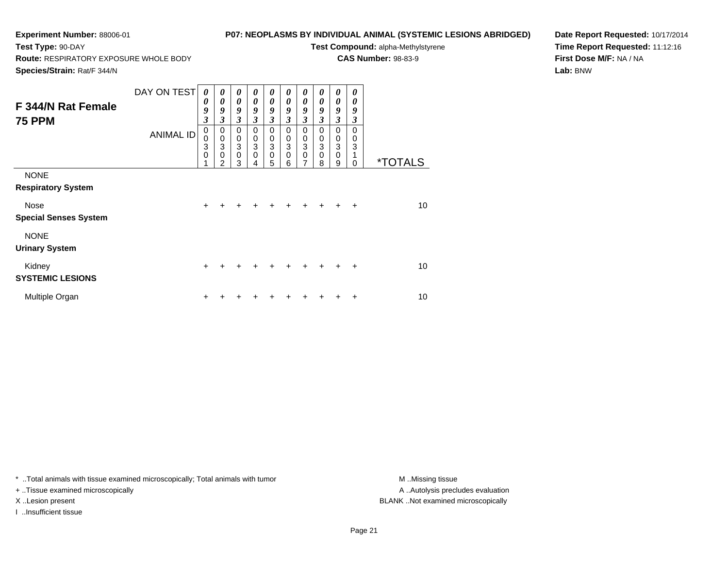**Route:** RESPIRATORY EXPOSURE WHOLE BODY

# **P07: NEOPLASMS BY INDIVIDUAL ANIMAL (SYSTEMIC LESIONS ABRIDGED)**

**Test Compound:** alpha-Methylstyrene

**CAS Number:** 98-83-9

**Species/Strain:** Rat/F 344/N

**Test Type:** 90-DAY

**Date Report Requested:** 10/17/2014**Time Report Requested:** 11:12:16**First Dose M/F:** NA / NA**Lab:** BNW

|                              | DAY ON TEST      | 0              | $\boldsymbol{\theta}$       | $\boldsymbol{\theta}$      | $\boldsymbol{\theta}$       | 0                          | 0                           | 0                                        | 0                   | 0                                    | 0         |                       |
|------------------------------|------------------|----------------|-----------------------------|----------------------------|-----------------------------|----------------------------|-----------------------------|------------------------------------------|---------------------|--------------------------------------|-----------|-----------------------|
| F 344/N Rat Female           |                  | 0<br>9         | 0<br>9                      | $\boldsymbol{\theta}$<br>9 | $\boldsymbol{\theta}$<br>9  | $\boldsymbol{\theta}$<br>9 | 0<br>9                      | 0<br>9                                   | 0<br>9              | 0<br>9                               | 0<br>9    |                       |
| <b>75 PPM</b>                |                  | $\mathfrak{z}$ | 3                           | $\mathfrak{z}$             | $\mathfrak{z}$              | 3                          | 3                           | $\mathfrak{z}$                           | 3                   | $\mathfrak{z}$                       | 3         |                       |
|                              | <b>ANIMAL ID</b> | $\pmb{0}$      | $\pmb{0}$                   | $\mathbf 0$                | $\mathbf 0$                 | $\mathbf 0$                | $\mathbf 0$                 | $\mathbf 0$                              | $\mathbf 0$         | $\mathbf 0$                          | 0         |                       |
|                              |                  | 0<br>3         | $\pmb{0}$<br>$\overline{3}$ | $\,0\,$<br>$\overline{3}$  | $\pmb{0}$<br>$\overline{3}$ | $_{3}^{\rm 0}$             | $\mathbf 0$<br>$\mathbf{3}$ | $\mathbf 0$<br>$\ensuremath{\mathsf{3}}$ | 0<br>$\mathfrak{S}$ | $\,0\,$<br>$\ensuremath{\mathsf{3}}$ | 0<br>3    |                       |
|                              |                  | 0<br>1         | 0<br>2                      | $\pmb{0}$<br>3             | $\mathbf 0$<br>4            | $\pmb{0}$<br>5             | $\mathbf 0$<br>6            | $\mathbf 0$<br>7                         | $\mathbf 0$<br>8    | $\pmb{0}$<br>9                       | 0         | <i><b>*TOTALS</b></i> |
| <b>NONE</b>                  |                  |                |                             |                            |                             |                            |                             |                                          |                     |                                      |           |                       |
| <b>Respiratory System</b>    |                  |                |                             |                            |                             |                            |                             |                                          |                     |                                      |           |                       |
| <b>Nose</b>                  |                  | $+$            | $\ddot{}$                   | $\ddot{}$                  | $\ddot{}$                   | $+$                        | $+$                         | $+$                                      | $+$                 | $\ddot{}$                            | $\ddot{}$ | 10                    |
| <b>Special Senses System</b> |                  |                |                             |                            |                             |                            |                             |                                          |                     |                                      |           |                       |
| <b>NONE</b>                  |                  |                |                             |                            |                             |                            |                             |                                          |                     |                                      |           |                       |
| <b>Urinary System</b>        |                  |                |                             |                            |                             |                            |                             |                                          |                     |                                      |           |                       |
| Kidney                       |                  | $\ddot{}$      | +                           | +                          |                             |                            |                             | $\div$                                   | $+$                 | ÷                                    | $\ddot{}$ | 10                    |
| <b>SYSTEMIC LESIONS</b>      |                  |                |                             |                            |                             |                            |                             |                                          |                     |                                      |           |                       |
| Multiple Organ               |                  | ٠              |                             |                            |                             |                            |                             |                                          |                     |                                      | +         | 10                    |

\* ..Total animals with tissue examined microscopically; Total animals with tumor **M** . Missing tissue M ..Missing tissue

+ ..Tissue examined microscopically

I ..Insufficient tissue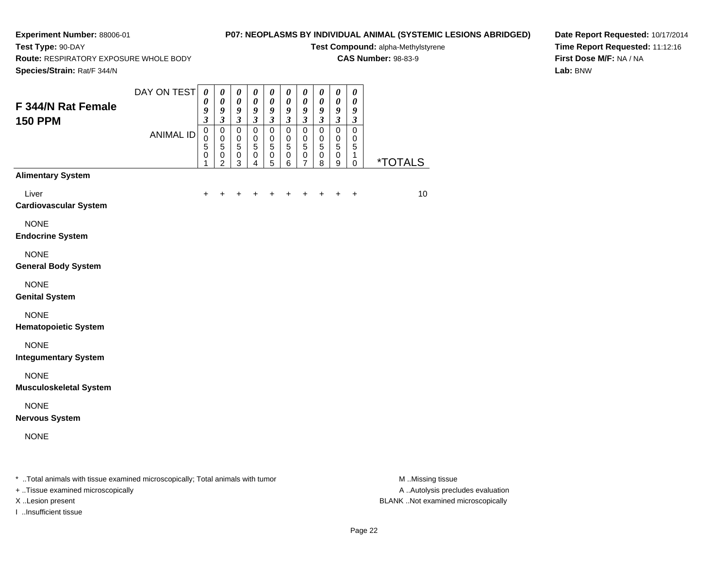**Test Type:** 90-DAY

# **P07: NEOPLASMS BY INDIVIDUAL ANIMAL (SYSTEMIC LESIONS ABRIDGED)**

**Test Compound:** alpha-Methylstyrene**CAS Number:** 98-83-9

**Route:** RESPIRATORY EXPOSURE WHOLE BODY

**Date Report Requested:** 10/17/2014**Time Report Requested:** 11:12:16**First Dose M/F:** NA / NA**Lab:** BNW

| Species/Strain: Rat/F 344/N                                                    |                  |                                                         |                                                                             |                                                                                            |                                                                                     |                                                                      |                                                                      |                                                                |                                                                |                                                                |                                                                             |                       |
|--------------------------------------------------------------------------------|------------------|---------------------------------------------------------|-----------------------------------------------------------------------------|--------------------------------------------------------------------------------------------|-------------------------------------------------------------------------------------|----------------------------------------------------------------------|----------------------------------------------------------------------|----------------------------------------------------------------|----------------------------------------------------------------|----------------------------------------------------------------|-----------------------------------------------------------------------------|-----------------------|
| F 344/N Rat Female<br><b>150 PPM</b>                                           | DAY ON TEST      | 0<br>$\boldsymbol{\theta}$<br>9<br>$\boldsymbol{\beta}$ | $\boldsymbol{\theta}$<br>$\boldsymbol{\theta}$<br>9<br>$\boldsymbol{\beta}$ | $\boldsymbol{\theta}$<br>$\boldsymbol{\theta}$<br>$\boldsymbol{g}$<br>$\boldsymbol{\beta}$ | $\pmb{\theta}$<br>$\boldsymbol{\theta}$<br>$\boldsymbol{9}$<br>$\boldsymbol{\beta}$ | $\boldsymbol{\theta}$<br>$\pmb{\theta}$<br>9<br>$\boldsymbol{\beta}$ | $\boldsymbol{\theta}$<br>$\pmb{\theta}$<br>9<br>$\boldsymbol{\beta}$ | $\boldsymbol{\theta}$<br>$\pmb{\theta}$<br>9<br>$\mathfrak{z}$ | $\boldsymbol{\theta}$<br>0<br>9<br>$\boldsymbol{\mathfrak{z}}$ | $\boldsymbol{\theta}$<br>$\pmb{\theta}$<br>9<br>$\mathfrak{z}$ | $\boldsymbol{\theta}$<br>$\boldsymbol{\theta}$<br>9<br>$\boldsymbol{\beta}$ |                       |
|                                                                                | <b>ANIMAL ID</b> | $\pmb{0}$<br>$\mathbf 0$<br>5<br>0<br>1                 | $\pmb{0}$<br>$\pmb{0}$<br>$\sqrt{5}$<br>$\mathbf 0$<br>2                    | $\pmb{0}$<br>$\pmb{0}$<br>$\mathbf 5$<br>$\pmb{0}$<br>3                                    | $\pmb{0}$<br>0<br>5<br>$\pmb{0}$<br>4                                               | $\mathbf 0$<br>$\mathbf 0$<br>$\sqrt{5}$<br>$\pmb{0}$<br>5           | $\mathbf 0$<br>$\mathbf 0$<br>$\sqrt{5}$<br>$\,0\,$<br>6             | $\mathbf 0$<br>$\mathbf 0$<br>5<br>$\mathbf 0$<br>7            | $\mathsf 0$<br>$\pmb{0}$<br>5<br>$\pmb{0}$<br>8                | $\pmb{0}$<br>$\mathbf 0$<br>5<br>$\pmb{0}$<br>9                | $\mathbf 0$<br>0<br>5<br>1<br>$\pmb{0}$                                     | <i><b>*TOTALS</b></i> |
| <b>Alimentary System</b>                                                       |                  |                                                         |                                                                             |                                                                                            |                                                                                     |                                                                      |                                                                      |                                                                |                                                                |                                                                |                                                                             |                       |
| Liver<br><b>Cardiovascular System</b>                                          |                  |                                                         |                                                                             |                                                                                            |                                                                                     |                                                                      |                                                                      |                                                                |                                                                |                                                                | $\ddot{}$                                                                   | 10                    |
| <b>NONE</b><br><b>Endocrine System</b>                                         |                  |                                                         |                                                                             |                                                                                            |                                                                                     |                                                                      |                                                                      |                                                                |                                                                |                                                                |                                                                             |                       |
| <b>NONE</b><br><b>General Body System</b>                                      |                  |                                                         |                                                                             |                                                                                            |                                                                                     |                                                                      |                                                                      |                                                                |                                                                |                                                                |                                                                             |                       |
| <b>NONE</b><br><b>Genital System</b>                                           |                  |                                                         |                                                                             |                                                                                            |                                                                                     |                                                                      |                                                                      |                                                                |                                                                |                                                                |                                                                             |                       |
| <b>NONE</b><br><b>Hematopoietic System</b>                                     |                  |                                                         |                                                                             |                                                                                            |                                                                                     |                                                                      |                                                                      |                                                                |                                                                |                                                                |                                                                             |                       |
| <b>NONE</b><br><b>Integumentary System</b>                                     |                  |                                                         |                                                                             |                                                                                            |                                                                                     |                                                                      |                                                                      |                                                                |                                                                |                                                                |                                                                             |                       |
| <b>NONE</b><br><b>Musculoskeletal System</b>                                   |                  |                                                         |                                                                             |                                                                                            |                                                                                     |                                                                      |                                                                      |                                                                |                                                                |                                                                |                                                                             |                       |
| <b>NONE</b><br><b>Nervous System</b>                                           |                  |                                                         |                                                                             |                                                                                            |                                                                                     |                                                                      |                                                                      |                                                                |                                                                |                                                                |                                                                             |                       |
| <b>NONE</b>                                                                    |                  |                                                         |                                                                             |                                                                                            |                                                                                     |                                                                      |                                                                      |                                                                |                                                                |                                                                |                                                                             |                       |
| * Total animals with tissue examined microscopically; Total animals with tumor |                  |                                                         |                                                                             |                                                                                            |                                                                                     |                                                                      |                                                                      |                                                                |                                                                |                                                                |                                                                             | M Missing tissue      |

+ ..Tissue examined microscopically

I ..Insufficient tissue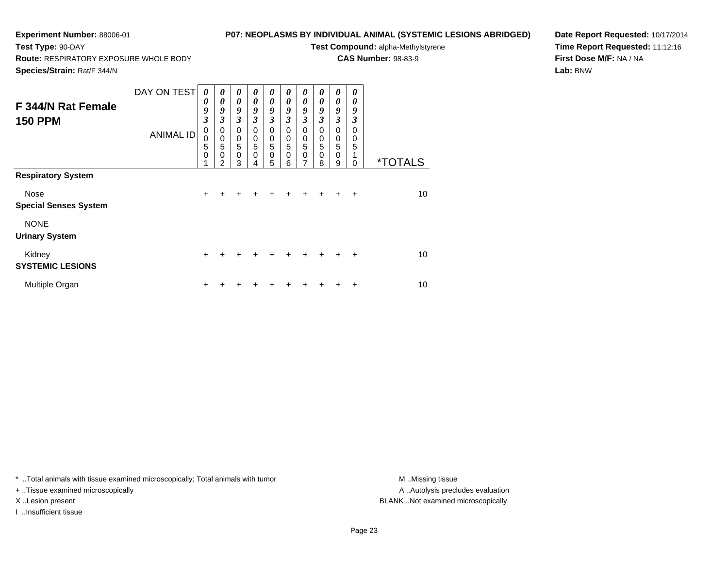## **P07: NEOPLASMS BY INDIVIDUAL ANIMAL (SYSTEMIC LESIONS ABRIDGED)**

**Test Compound:** alpha-Methylstyrene**CAS Number:** 98-83-9

**Route:** RESPIRATORY EXPOSURE WHOLE BODY

**Species/Strain:** Rat/F 344/N

**Test Type:** 90-DAY

**Date Report Requested:** 10/17/2014**Time Report Requested:** 11:12:16**First Dose M/F:** NA / NA**Lab:** BNW

| F 344/N Rat Female<br><b>150 PPM</b> | DAY ON TEST<br><b>ANIMAL ID</b> | $\boldsymbol{\theta}$<br>0<br>9<br>$\mathfrak{z}$<br>0<br>0<br>5<br>$\mathbf 0$ | $\boldsymbol{\theta}$<br>0<br>9<br>$\mathfrak{z}$<br>0<br>$\mathbf 0$<br>$\sqrt{5}$<br>0<br>2 | 0<br>$\boldsymbol{\theta}$<br>9<br>$\mathfrak{z}$<br>0<br>0<br>5<br>$\mathbf 0$<br>3 | $\boldsymbol{\theta}$<br>$\boldsymbol{\theta}$<br>9<br>3<br>0<br>0<br>5<br>$\Omega$ | 0<br>0<br>9<br>3<br>0<br>0<br>5<br>$\mathbf 0$<br>5 | 0<br>$\boldsymbol{\theta}$<br>9<br>3<br>0<br>$\mathbf 0$<br>5<br>0<br>6 | 0<br>$\theta$<br>9<br>3<br>$\mathbf 0$<br>0<br>5<br>$\mathbf 0$<br>7 | 0<br>0<br>9<br>3<br>$\Omega$<br>0<br>5<br>$\Omega$<br>8 | 0<br>0<br>9<br>3<br>0<br>0<br>$\overline{5}$<br>$\mathbf 0$<br>9 | 0<br>0<br>9<br>3<br>$\Omega$<br>0<br>5<br>$\Omega$ | <i><b>*TOTALS</b></i> |
|--------------------------------------|---------------------------------|---------------------------------------------------------------------------------|-----------------------------------------------------------------------------------------------|--------------------------------------------------------------------------------------|-------------------------------------------------------------------------------------|-----------------------------------------------------|-------------------------------------------------------------------------|----------------------------------------------------------------------|---------------------------------------------------------|------------------------------------------------------------------|----------------------------------------------------|-----------------------|
| <b>Respiratory System</b>            |                                 |                                                                                 |                                                                                               |                                                                                      |                                                                                     |                                                     |                                                                         |                                                                      |                                                         |                                                                  |                                                    |                       |
| Nose<br><b>Special Senses System</b> |                                 | $+$                                                                             | +                                                                                             | +                                                                                    | +                                                                                   |                                                     | $\div$                                                                  | ÷                                                                    | $\ddot{}$                                               | $\ddot{}$                                                        | $\ddot{}$                                          | 10                    |
| <b>NONE</b><br><b>Urinary System</b> |                                 |                                                                                 |                                                                                               |                                                                                      |                                                                                     |                                                     |                                                                         |                                                                      |                                                         |                                                                  |                                                    |                       |
| Kidney<br><b>SYSTEMIC LESIONS</b>    |                                 | $\ddot{}$                                                                       |                                                                                               |                                                                                      |                                                                                     |                                                     | $\div$                                                                  | $\div$                                                               | $+$                                                     | $+$                                                              | $\ddot{}$                                          | 10                    |
| Multiple Organ                       |                                 | +                                                                               |                                                                                               |                                                                                      |                                                                                     |                                                     |                                                                         |                                                                      |                                                         |                                                                  | ÷                                                  | 10                    |

\* ..Total animals with tissue examined microscopically; Total animals with tumor **M** . Missing tissue M ..Missing tissue

+ ..Tissue examined microscopically

I ..Insufficient tissue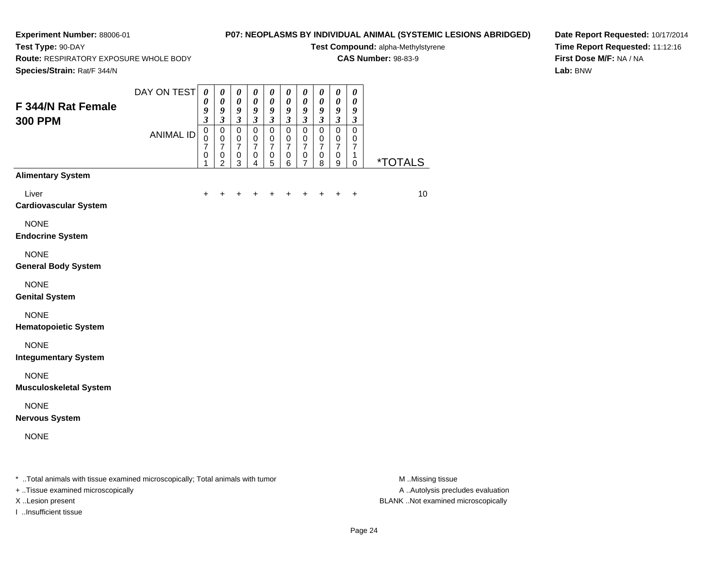# **P07: NEOPLASMS BY INDIVIDUAL ANIMAL (SYSTEMIC LESIONS ABRIDGED)**

**Test Compound:** alpha-Methylstyrene**CAS Number:** 98-83-9

**Route:** RESPIRATORY EXPOSURE WHOLE BODY

**Species/Strain:** Rat/F 344/N

**Test Type:** 90-DAY

**Date Report Requested:** 10/17/2014**Time Report Requested:** 11:12:16**First Dose M/F:** NA / NA**Lab:** BNW

| $\pmb{0}$<br>$\mathbf 0$<br>$\mathbf 0$<br>$\mathbf 0$<br>$\mathsf 0$<br>$\mathsf 0$<br>$\mathbf 0$<br>$\mathbf 0$<br>$\pmb{0}$<br>$\pmb{0}$<br><b>ANIMAL ID</b><br>0<br>$\mathbf 0$<br>$\pmb{0}$<br>$\mathbf 0$<br>$\mathbf 0$<br>$\mathbf 0$<br>$\mathbf 0$<br>$\mathbf 0$<br>$\mathbf 0$<br>$\mathbf 0$<br>$\overline{7}$<br>$\overline{7}$<br>$\overline{7}$<br>$\overline{7}$<br>$\overline{7}$<br>$\overline{7}$<br>$\overline{7}$<br>$\overline{7}$<br>$\overline{7}$<br>$\overline{7}$<br>$\pmb{0}$<br>$\pmb{0}$<br>0<br>0<br>$\pmb{0}$<br>0<br>$\pmb{0}$<br>0<br>0<br>1<br><i><b>*TOTALS</b></i><br>$\mathbf{3}$<br>5<br>8<br>2<br>$\overline{4}$<br>6<br>9<br>$\pmb{0}$<br>1<br>7<br><b>Alimentary System</b><br>Liver<br>10<br>$\ddot{}$<br>+<br>+<br>$\ddot{}$<br>+<br>+<br>$\ddot{}$<br><b>Cardiovascular System</b><br><b>NONE</b><br><b>Endocrine System</b><br><b>NONE</b><br><b>General Body System</b><br><b>NONE</b><br><b>Genital System</b><br><b>NONE</b><br><b>Hematopoietic System</b><br><b>NONE</b><br><b>Integumentary System</b><br><b>NONE</b><br><b>Musculoskeletal System</b><br><b>NONE</b><br><b>Nervous System</b><br><b>NONE</b> | F 344/N Rat Female<br><b>300 PPM</b> | DAY ON TEST | $\boldsymbol{\theta}$<br>$\boldsymbol{\theta}$<br>9<br>$\mathfrak{z}$ | 0<br>$\boldsymbol{\theta}$<br>9<br>$\mathfrak{z}$ | $\boldsymbol{\theta}$<br>$\boldsymbol{\theta}$<br>9<br>$\mathfrak{z}$ | $\boldsymbol{\theta}$<br>$\boldsymbol{\theta}$<br>9<br>$\mathfrak{z}$ | $\pmb{\theta}$<br>$\pmb{\theta}$<br>9<br>$\mathfrak{z}$ | $\boldsymbol{\theta}$<br>$\pmb{\theta}$<br>$\pmb{9}$<br>$\mathfrak{z}$ | $\boldsymbol{\theta}$<br>$\pmb{\theta}$<br>$\boldsymbol{g}$<br>$\mathfrak{z}$ | 0<br>$\pmb{\theta}$<br>9<br>$\overline{\mathbf{3}}$ | 0<br>$\pmb{\theta}$<br>$\boldsymbol{9}$<br>$\mathfrak{z}$ | 0<br>$\pmb{\theta}$<br>9<br>$\mathfrak{z}$ |  |
|---------------------------------------------------------------------------------------------------------------------------------------------------------------------------------------------------------------------------------------------------------------------------------------------------------------------------------------------------------------------------------------------------------------------------------------------------------------------------------------------------------------------------------------------------------------------------------------------------------------------------------------------------------------------------------------------------------------------------------------------------------------------------------------------------------------------------------------------------------------------------------------------------------------------------------------------------------------------------------------------------------------------------------------------------------------------------------------------------------------------------------------------------------------------|--------------------------------------|-------------|-----------------------------------------------------------------------|---------------------------------------------------|-----------------------------------------------------------------------|-----------------------------------------------------------------------|---------------------------------------------------------|------------------------------------------------------------------------|-------------------------------------------------------------------------------|-----------------------------------------------------|-----------------------------------------------------------|--------------------------------------------|--|
|                                                                                                                                                                                                                                                                                                                                                                                                                                                                                                                                                                                                                                                                                                                                                                                                                                                                                                                                                                                                                                                                                                                                                                     |                                      |             |                                                                       |                                                   |                                                                       |                                                                       |                                                         |                                                                        |                                                                               |                                                     |                                                           |                                            |  |
|                                                                                                                                                                                                                                                                                                                                                                                                                                                                                                                                                                                                                                                                                                                                                                                                                                                                                                                                                                                                                                                                                                                                                                     |                                      |             |                                                                       |                                                   |                                                                       |                                                                       |                                                         |                                                                        |                                                                               |                                                     |                                                           |                                            |  |
|                                                                                                                                                                                                                                                                                                                                                                                                                                                                                                                                                                                                                                                                                                                                                                                                                                                                                                                                                                                                                                                                                                                                                                     |                                      |             |                                                                       |                                                   |                                                                       |                                                                       |                                                         |                                                                        |                                                                               |                                                     |                                                           |                                            |  |
|                                                                                                                                                                                                                                                                                                                                                                                                                                                                                                                                                                                                                                                                                                                                                                                                                                                                                                                                                                                                                                                                                                                                                                     |                                      |             |                                                                       |                                                   |                                                                       |                                                                       |                                                         |                                                                        |                                                                               |                                                     |                                                           |                                            |  |
|                                                                                                                                                                                                                                                                                                                                                                                                                                                                                                                                                                                                                                                                                                                                                                                                                                                                                                                                                                                                                                                                                                                                                                     |                                      |             |                                                                       |                                                   |                                                                       |                                                                       |                                                         |                                                                        |                                                                               |                                                     |                                                           |                                            |  |
|                                                                                                                                                                                                                                                                                                                                                                                                                                                                                                                                                                                                                                                                                                                                                                                                                                                                                                                                                                                                                                                                                                                                                                     |                                      |             |                                                                       |                                                   |                                                                       |                                                                       |                                                         |                                                                        |                                                                               |                                                     |                                                           |                                            |  |
|                                                                                                                                                                                                                                                                                                                                                                                                                                                                                                                                                                                                                                                                                                                                                                                                                                                                                                                                                                                                                                                                                                                                                                     |                                      |             |                                                                       |                                                   |                                                                       |                                                                       |                                                         |                                                                        |                                                                               |                                                     |                                                           |                                            |  |
|                                                                                                                                                                                                                                                                                                                                                                                                                                                                                                                                                                                                                                                                                                                                                                                                                                                                                                                                                                                                                                                                                                                                                                     |                                      |             |                                                                       |                                                   |                                                                       |                                                                       |                                                         |                                                                        |                                                                               |                                                     |                                                           |                                            |  |
|                                                                                                                                                                                                                                                                                                                                                                                                                                                                                                                                                                                                                                                                                                                                                                                                                                                                                                                                                                                                                                                                                                                                                                     |                                      |             |                                                                       |                                                   |                                                                       |                                                                       |                                                         |                                                                        |                                                                               |                                                     |                                                           |                                            |  |
|                                                                                                                                                                                                                                                                                                                                                                                                                                                                                                                                                                                                                                                                                                                                                                                                                                                                                                                                                                                                                                                                                                                                                                     |                                      |             |                                                                       |                                                   |                                                                       |                                                                       |                                                         |                                                                        |                                                                               |                                                     |                                                           |                                            |  |
|                                                                                                                                                                                                                                                                                                                                                                                                                                                                                                                                                                                                                                                                                                                                                                                                                                                                                                                                                                                                                                                                                                                                                                     |                                      |             |                                                                       |                                                   |                                                                       |                                                                       |                                                         |                                                                        |                                                                               |                                                     |                                                           |                                            |  |

+ ..Tissue examined microscopically

I ..Insufficient tissue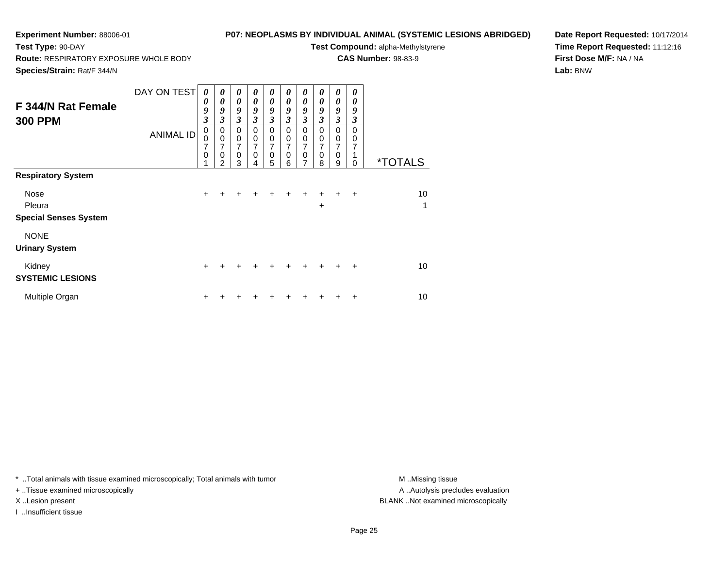## **P07: NEOPLASMS BY INDIVIDUAL ANIMAL (SYSTEMIC LESIONS ABRIDGED)**

**Test Compound:** alpha-Methylstyrene**CAS Number:** 98-83-9

**Route:** RESPIRATORY EXPOSURE WHOLE BODY

**Species/Strain:** Rat/F 344/N

**Test Type:** 90-DAY

**Date Report Requested:** 10/17/2014**Time Report Requested:** 11:12:16**First Dose M/F:** NA / NA**Lab:** BNW

| F 344/N Rat Female<br><b>300 PPM</b>                                               | DAY ON TEST<br><b>ANIMAL ID</b> | 0<br>0<br>9<br>3<br>$\pmb{0}$<br>0<br>7<br>0<br>4 | $\boldsymbol{\theta}$<br>0<br>9<br>3<br>$\mathbf 0$<br>$\mathbf 0$<br>7<br>$\mathbf 0$ | 0<br>$\boldsymbol{\theta}$<br>9<br>$\mathfrak{z}$<br>$\mathbf 0$<br>$\mathbf 0$<br>7<br>$\mathbf 0$ | 0<br>$\boldsymbol{\theta}$<br>9<br>$\mathfrak{z}$<br>$\mathbf 0$<br>$\mathbf 0$<br>$\mathbf 0$ | 0<br>0<br>9<br>$\mathfrak{z}$<br>$\pmb{0}$<br>$\mathbf 0$<br>7<br>$\mathbf 0$ | 0<br>0<br>9<br>3<br>0<br>0<br>$\mathbf 0$ | 0<br>$\boldsymbol{\theta}$<br>9<br>3<br>$\mathbf 0$<br>0<br>7<br>$\mathbf 0$<br>7 | 0<br>$\boldsymbol{\theta}$<br>9<br>$\mathfrak{z}$<br>0<br>0<br>7<br>0 | 0<br>0<br>9<br>$\overline{\mathbf{3}}$<br>0<br>$\pmb{0}$<br>7<br>$\mathbf 0$ | 0<br>0<br>9<br>3<br>$\Omega$<br>0<br>7 | <i><b>*TOTALS</b></i> |
|------------------------------------------------------------------------------------|---------------------------------|---------------------------------------------------|----------------------------------------------------------------------------------------|-----------------------------------------------------------------------------------------------------|------------------------------------------------------------------------------------------------|-------------------------------------------------------------------------------|-------------------------------------------|-----------------------------------------------------------------------------------|-----------------------------------------------------------------------|------------------------------------------------------------------------------|----------------------------------------|-----------------------|
| <b>Respiratory System</b><br><b>Nose</b><br>Pleura<br><b>Special Senses System</b> |                                 | $\ddot{}$                                         | 2<br>+                                                                                 | 3                                                                                                   | 4                                                                                              | 5                                                                             | 6                                         |                                                                                   | 8<br>$\ddot{}$<br>$\ddot{}$                                           | 9<br>$\ddot{}$                                                               | $\Omega$<br>$\ddot{}$                  | 10<br>1               |
| <b>NONE</b><br><b>Urinary System</b><br>Kidney                                     |                                 | $\ddot{}$                                         |                                                                                        |                                                                                                     |                                                                                                |                                                                               |                                           | $\div$                                                                            |                                                                       | +                                                                            | $\ddot{}$                              | 10                    |
| <b>SYSTEMIC LESIONS</b><br>Multiple Organ                                          |                                 | ٠                                                 |                                                                                        |                                                                                                     |                                                                                                |                                                                               |                                           |                                                                                   |                                                                       |                                                                              | +                                      | 10                    |

\* ..Total animals with tissue examined microscopically; Total animals with tumor **M** . Missing tissue M ..Missing tissue

+ ..Tissue examined microscopically

I ..Insufficient tissue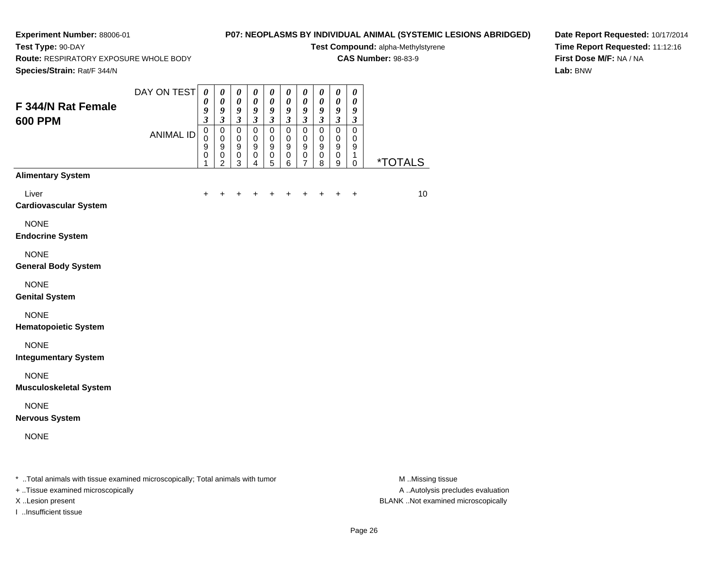**Test Type:** 90-DAY

# **P07: NEOPLASMS BY INDIVIDUAL ANIMAL (SYSTEMIC LESIONS ABRIDGED)**

**Test Compound:** alpha-Methylstyrene**CAS Number:** 98-83-9

**Route:** RESPIRATORY EXPOSURE WHOLE BODY

**Date Report Requested:** 10/17/2014**Time Report Requested:** 11:12:16**First Dose M/F:** NA / NA**Lab:** BNW

| Species/Strain: Rat/F 344/N                                                    |                                 |                                                                                        |                                                                               |                                                                                                     |                                                                                                      |                                                                                                                   |                                                                                                                                                |                                                                                                                                |                                                                                       |                                                                                                                |                                                                                              |                       |
|--------------------------------------------------------------------------------|---------------------------------|----------------------------------------------------------------------------------------|-------------------------------------------------------------------------------|-----------------------------------------------------------------------------------------------------|------------------------------------------------------------------------------------------------------|-------------------------------------------------------------------------------------------------------------------|------------------------------------------------------------------------------------------------------------------------------------------------|--------------------------------------------------------------------------------------------------------------------------------|---------------------------------------------------------------------------------------|----------------------------------------------------------------------------------------------------------------|----------------------------------------------------------------------------------------------|-----------------------|
| F 344/N Rat Female<br><b>600 PPM</b>                                           | DAY ON TEST<br><b>ANIMAL ID</b> | $\boldsymbol{\theta}$<br>0<br>9<br>$\overline{\mathbf{3}}$<br>$\pmb{0}$<br>0<br>9<br>0 | 0<br>$\boldsymbol{\theta}$<br>9<br>$\mathfrak{z}$<br>0<br>$\pmb{0}$<br>9<br>0 | $\pmb{\theta}$<br>$\pmb{\theta}$<br>9<br>$\mathfrak{z}$<br>$\mathbf 0$<br>$\,0\,$<br>9<br>$\pmb{0}$ | $\pmb{\theta}$<br>$\boldsymbol{\theta}$<br>9<br>$\mathfrak{z}$<br>$\mathbf 0$<br>$\pmb{0}$<br>9<br>0 | $\boldsymbol{\theta}$<br>$\boldsymbol{\theta}$<br>9<br>$\mathfrak{z}$<br>$\mathbf 0$<br>$\pmb{0}$<br>9<br>$\,0\,$ | $\pmb{\theta}$<br>$\boldsymbol{\theta}$<br>$\boldsymbol{g}$<br>$\mathfrak{z}$<br>$\mathbf 0$<br>$\mathbf 0$<br>$\boldsymbol{9}$<br>$\mathbf 0$ | $\boldsymbol{\theta}$<br>$\boldsymbol{\theta}$<br>$\boldsymbol{g}$<br>$\mathfrak{z}$<br>$\Omega$<br>0<br>$\boldsymbol{9}$<br>0 | $\pmb{\theta}$<br>$\pmb{\theta}$<br>9<br>$\mathfrak{z}$<br>$\mathbf 0$<br>0<br>9<br>0 | $\pmb{\theta}$<br>$\pmb{\theta}$<br>9<br>$\mathfrak{z}$<br>$\mathbf 0$<br>$\mathbf 0$<br>$\boldsymbol{9}$<br>0 | $\pmb{\theta}$<br>$\boldsymbol{\theta}$<br>9<br>$\mathfrak{z}$<br>$\mathbf 0$<br>0<br>9<br>1 |                       |
| <b>Alimentary System</b>                                                       |                                 | 1                                                                                      | $\overline{c}$                                                                | 3                                                                                                   | 4                                                                                                    | 5                                                                                                                 | 6                                                                                                                                              | 7                                                                                                                              | 8                                                                                     | 9                                                                                                              | $\mathbf 0$                                                                                  | <i><b>*TOTALS</b></i> |
| Liver<br><b>Cardiovascular System</b>                                          |                                 |                                                                                        |                                                                               |                                                                                                     |                                                                                                      |                                                                                                                   |                                                                                                                                                |                                                                                                                                |                                                                                       |                                                                                                                | $\ddot{}$                                                                                    | 10                    |
| <b>NONE</b><br><b>Endocrine System</b>                                         |                                 |                                                                                        |                                                                               |                                                                                                     |                                                                                                      |                                                                                                                   |                                                                                                                                                |                                                                                                                                |                                                                                       |                                                                                                                |                                                                                              |                       |
| <b>NONE</b><br><b>General Body System</b>                                      |                                 |                                                                                        |                                                                               |                                                                                                     |                                                                                                      |                                                                                                                   |                                                                                                                                                |                                                                                                                                |                                                                                       |                                                                                                                |                                                                                              |                       |
| <b>NONE</b><br><b>Genital System</b>                                           |                                 |                                                                                        |                                                                               |                                                                                                     |                                                                                                      |                                                                                                                   |                                                                                                                                                |                                                                                                                                |                                                                                       |                                                                                                                |                                                                                              |                       |
| <b>NONE</b><br><b>Hematopoietic System</b>                                     |                                 |                                                                                        |                                                                               |                                                                                                     |                                                                                                      |                                                                                                                   |                                                                                                                                                |                                                                                                                                |                                                                                       |                                                                                                                |                                                                                              |                       |
| <b>NONE</b><br><b>Integumentary System</b>                                     |                                 |                                                                                        |                                                                               |                                                                                                     |                                                                                                      |                                                                                                                   |                                                                                                                                                |                                                                                                                                |                                                                                       |                                                                                                                |                                                                                              |                       |
| <b>NONE</b><br><b>Musculoskeletal System</b>                                   |                                 |                                                                                        |                                                                               |                                                                                                     |                                                                                                      |                                                                                                                   |                                                                                                                                                |                                                                                                                                |                                                                                       |                                                                                                                |                                                                                              |                       |
| <b>NONE</b><br><b>Nervous System</b>                                           |                                 |                                                                                        |                                                                               |                                                                                                     |                                                                                                      |                                                                                                                   |                                                                                                                                                |                                                                                                                                |                                                                                       |                                                                                                                |                                                                                              |                       |
| <b>NONE</b>                                                                    |                                 |                                                                                        |                                                                               |                                                                                                     |                                                                                                      |                                                                                                                   |                                                                                                                                                |                                                                                                                                |                                                                                       |                                                                                                                |                                                                                              |                       |
| * Total animals with tissue examined microscopically; Total animals with tumor |                                 |                                                                                        |                                                                               |                                                                                                     |                                                                                                      |                                                                                                                   |                                                                                                                                                |                                                                                                                                |                                                                                       |                                                                                                                |                                                                                              | M.Missing tissue      |

+ ..Tissue examined microscopically

I ..Insufficient tissue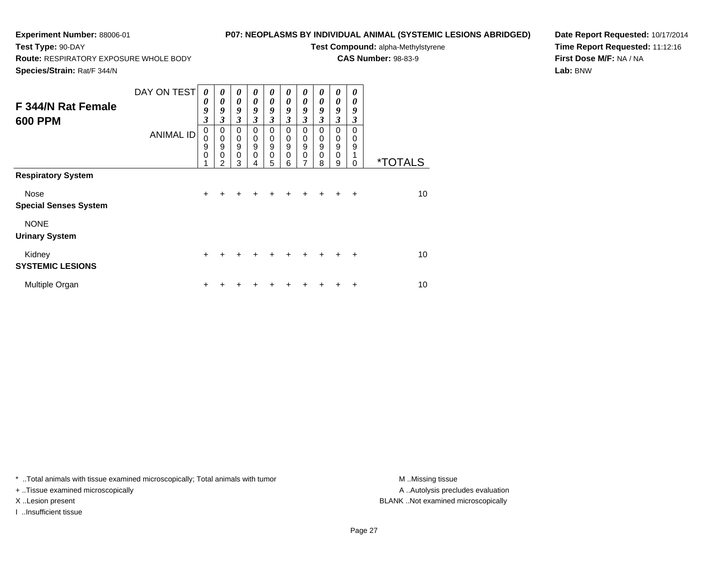## **P07: NEOPLASMS BY INDIVIDUAL ANIMAL (SYSTEMIC LESIONS ABRIDGED)**

**Test Compound:** alpha-Methylstyrene**CAS Number:** 98-83-9

**Route:** RESPIRATORY EXPOSURE WHOLE BODY

**Species/Strain:** Rat/F 344/N

**Test Type:** 90-DAY

**Date Report Requested:** 10/17/2014**Time Report Requested:** 11:12:16**First Dose M/F:** NA / NA**Lab:** BNW

| F 344/N Rat Female<br><b>600 PPM</b> | DAY ON TEST<br><b>ANIMAL ID</b> | 0<br>$\boldsymbol{\theta}$<br>9<br>$\boldsymbol{\beta}$<br>0<br>$\mathbf 0$<br>9<br>$\mathbf 0$ | 0<br>0<br>9<br>$\mathfrak{z}$<br>0<br>$\mathbf 0$<br>$\boldsymbol{9}$<br>$\mathbf 0$<br>$\overline{2}$ | 0<br>$\boldsymbol{\theta}$<br>9<br>3<br>0<br>$\mathbf 0$<br>$\boldsymbol{9}$<br>$\pmb{0}$<br>3 | 0<br>$\boldsymbol{\theta}$<br>9<br>3<br>0<br>$\mathbf 0$<br>9<br>0 | 0<br>0<br>9<br>$\boldsymbol{\mathfrak{z}}$<br>0<br>0<br>9<br>$\mathbf 0$<br>5 | 0<br>0<br>9<br>3<br>0<br>0<br>$\mathsf g$<br>0<br>6 | 0<br>$\boldsymbol{\theta}$<br>9<br>3<br>0<br>$\mathbf 0$<br>9<br>$\mathbf 0$<br>7 | 0<br>$\boldsymbol{\theta}$<br>9<br>3<br>$\Omega$<br>0<br>$\boldsymbol{9}$<br>$\mathbf 0$<br>8 | 0<br>0<br>9<br>$\mathfrak{z}$<br>0<br>$\mathbf 0$<br>9<br>$\mathbf 0$<br>9 | 0<br>0<br>9<br>3<br>0<br>$\mathbf 0$<br>9<br>0 | <i><b>*TOTALS</b></i> |
|--------------------------------------|---------------------------------|-------------------------------------------------------------------------------------------------|--------------------------------------------------------------------------------------------------------|------------------------------------------------------------------------------------------------|--------------------------------------------------------------------|-------------------------------------------------------------------------------|-----------------------------------------------------|-----------------------------------------------------------------------------------|-----------------------------------------------------------------------------------------------|----------------------------------------------------------------------------|------------------------------------------------|-----------------------|
| <b>Respiratory System</b>            |                                 |                                                                                                 |                                                                                                        |                                                                                                |                                                                    |                                                                               |                                                     |                                                                                   |                                                                                               |                                                                            |                                                |                       |
| Nose<br><b>Special Senses System</b> |                                 | $\ddot{}$                                                                                       |                                                                                                        | +                                                                                              |                                                                    |                                                                               |                                                     |                                                                                   | $\ddot{}$                                                                                     | $+$                                                                        | $\ddot{}$                                      | 10                    |
| <b>NONE</b><br><b>Urinary System</b> |                                 |                                                                                                 |                                                                                                        |                                                                                                |                                                                    |                                                                               |                                                     |                                                                                   |                                                                                               |                                                                            |                                                |                       |
| Kidney<br><b>SYSTEMIC LESIONS</b>    |                                 | $\ddot{}$                                                                                       |                                                                                                        |                                                                                                |                                                                    |                                                                               |                                                     | ÷                                                                                 | $+$                                                                                           | $+$                                                                        | $\ddot{}$                                      | 10                    |
| Multiple Organ                       |                                 | ٠                                                                                               |                                                                                                        |                                                                                                |                                                                    |                                                                               |                                                     |                                                                                   |                                                                                               |                                                                            | ÷                                              | 10                    |

\* ..Total animals with tissue examined microscopically; Total animals with tumor **M** . Missing tissue M ..Missing tissue

+ ..Tissue examined microscopically

I ..Insufficient tissue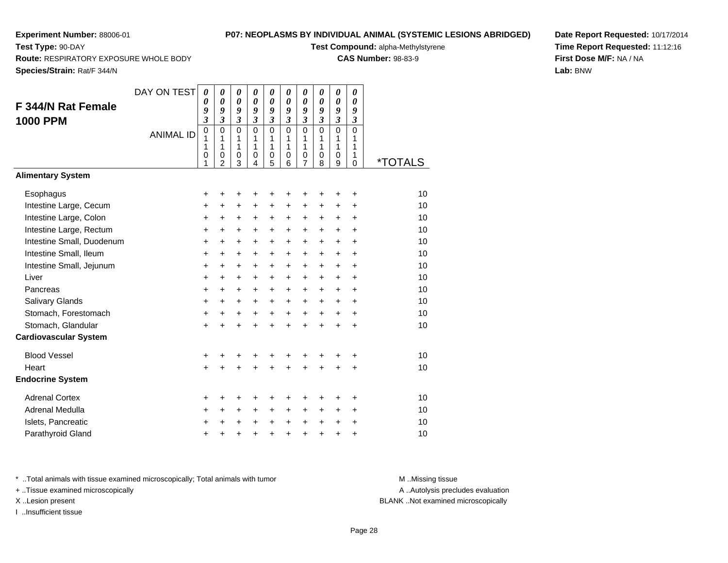**Test Type:** 90-DAY

## **P07: NEOPLASMS BY INDIVIDUAL ANIMAL (SYSTEMIC LESIONS ABRIDGED)**

**Test Compound:** alpha-Methylstyrene

**CAS Number:** 98-83-9

**Species/Strain:** Rat/F 344/N

**Route:** RESPIRATORY EXPOSURE WHOLE BODY

**Date Report Requested:** 10/17/2014**Time Report Requested:** 11:12:16**First Dose M/F:** NA / NA**Lab:** BNW

|                              | DAY ON TEST      | $\boldsymbol{\theta}$        | $\boldsymbol{\theta}$        | $\boldsymbol{\theta}$ | 0                          | $\pmb{\theta}$      | $\pmb{\theta}$               | 0                            | 0                          | 0                          | 0              |                       |
|------------------------------|------------------|------------------------------|------------------------------|-----------------------|----------------------------|---------------------|------------------------------|------------------------------|----------------------------|----------------------------|----------------|-----------------------|
| F 344/N Rat Female           |                  | 0                            | $\boldsymbol{\theta}$        | 0<br>9                | $\boldsymbol{\theta}$<br>9 | 0                   | 0                            | 0                            | $\boldsymbol{\theta}$<br>9 | $\boldsymbol{\theta}$<br>9 | 0<br>9         |                       |
| <b>1000 PPM</b>              |                  | 9<br>$\overline{\mathbf{3}}$ | 9<br>$\overline{\mathbf{3}}$ | $\mathfrak{z}$        | $\overline{3}$             | 9<br>$\mathfrak{z}$ | 9<br>$\overline{\mathbf{3}}$ | 9<br>$\overline{\mathbf{3}}$ | $\overline{3}$             | $\overline{\mathbf{3}}$    | $\mathfrak{z}$ |                       |
|                              | <b>ANIMAL ID</b> | 0                            | 0                            | 0                     | $\mathbf 0$                | 0                   | $\mathbf 0$                  | $\mathbf 0$                  | 0                          | $\mathbf 0$                | $\mathbf 0$    |                       |
|                              |                  | 1<br>1                       | 1<br>1                       | 1<br>1                | 1<br>1                     | 1<br>1              | 1<br>$\mathbf{1}$            | 1<br>1                       | 1<br>1                     | 1<br>1                     | 1<br>1         |                       |
|                              |                  | 0                            | 0                            | 0                     | 0                          | 0                   | 0                            | $\frac{0}{7}$                | 0                          | 0                          | 1              |                       |
|                              |                  | 1                            | $\overline{2}$               | 3                     | $\overline{4}$             | 5                   | 6                            |                              | 8                          | 9                          | $\mathbf 0$    | <i><b>*TOTALS</b></i> |
| <b>Alimentary System</b>     |                  |                              |                              |                       |                            |                     |                              |                              |                            |                            |                |                       |
| Esophagus                    |                  | +                            | +                            | +                     | +                          | +                   | +                            | +                            | +                          | ٠                          | ÷              | 10                    |
| Intestine Large, Cecum       |                  | +                            | $\ddot{}$                    | $\ddot{}$             | $\ddot{}$                  | $\ddot{}$           | $\ddot{}$                    | $\ddot{}$                    | $\ddot{}$                  | $\ddot{}$                  | $\ddot{}$      | 10                    |
| Intestine Large, Colon       |                  | +                            | +                            | +                     | +                          | +                   | +                            | +                            | +                          | +                          | $\ddot{}$      | 10                    |
| Intestine Large, Rectum      |                  | +                            | +                            | +                     | $\ddot{}$                  | $\ddot{}$           | $\ddot{}$                    | $\pm$                        | $\ddot{}$                  | $\ddot{}$                  | $\ddot{}$      | 10                    |
| Intestine Small, Duodenum    |                  | $\ddot{}$                    | $\ddot{}$                    | $\ddot{}$             | $\ddot{}$                  | $\ddot{}$           | $\ddot{}$                    | +                            | $\ddot{}$                  | $+$                        | $\ddot{}$      | 10                    |
| Intestine Small, Ileum       |                  | $\ddot{}$                    | $\ddot{}$                    | $\ddot{}$             | $\ddot{}$                  | $\ddot{}$           | $\ddot{}$                    | +                            | $\ddot{}$                  | $\ddot{}$                  | $\ddot{}$      | 10                    |
| Intestine Small, Jejunum     |                  | +                            | $\ddot{}$                    | $\ddot{}$             | $\ddot{}$                  | $\ddot{}$           | $\ddot{}$                    | +                            | $\ddot{}$                  | $\ddot{}$                  | $\ddot{}$      | 10                    |
| Liver                        |                  | +                            | +                            | $\ddot{}$             | $\ddot{}$                  | +                   | +                            | +                            | $\ddot{}$                  | $\ddot{}$                  | $\ddot{}$      | 10                    |
| Pancreas                     |                  | $\ddot{}$                    | $\ddot{}$                    | $\ddot{}$             | $\ddot{}$                  | $\ddot{}$           | $\ddot{}$                    | $\ddot{}$                    | $\ddot{}$                  | $\ddot{}$                  | $\ddot{}$      | 10                    |
| Salivary Glands              |                  | $\ddot{}$                    | $\ddot{}$                    | $\ddot{}$             | $\ddot{}$                  | $\ddot{}$           | $\ddot{}$                    | $\ddot{}$                    | $\ddot{}$                  | $\ddot{}$                  | $\ddot{}$      | 10                    |
| Stomach, Forestomach         |                  | $\ddot{}$                    | $\ddot{}$                    | $\ddot{}$             | $\ddot{}$                  | $\ddot{}$           | $\ddot{}$                    | $\ddot{}$                    | $\ddot{}$                  | $+$                        | $\ddot{}$      | 10                    |
| Stomach, Glandular           |                  | +                            |                              | +                     | $\ddot{}$                  | $\ddot{}$           | $\ddot{}$                    | $\ddot{}$                    | $\ddot{}$                  | $\ddot{}$                  | $\ddot{}$      | 10                    |
| <b>Cardiovascular System</b> |                  |                              |                              |                       |                            |                     |                              |                              |                            |                            |                |                       |
| <b>Blood Vessel</b>          |                  | +                            | +                            | +                     | +                          | +                   | +                            | +                            | +                          |                            | ÷              | 10                    |
| Heart                        |                  | $\ddot{}$                    |                              | Ŧ.                    | +                          | +                   | $\ddot{}$                    | +                            | $\ddot{}$                  |                            | $\ddot{}$      | 10                    |
| <b>Endocrine System</b>      |                  |                              |                              |                       |                            |                     |                              |                              |                            |                            |                |                       |
| <b>Adrenal Cortex</b>        |                  | +                            | +                            | +                     | +                          | +                   | +                            | +                            | +                          |                            | +              | 10                    |
| Adrenal Medulla              |                  | +                            | +                            | +                     | $\ddot{}$                  | +                   | $\ddot{}$                    | $\pm$                        | $\ddot{}$                  | $\ddot{}$                  | $\ddot{}$      | 10                    |
| Islets, Pancreatic           |                  | +                            |                              | $\ddot{}$             | $\ddot{}$                  | $\ddot{}$           | +                            | +                            | $\ddot{}$                  | $\ddot{}$                  | $\ddot{}$      | 10                    |
| Parathyroid Gland            |                  | +                            | +                            | +                     | +                          | +                   | $\ddot{}$                    | $\ddot{}$                    | +                          | $\pm$                      | $\ddot{}$      | 10                    |

\* ..Total animals with tissue examined microscopically; Total animals with tumor **M** . Missing tissue M ..Missing tissue

+ ..Tissue examined microscopically

I ..Insufficient tissue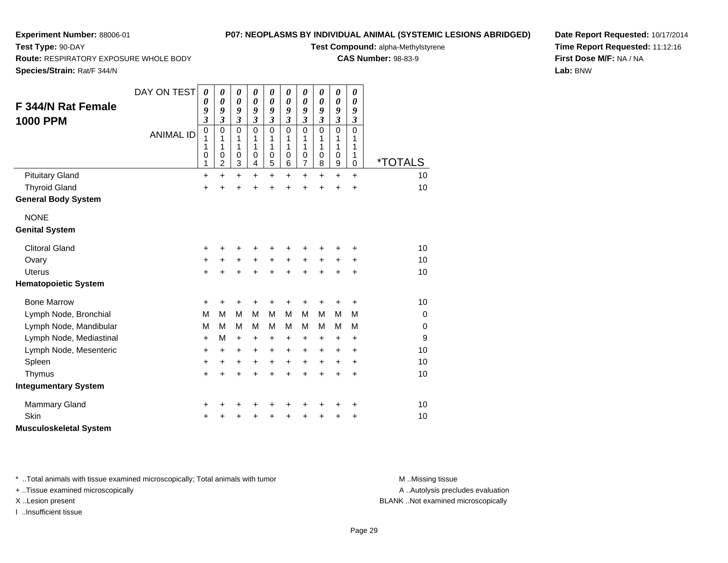## **P07: NEOPLASMS BY INDIVIDUAL ANIMAL (SYSTEMIC LESIONS ABRIDGED)**

**Test Compound:** alpha-Methylstyrene

**CAS Number:** 98-83-9

**Date Report Requested:** 10/17/2014**Time Report Requested:** 11:12:16**First Dose M/F:** NA / NA**Lab:** BNW

**Route:** RESPIRATORY EXPOSURE WHOLE BODY

**Species/Strain:** Rat/F 344/N

**Test Type:** 90-DAY

|                               | DAY ON TEST      | 0<br>$\boldsymbol{\theta}$ | 0<br>$\boldsymbol{\theta}$ | 0<br>$\boldsymbol{\theta}$ | 0<br>$\boldsymbol{\theta}$ | 0<br>$\boldsymbol{\theta}$ | 0<br>0         | 0<br>$\boldsymbol{\theta}$ | $\boldsymbol{\theta}$<br>$\boldsymbol{\theta}$ | 0<br>$\boldsymbol{\theta}$ | 0<br>0         |                       |
|-------------------------------|------------------|----------------------------|----------------------------|----------------------------|----------------------------|----------------------------|----------------|----------------------------|------------------------------------------------|----------------------------|----------------|-----------------------|
| <b>F 344/N Rat Female</b>     |                  | 9                          | 9                          | 9                          | 9                          | 9                          | 9              | 9                          | 9                                              | 9                          | 9              |                       |
| <b>1000 PPM</b>               |                  | 3                          | $\overline{\mathbf{3}}$    | $\mathfrak{z}$             | $\mathfrak{z}$             | $\overline{\mathbf{3}}$    | $\mathfrak{z}$ | $\mathfrak{z}$             | $\mathfrak{z}$                                 | $\mathfrak{z}$             | $\mathfrak{z}$ |                       |
|                               | <b>ANIMAL ID</b> | $\mathbf 0$                | 0                          | $\mathbf 0$                | $\mathbf 0$                | $\mathbf 0$                | $\mathbf 0$    | 0                          | $\mathbf 0$                                    | $\mathbf 0$                | $\Omega$       |                       |
|                               |                  | 1<br>1                     | 1<br>1                     | 1<br>1                     | 1<br>1                     | 1<br>1                     | 1<br>1         | 1<br>1                     | 1<br>1                                         | 1<br>1                     | 1<br>1         |                       |
|                               |                  | 0                          | 0                          | 0                          | 0                          | 0                          | 0              | $\pmb{0}$                  | 0                                              | $\mathbf 0$                | 1              |                       |
|                               |                  | 1                          | $\overline{c}$             | 3                          | 4                          | 5                          | 6              | $\overline{7}$             | 8                                              | $\boldsymbol{9}$           | $\mathbf 0$    | <i><b>*TOTALS</b></i> |
| <b>Pituitary Gland</b>        |                  | $\ddot{}$                  | $\ddot{}$                  | +                          | $\ddot{}$                  | $\ddot{}$                  | $\ddot{}$      | $\ddot{}$                  | $\ddot{}$                                      | $\ddot{}$                  | $+$            | 10                    |
| <b>Thyroid Gland</b>          |                  | $\ddot{}$                  | $\ddot{}$                  | $\ddot{}$                  | $\ddot{}$                  | +                          | +              | $\ddot{}$                  | $\ddot{}$                                      | $\ddot{}$                  | $\ddot{}$      | 10                    |
| <b>General Body System</b>    |                  |                            |                            |                            |                            |                            |                |                            |                                                |                            |                |                       |
| <b>NONE</b>                   |                  |                            |                            |                            |                            |                            |                |                            |                                                |                            |                |                       |
| <b>Genital System</b>         |                  |                            |                            |                            |                            |                            |                |                            |                                                |                            |                |                       |
| <b>Clitoral Gland</b>         |                  | +                          | +                          | +                          | +                          | +                          | +              | +                          |                                                | +                          | +              | 10                    |
| Ovary                         |                  | +                          | +                          | +                          | $\ddot{}$                  | $\ddot{}$                  | $\ddot{}$      | $\ddot{}$                  | +                                              | +                          | +              | 10                    |
| <b>Uterus</b>                 |                  | +                          | +                          | +                          | +                          | +                          | +              | +                          | +                                              | $\ddot{}$                  | +              | 10                    |
| <b>Hematopoietic System</b>   |                  |                            |                            |                            |                            |                            |                |                            |                                                |                            |                |                       |
| <b>Bone Marrow</b>            |                  | $\ddot{}$                  | $\ddot{}$                  | $\ddot{}$                  | $\ddot{}$                  | +                          | $\ddot{}$      | +                          | +                                              | $\ddot{}$                  | $\ddot{}$      | 10                    |
| Lymph Node, Bronchial         |                  | M                          | M                          | M                          | M                          | M                          | M              | M                          | М                                              | M                          | M              | $\mathbf 0$           |
| Lymph Node, Mandibular        |                  | М                          | M                          | M                          | M                          | М                          | M              | М                          | м                                              | м                          | М              | 0                     |
| Lymph Node, Mediastinal       |                  | $\ddot{}$                  | M                          | $\ddot{}$                  | $\ddot{}$                  | +                          | $\ddot{}$      | +                          | +                                              | $\ddot{}$                  | $\ddot{}$      | 9                     |
| Lymph Node, Mesenteric        |                  | +                          | +                          | +                          | +                          | +                          | +              | +                          | +                                              | +                          | +              | 10                    |
| Spleen                        |                  | +                          | +                          | $\ddot{}$                  | $\ddot{}$                  | $\ddot{}$                  | $\ddot{}$      | $\ddot{}$                  | $\ddot{}$                                      | $\ddot{}$                  | $\ddot{}$      | 10                    |
| Thymus                        |                  | +                          | $\ddot{}$                  | +                          | $\ddot{}$                  | +                          | $\ddot{}$      | $\ddot{}$                  | $\ddot{}$                                      | +                          | +              | 10                    |
| <b>Integumentary System</b>   |                  |                            |                            |                            |                            |                            |                |                            |                                                |                            |                |                       |
| <b>Mammary Gland</b>          |                  | +                          | +                          | +                          | +                          | +                          | +              | +                          | +                                              | +                          | +              | 10                    |
| <b>Skin</b>                   |                  | +                          |                            | +                          | +                          | +                          |                | +                          |                                                | +                          | +              | 10                    |
| <b>Musculoskeletal System</b> |                  |                            |                            |                            |                            |                            |                |                            |                                                |                            |                |                       |

\* ..Total animals with tissue examined microscopically; Total animals with tumor **M** . Missing tissue M ..Missing tissue

+ ..Tissue examined microscopically

I ..Insufficient tissue

A ..Autolysis precludes evaluation

X ..Lesion present BLANK ..Not examined microscopically